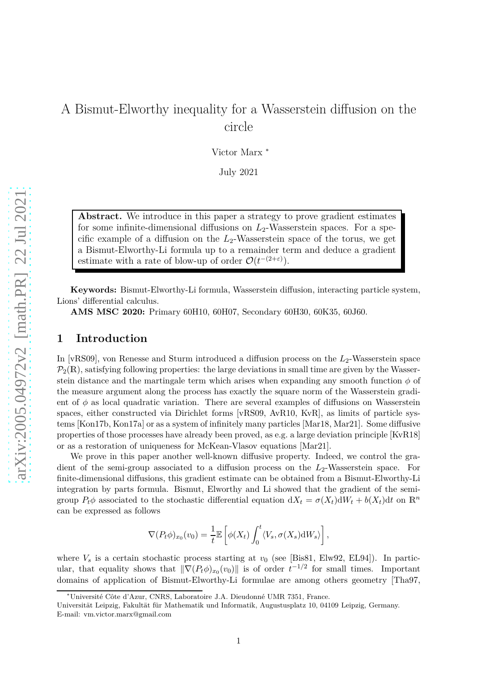# A Bismut-Elworthy inequality for a Wasserstein diffusion on the circle

Victor Marx <sup>∗</sup>

July 2021

**Abstract.** We introduce in this paper a strategy to prove gradient estimates for some infinite-dimensional diffusions on  $L_2$ -Wasserstein spaces. For a specific example of a diffusion on the *L*2-Wasserstein space of the torus, we get a Bismut-Elworthy-Li formula up to a remainder term and deduce a gradient estimate with a rate of blow-up of order  $\mathcal{O}(t^{-(2+\epsilon)})$ .

**Keywords:** Bismut-Elworthy-Li formula, Wasserstein diffusion, interacting particle system, Lions' differential calculus.

**AMS MSC 2020:** Primary 60H10, 60H07, Secondary 60H30, 60K35, 60J60.

### **1 Introduction**

In [\[vRS09\]](#page-45-0), von Renesse and Sturm introduced a diffusion process on the  $L_2$ -Wasserstein space  $\mathcal{P}_2(\mathbb{R})$ , satisfying following properties: the large deviations in small time are given by the Wasserstein distance and the martingale term which arises when expanding any smooth function  $\phi$  of the measure argument along the process has exactly the square norm of the Wasserstein gradient of  $\phi$  as local quadratic variation. There are several examples of diffusions on Wasserstein spaces, either constructed via Dirichlet forms [\[vRS09,](#page-45-0) [AvR10,](#page-43-0) [KvR\]](#page-45-1), as limits of particle systems [\[Kon17b,](#page-44-0) [Kon17a\]](#page-44-1) or as a system of infinitely many particles [\[Mar18,](#page-45-2) [Mar21\]](#page-45-3). Some diffusive properties of those processes have already been proved, as e.g. a large deviation principle [\[KvR18\]](#page-45-4) or as a restoration of uniqueness for McKean-Vlasov equations [\[Mar21\]](#page-45-3).

We prove in this paper another well-known diffusive property. Indeed, we control the gradient of the semi-group associated to a diffusion process on the *L*2-Wasserstein space. For finite-dimensional diffusions, this gradient estimate can be obtained from a Bismut-Elworthy-Li integration by parts formula. Bismut, Elworthy and Li showed that the gradient of the semigroup  $P_t\phi$  associated to the stochastic differential equation  $dX_t = \sigma(X_t)dW_t + b(X_t)dt$  on  $\mathbb{R}^n$ can be expressed as follows

$$
\nabla(P_t\phi)_{x_0}(v_0) = \frac{1}{t} \mathbb{E}\left[\phi(X_t) \int_0^t \langle V_s, \sigma(X_s) dW_s \rangle\right],
$$

where  $V_s$  is a certain stochastic process starting at  $v_0$  (see [\[Bis81,](#page-43-1) [Elw92,](#page-44-2) [EL94\]](#page-44-3)). In particular, that equality shows that  $\|\nabla (P_t \phi)_{x_0}(v_0)\|$  is of order  $t^{-1/2}$  for small times. Important domains of application of Bismut-Elworthy-Li formulae are among others geometry [\[Tha97,](#page-45-5)

<sup>∗</sup>Université Côte d'Azur, CNRS, Laboratoire J.A. Dieudonné UMR 7351, France.

Universität Leipzig, Fakultät für Mathematik und Informatik, Augustusplatz 10, 04109 Leipzig, Germany. E-mail: vm.victor.marx@gmail.com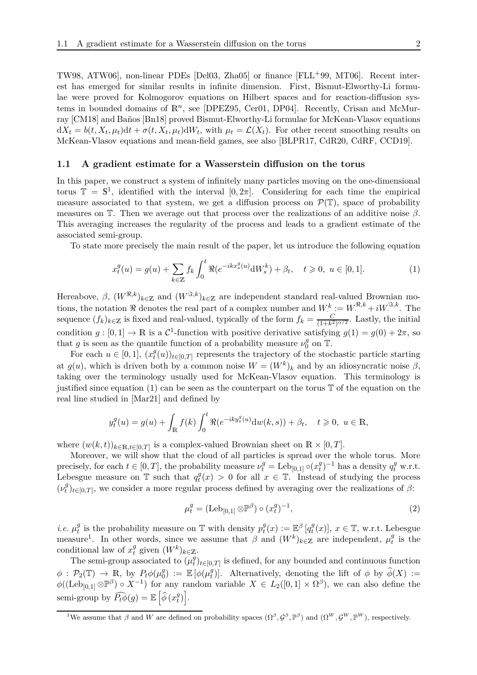[TW98,](#page-45-6) [ATW06\]](#page-43-2), non-linear PDEs [\[Del03,](#page-44-4) [Zha05\]](#page-45-7) or finance [\[FLL](#page-44-5)+99, [MT06\]](#page-45-8). Recent interest has emerged for similar results in infinite dimension. First, Bismut-Elworthy-Li formulae were proved for Kolmogorov equations on Hilbert spaces and for reaction-diffusion systems in bounded domains of  $\mathbb{R}^n$ , see [\[DPEZ95,](#page-44-6) [Cer01,](#page-44-7) [DP04\]](#page-44-8). Recently, Crisan and McMurray [\[CM18\]](#page-44-9) and Baños [\[Bn18\]](#page-43-3) proved Bismut-Elworthy-Li formulae for McKean-Vlasov equations  $dX_t = b(t, X_t, \mu_t)dt + \sigma(t, X_t, \mu_t)dW_t$ , with  $\mu_t = \mathcal{L}(X_t)$ . For other recent smoothing results on McKean-Vlasov equations and mean-field games, see also [\[BLPR17,](#page-43-4) [CdR20,](#page-44-10) [CdRF,](#page-44-11) [CCD19\]](#page-43-5).

#### **1.1 A gradient estimate for a Wasserstein diffusion on the torus**

In this paper, we construct a system of infinitely many particles moving on the one-dimensional torus  $\mathbb{T} = \mathbb{S}^1$ , identified with the interval  $[0, 2\pi]$ . Considering for each time the empirical measure associated to that system, we get a diffusion process on  $\mathcal{P}(\mathbb{T})$ , space of probability measures on T. Then we average out that process over the realizations of an additive noise *β*. This averaging increases the regularity of the process and leads to a gradient estimate of the associated semi-group.

To state more precisely the main result of the paper, let us introduce the following equation

<span id="page-1-0"></span>
$$
x_t^g(u) = g(u) + \sum_{k \in \mathbb{Z}} f_k \int_0^t \Re(e^{-ikx_s^g(u)} \, dW_s^k) + \beta_t, \quad t \ge 0, \ u \in [0, 1]. \tag{1}
$$

Hereabove,  $\beta$ ,  $(W^{\Re,k})_{k\in\mathbb{Z}}$  and  $(W^{\Im,k})_{k\in\mathbb{Z}}$  are independent standard real-valued Brownian motions, the notation  $\Re$  denotes the real part of a complex number and  $W_c^k := W_c^{\Re,k} + iW_c^{\Im,k}$ . The sequence  $(f_k)_{k \in \mathbb{Z}}$  is fixed and real-valued, typically of the form  $f_k = \frac{C}{(1+k^2)}$  $\frac{C}{(1+k^2)^{\alpha/2}}$ . Lastly, the initial condition  $g: [0, 1] \to \mathbb{R}$  is a  $\mathcal{C}^1$ -function with positive derivative satisfying  $g(1) = g(0) + 2\pi$ , so that *g* is seen as the quantile function of a probability measure  $\nu_0^g$  $_0^g$  on T.

For each  $u \in [0, 1]$ ,  $(x_t^g)$  $\sigma_t^g(u)$ <sub>*t*</sub> $\in [0,T]$  represents the trajectory of the stochastic particle starting at  $g(u)$ , which is driven both by a common noise  $W = (W^k)_k$  and by an idiosyncratic noise  $\beta$ , taking over the terminology usually used for McKean-Vlasov equation. This terminology is justified since equation [\(1\)](#page-1-0) can be seen as the counterpart on the torus  $\mathbb T$  of the equation on the real line studied in [\[Mar21\]](#page-45-3) and defined by

$$
y_t^g(u) = g(u) + \int_{\mathbb{R}} f(k) \int_0^t \Re(e^{-iky_s^g(u)} dw(k, s)) + \beta_t, \quad t \ge 0, \ u \in \mathbb{R},
$$

where  $(w(k, t))_{k \in \mathbb{R}, t \in [0, T]}$  is a complex-valued Brownian sheet on  $\mathbb{R} \times [0, T]$ .

Moreover, we will show that the cloud of all particles is spread over the whole torus. More precisely, for each  $t \in [0, T]$ , the probability measure  $\nu_t^g = \text{Leb}_{[0,1]} \circ (x_t^g)$  $g(t)$ <sup>-1</sup> has a density  $q_t^g$  w.r.t. Lebesgue measure on  $\mathbb T$  such that  $q_t^g$  $t(x) > 0$  for all  $x \in \mathbb{T}$ . Instead of studying the process  $(\nu_t^g)$  $t^g(t)$ <sub>*t*∈[0,*T*]</sub>, we consider a more regular process defined by averaging over the realizations of *β*:

$$
\mu_t^g = (\text{Leb}_{[0,1]} \otimes \mathbb{P}^\beta) \circ (x_t^g)^{-1},\tag{2}
$$

*i.e.*  $\mu_t^g$  $\frac{g}{t}$  is the probability measure on T with density  $p_t^g$  $\mathcal{L}^g_t(x) := \mathbb{E}^{\beta} \left[ q^g_t \right]$  $_{t}^{g}(x)$ ,  $x \in \mathbb{T}$ , w.r.t. Lebesgue measure<sup>[1](#page-1-1)</sup>. In other words, since we assume that  $\beta$  and  $(W^k)_{k \in \mathbb{Z}}$  are independent,  $\mu_t^g$  $t$ <sup>*y*</sup> is the conditional law of  $x_t^g$  given  $(W^k)_{k \in \mathbb{Z}}$ .

The semi-group associated to  $(\mu_t^g)$  $\sigma_t^{g}$ <sub>*t*</sub> $\in$ [0*,T*] is defined, for any bounded and continuous function  $\phi$  :  $\mathcal{P}_2(\mathbb{T}) \rightarrow \mathbb{R}$ , by  $P_t\phi(\mu_0^g)$  $\mathcal{L}_{0}^{g}$ ) :=  $\mathbb{E} [\phi(\mu_t^g)]$  $\mathcal{L}^{g}_{t}$ ). Alternatively, denoting the lift of  $\phi$  by  $\phi(X) :=$  $\phi((\text{Leb}_{[0,1]}\otimes\mathbb{P}^{\beta})\circ X^{-1})$  for any random variable  $X \in L_2([0,1] \times \Omega^{\beta})$ , we can also define the semi-group by  $\widehat{P_t \phi}(g) = \mathbb{E} \left[ \widehat{\phi} (x_t^g) \right]$  $\left[\begin{matrix} g \\ t \end{matrix}\right]$ .

<span id="page-1-1"></span><sup>&</sup>lt;sup>1</sup>We assume that  $\beta$  and *W* are defined on probability spaces  $(\Omega^{\beta}, \mathcal{G}^{\beta}, \mathbb{P}^{\beta})$  and  $(\Omega^{W}, \mathcal{G}^{W}, \mathbb{P}^{W})$ , respectively.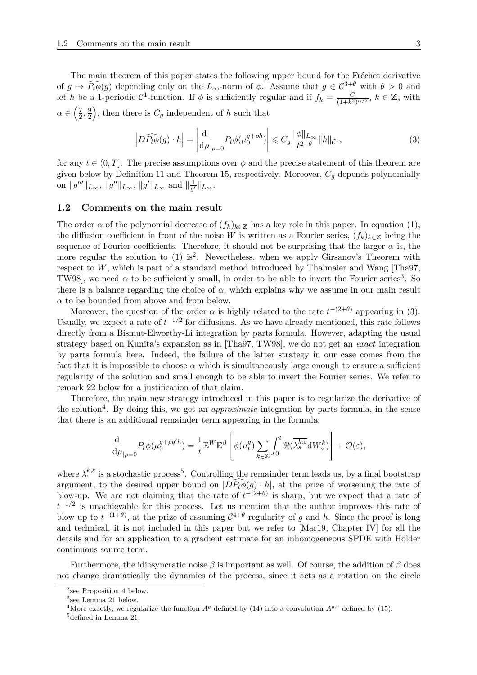The main theorem of this paper states the following upper bound for the Fréchet derivative of  $g \mapsto \widehat{P_t \phi}(g)$  depending only on the  $L_{\infty}$ -norm of  $\phi$ . Assume that  $g \in C^{3+\theta}$  with  $\theta > 0$  and let *h* be a 1-periodic  $C^1$ -function. If  $\phi$  is sufficiently regular and if  $f_k = \frac{C}{(1+k^2)^{\alpha/2}}$ ,  $k \in \mathbb{Z}$ , with  $\alpha \in \left(\frac{7}{2}\right)$  $\frac{7}{2}, \frac{9}{2}$ 2 ), then there is  $C_g$  independent of  $h$  such that

<span id="page-2-2"></span>
$$
\left| D\widehat{P_t\phi}(g) \cdot h \right| = \left| \frac{\mathrm{d}}{\mathrm{d}\rho} \right|_{\rho=0} P_t \phi(\mu_0^{g+\rho h}) \right| \leqslant C_g \frac{\|\phi\|_{L_\infty}}{t^{2+\theta}} \|h\|_{\mathcal{C}^1},\tag{3}
$$

for any  $t \in (0, T]$ . The precise assumptions over  $\phi$  and the precise statement of this theorem are given below by Definition [11](#page-7-0) and Theorem [15,](#page-8-0) respectively. Moreover,  $C_q$  depends polynomially on  $||g'''||_{L_{\infty}}, ||g''||_{L_{\infty}}, ||g'||_{L_{\infty}}$  and  $||\frac{1}{g'}$  $\frac{1}{g'}\|_{L_\infty}.$ 

#### **1.2 Comments on the main result**

The order  $\alpha$  of the polynomial decrease of  $(f_k)_{k\in\mathbb{Z}}$  has a key role in this paper. In equation [\(1\)](#page-1-0), the diffusion coefficient in front of the noise *W* is written as a Fourier series,  $(f_k)_{k\in\mathbb{Z}}$  being the sequence of Fourier coefficients. Therefore, it should not be surprising that the larger  $\alpha$  is, the more regular the solution to  $(1)$  is<sup>[2](#page-2-0)</sup>. Nevertheless, when we apply Girsanov's Theorem with respect to *W*, which is part of a standard method introduced by Thalmaier and Wang [\[Tha97,](#page-45-5) [TW98\]](#page-45-6), we need  $\alpha$  to be sufficiently small, in order to be able to invert the Fourier series<sup>[3](#page-2-1)</sup>. So there is a balance regarding the choice of  $\alpha$ , which explains why we assume in our main result  $\alpha$  to be bounded from above and from below.

Moreover, the question of the order  $\alpha$  is highly related to the rate  $t^{-(2+\theta)}$  appearing in [\(3\)](#page-2-2). Usually, we expect a rate of  $t^{-1/2}$  for diffusions. As we have already mentioned, this rate follows directly from a Bismut-Elworthy-Li integration by parts formula. However, adapting the usual strategy based on Kunita's expansion as in [\[Tha97,](#page-45-5) [TW98\]](#page-45-6), we do not get an *exact* integration by parts formula here. Indeed, the failure of the latter strategy in our case comes from the fact that it is impossible to choose  $\alpha$  which is simultaneously large enough to ensure a sufficient regularity of the solution and small enough to be able to invert the Fourier series. We refer to remark [22](#page-12-0) below for a justification of that claim.

Therefore, the main new strategy introduced in this paper is to regularize the derivative of the solution<sup>[4](#page-2-3)</sup>. By doing this, we get an *approximate* integration by parts formula, in the sense that there is an additional remainder term appearing in the formula:

$$
\frac{\mathrm{d}}{\mathrm{d}\rho}_{|\rho=0} P_t \phi(\mu_0^{g+\rho g'h}) = \frac{1}{t} \mathbb{E}^W \mathbb{E}^{\beta} \left[ \phi(\mu_t^g) \sum_{k \in \mathbb{Z}} \int_0^t \Re(\overline{\lambda_s^{k,\varepsilon}} \mathrm{d} W_s^k) \right] + \mathcal{O}(\varepsilon),
$$

where  $\lambda^{k,\varepsilon}$  is a stochastic process<sup>[5](#page-2-4)</sup>. Controlling the remainder term leads us, by a final bootstrap argument, to the desired upper bound on  $|D\widehat{P_t}\phi(g)\cdot h|$ , at the prize of worsening the rate of blow-up. We are not claiming that the rate of  $t^{-(2+\theta)}$  is sharp, but we expect that a rate of *t*<sup>-1/2</sup> is unachievable for this process. Let us mention that the author improves this rate of blow-up to  $t^{-(1+\theta)}$ , at the prize of assuming  $C^{4+\theta}$ -regularity of *g* and *h*. Since the proof is long and technical, it is not included in this paper but we refer to [\[Mar19,](#page-45-9) Chapter IV] for all the details and for an application to a gradient estimate for an inhomogeneous SPDE with Hölder continuous source term.

Furthermore, the idiosyncratic noise  $\beta$  is important as well. Of course, the addition of  $\beta$  does not change dramatically the dynamics of the process, since it acts as a rotation on the circle

<sup>&</sup>lt;sup>2</sup> see Proposition [4](#page-5-0) below.

<span id="page-2-0"></span><sup>3</sup> see Lemma [21](#page-11-0) below.

<span id="page-2-1"></span><sup>&</sup>lt;sup>4</sup>More exactly, we regularize the function  $A<sup>g</sup>$  defined by [\(14\)](#page-9-0) into a convolution  $A<sup>g, \epsilon</sup>$  defined by [\(15\)](#page-9-1).

<span id="page-2-4"></span><span id="page-2-3"></span><sup>5</sup>defined in Lemma [21.](#page-11-0)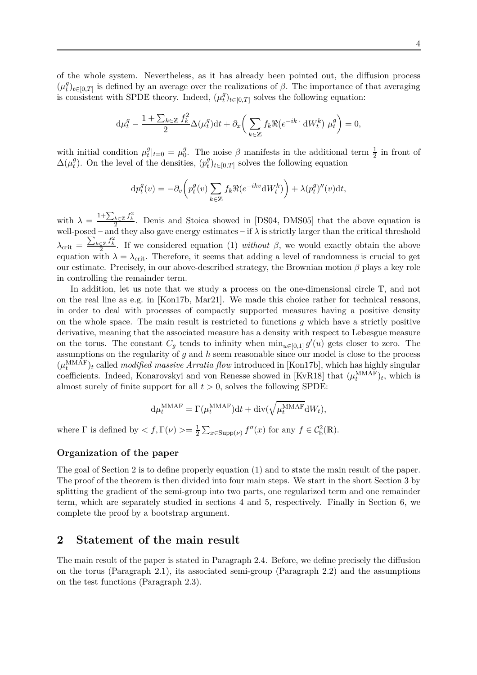of the whole system. Nevertheless, as it has already been pointed out, the diffusion process  $(\mu_t^g)$  $f(t)$ <sub>*t*</sub> $(t)$ </sub> is defined by an average over the realizations of *β*. The importance of that averaging is consistent with SPDE theory. Indeed,  $(\mu_t^g)$  $t^g(t)$ <sub>*t*∈[0,*T*]</sub> solves the following equation:

$$
\mathrm{d}\mu_t^g - \frac{1 + \sum_{k \in \mathbb{Z}} f_k^2}{2} \Delta(\mu_t^g) \mathrm{d}t + \partial_x \bigg( \sum_{k \in \mathbb{Z}} f_k \Re(e^{-ik \cdot} \mathrm{d}W_t^k) \mu_t^g \bigg) = 0,
$$

with initial condition  $\mu_t^g$  $\mu_t^g|_{t=0} = \mu_0^g$ <sup>g</sup>. The noise  $\beta$  manifests in the additional term  $\frac{1}{2}$  in front of  $\Delta(\mu_t^g)$ <sup>*g*</sup>). On the level of the densities,  $(p_t^g)$  $t^g(t)$ <sub>*t*∈[0,*T*]</sub> solves the following equation

$$
\mathrm{d}p_t^g(v) = -\partial_v \left( p_t^g(v) \sum_{k \in \mathbb{Z}} f_k \Re(e^{-ikv} \mathrm{d}W_t^k) \right) + \lambda (p_t^g)''(v) \mathrm{d}t,
$$

with  $\lambda =$  $\frac{1+\sum_{k\in\mathbb{Z}}f_k^2}{2}$ . Denis and Stoica showed in [\[DS04,](#page-44-12) [DMS05\]](#page-44-13) that the above equation is well-posed – and they also gave energy estimates – if  $\lambda$  is strictly larger than the critical threshold  $\lambda_{\rm crit} =$  $\frac{\sum_{k\in\mathbb{Z}}f_k^2}{2}$ . If we considered equation [\(1\)](#page-1-0) *without β*, we would exactly obtain the above equation with  $\lambda = \lambda_{\text{crit}}$ . Therefore, it seems that adding a level of randomness is crucial to get our estimate. Precisely, in our above-described strategy, the Brownian motion *β* plays a key role in controlling the remainder term.

In addition, let us note that we study a process on the one-dimensional circle  $\mathbb{T}$ , and not on the real line as e.g. in [\[Kon17b,](#page-44-0) [Mar21\]](#page-45-3). We made this choice rather for technical reasons, in order to deal with processes of compactly supported measures having a positive density on the whole space. The main result is restricted to functions *g* which have a strictly positive derivative, meaning that the associated measure has a density with respect to Lebesgue measure on the torus. The constant  $C_g$  tends to infinity when  $\min_{u \in [0,1]} g'(u)$  gets closer to zero. The assumptions on the regularity of *g* and *h* seem reasonable since our model is close to the process  $(\mu_t^{\text{MMAF}})_t$  called *modified massive Arratia flow* introduced in [\[Kon17b\]](#page-44-0), which has highly singular coefficients. Indeed, Konarovskyi and von Renesse showed in [\[KvR18\]](#page-45-4) that  $(\mu_t^{\text{MMAF}})_t$ , which is almost surely of finite support for all  $t > 0$ , solves the following SPDE:

$$
\mathrm{d}\mu_t^{\mathrm{MMAF}} = \Gamma(\mu_t^{\mathrm{MMAF}})\mathrm{d}t + \mathrm{div}(\sqrt{\mu_t^{\mathrm{MMAF}}}\mathrm{d}W_t),
$$

where  $\Gamma$  is defined by  $\langle f, \Gamma(\nu) \rangle = \frac{1}{2}$  $\frac{1}{2} \sum_{x \in \text{Supp}(\nu)} f''(x)$  for any  $f \in C_b^2(\mathbb{R})$ .

#### **Organization of the paper**

The goal of Section [2](#page-3-0) is to define properly equation [\(1\)](#page-1-0) and to state the main result of the paper. The proof of the theorem is then divided into four main steps. We start in the short Section [3](#page-8-1) by splitting the gradient of the semi-group into two parts, one regularized term and one remainder term, which are separately studied in sections [4](#page-10-0) and [5,](#page-19-0) respectively. Finally in Section [6,](#page-29-0) we complete the proof by a bootstrap argument.

### <span id="page-3-0"></span>**2 Statement of the main result**

The main result of the paper is stated in Paragraph [2.4.](#page-8-2) Before, we define precisely the diffusion on the torus (Paragraph [2.1\)](#page-4-0), its associated semi-group (Paragraph [2.2\)](#page-6-0) and the assumptions on the test functions (Paragraph [2.3\)](#page-7-1).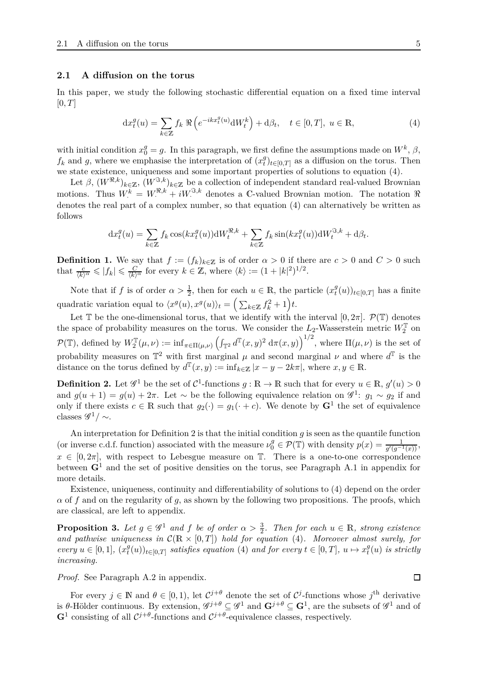#### <span id="page-4-0"></span>**2.1 A diffusion on the torus**

In this paper, we study the following stochastic differential equation on a fixed time interval  $[0, T]$ 

<span id="page-4-1"></span>
$$
\mathrm{d}x_t^g(u) = \sum_{k \in \mathbb{Z}} f_k \, \Re \left( e^{-ikx_t^g(u)} \mathrm{d}W_t^k \right) + \mathrm{d}\beta_t, \quad t \in [0, T], \ u \in \mathbb{R}, \tag{4}
$$

with initial condition  $x_0^g = g$ . In this paragraph, we first define the assumptions made on  $W^k$ ,  $\beta$ ,  $f_k$  and  $g$ , where we emphasise the interpretation of  $(x_t^g)$  $t<sup>g</sup>$ <sub>*t*</sub>)<sub>*t*∈[0,*T*] as a diffusion on the torus. Then</sub> we state existence, uniqueness and some important properties of solutions to equation [\(4\)](#page-4-1).

Let  $\beta$ ,  $(W^{\mathfrak{R},k})_{k\in\mathbb{Z}}$ ,  $(W^{\mathfrak{R},k})_{k\in\mathbb{Z}}$  be a collection of independent standard real-valued Brownian motions. Thus  $W^k = W^{\mathfrak{R},k} + iW^{\mathfrak{R},k}$  denotes a C-valued Brownian motion. The notation  $\mathfrak{R}$ denotes the real part of a complex number, so that equation [\(4\)](#page-4-1) can alternatively be written as follows

$$
dx_t^g(u) = \sum_{k \in \mathbb{Z}} f_k \cos(kx_t^g(u))dW_t^{\mathfrak{R},k} + \sum_{k \in \mathbb{Z}} f_k \sin(kx_t^g(u))dW_t^{\mathfrak{R},k} + d\beta_t.
$$

**Definition 1.** We say that  $f := (f_k)_{k \in \mathbb{Z}}$  is of order  $\alpha > 0$  if there are  $c > 0$  and  $C > 0$  such that  $\frac{c}{\langle k \rangle^{\alpha}} \leqslant |f_k| \leqslant \frac{C}{\langle k \rangle^{\alpha}}$  for every  $k \in \mathbb{Z}$ , where  $\langle k \rangle := (1 + |k|^2)^{1/2}$ .

Note that if *f* is of order  $\alpha > \frac{1}{2}$ , then for each  $u \in \mathbb{R}$ , the particle  $(x_t^g)$  $_{t}^{g}(u)$ <sub>*t*∈[0,*T*] has a finite</sub> quadratic variation equal to  $\langle x^g(u), x^g(u) \rangle_t = \left( \sum_{k \in \mathbb{Z}} f_k^2 + 1 \right) t$ .

Let T be the one-dimensional torus, that we identify with the interval  $[0, 2\pi]$ .  $\mathcal{P}(\mathbb{T})$  denotes the space of probability measures on the torus. We consider the  $L_2$ -Wasserstein metric  $W_2^{\mathbb{T}}$  on  $\mathcal{P}(\mathbb{T})$ , defined by  $W_2^{\mathbb{T}}(\mu,\nu) := \inf_{\pi \in \Pi(\mu,\nu)} \left( \int_{\mathbb{T}^2} d^{\mathbb{T}}(x,y)^2 d\pi(x,y) \right)^{1/2}$ , where  $\Pi(\mu,\nu)$  is the set of probability measures on  $\mathbb{T}^2$  with first marginal  $\mu$  and second marginal  $\nu$  and where  $d^{\mathbb{T}}$  is the distance on the torus defined by  $d^{\mathbb{T}}(x, y) := \inf_{k \in \mathbb{Z}} |x - y - 2k\pi|$ , where  $x, y \in \mathbb{R}$ .

<span id="page-4-2"></span>**Definition 2.** Let  $\mathscr{G}^1$  be the set of  $\mathcal{C}^1$ -functions  $g : \mathbb{R} \to \mathbb{R}$  such that for every  $u \in \mathbb{R}$ ,  $g'(u) > 0$ and  $g(u + 1) = g(u) + 2\pi$ . Let ~ be the following equivalence relation on  $\mathscr{G}^1$ :  $g_1 \sim g_2$  if and only if there exists  $c \in \mathbb{R}$  such that  $g_2(\cdot) = g_1(\cdot + c)$ . We denote by  $G^1$  the set of equivalence classes  $\mathscr{G}^1/\sim$ .

An interpretation for Definition [2](#page-4-2) is that the initial condition *g* is seen as the quantile function (or inverse c.d.f. function) associated with the measure  $\nu_0^g \in \mathcal{P}(\mathbb{T})$  with density  $p(x) = \frac{1}{g'(g^{-1}(x))}$ ,  $x \in [0, 2\pi]$ , with respect to Lebesgue measure on  $\mathbb{T}$ . There is a one-to-one correspondence between **G**<sup>1</sup> and the set of positive densities on the torus, see Paragraph [A.1](#page-32-0) in appendix for more details.

Existence, uniqueness, continuity and differentiability of solutions to [\(4\)](#page-4-1) depend on the order *α* of *f* and on the regularity of *g*, as shown by the following two propositions. The proofs, which are classical, are left to appendix.

<span id="page-4-3"></span>**Proposition 3.** Let  $g \in \mathscr{G}^1$  and  $f$  be of order  $\alpha > \frac{3}{2}$ . Then for each  $u \in \mathbb{R}$ , strong existence and pathwise uniqueness in  $\mathcal{C}(\mathbb{R} \times [0,T])$  hold for equation [\(4\)](#page-4-1). Moreover almost surely, for *every*  $u \in [0, 1]$ *,*  $(x_t^g)$  $(x_t^g(u))_{t\in[0,T]}$  *satisfies equation* [\(4\)](#page-4-1) *and for every*  $t \in [0,T]$ *,*  $u \mapsto x_t^g$ *t* (*u*) *is strictly increasing.*

*Proof.* See Paragraph [A.2](#page-32-1) in appendix.

For every  $j \in \mathbb{N}$  and  $\theta \in [0, 1)$ , let  $C^{j+\theta}$  denote the set of  $C^j$ -functions whose  $j^{\text{th}}$  derivative is  $\theta$ -Hölder continuous. By extension,  $\mathscr{G}^{j+\theta} \subseteq \mathscr{G}^1$  and  $\mathbf{G}^{j+\theta} \subseteq \mathbf{G}^1$ , are the subsets of  $\mathscr{G}^1$  and of  $G^1$  consisting of all  $C^{j+\theta}$ -functions and  $C^{j+\theta}$ -equivalence classes, respectively.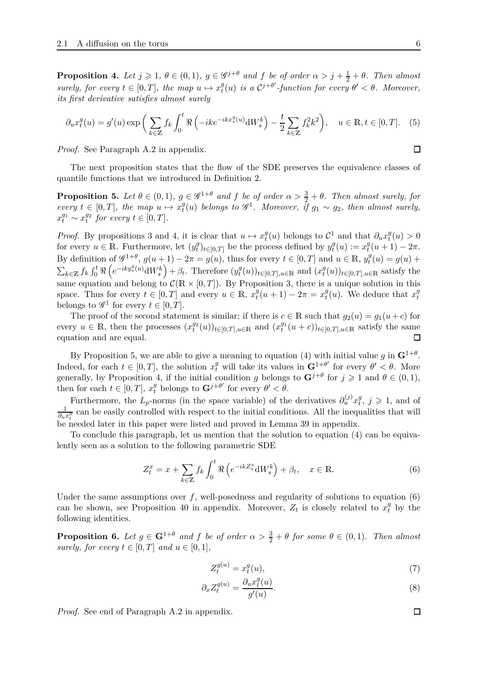<span id="page-5-0"></span>**Proposition 4.** Let  $j \geqslant 1$ ,  $\theta \in (0,1)$ ,  $g \in \mathscr{G}^{j+\theta}$  and  $f$  be of order  $\alpha > j + \frac{1}{2} + \theta$ . Then almost *surely, for every*  $t \in [0, T]$ *, the map*  $u \mapsto x_t^g$  $f_t^g(u)$  *is a*  $C^{j+\theta'}$ -function for every  $\theta' < \theta$ . Moreover, *its first derivative satisfies almost surely*

$$
\partial_u x_t^g(u) = g'(u) \exp\left(\sum_{k \in \mathbb{Z}} f_k \int_0^t \Re\left(-ike^{-ikx_s^g(u)} \mathrm{d}W_s^k\right) - \frac{t}{2} \sum_{k \in \mathbb{Z}} f_k^2 k^2\right), \quad u \in \mathbb{R}, t \in [0, T]. \tag{5}
$$

*Proof.* See Paragraph [A.2](#page-32-1) in appendix.

The next proposition states that the flow of the SDE preserves the equivalence classes of quantile functions that we introduced in Definition [2.](#page-4-2)

<span id="page-5-1"></span>**Proposition 5.** Let  $\theta \in (0,1)$ ,  $g \in \mathscr{G}^{1+\theta}$  and  $f$  be of order  $\alpha > \frac{3}{2} + \theta$ . Then almost surely, for  $every \t t \in [0, T], \t the \mapsto x_t^g$  $f_t^g(u)$  *belongs to*  $\mathscr{G}^1$ *. Moreover, if*  $g_1 \sim g_2$ *, then almost surely,*  $x_t^{g_1} \sim x_t^{g_2}$  *for every*  $t \in [0, T]$ *.* 

*Proof.* By propositions [3](#page-4-3) and [4,](#page-5-0) it is clear that  $u \mapsto x_t^g$ *t*<sup>*g*</sup>(*u*) belongs to  $\mathcal{C}^1$  and that  $\partial_u x_t^g$  $\frac{g}{t}(u) > 0$ for every  $u \in \mathbb{R}$ . Furthermore, let  $(y_t^g)$ *g*<sub>*t*</sub>
<sub>*t*</sub><sub>*t*∈[0,*T*] be the process defined by  $y_t^g$ </sub>  $x_t^g(u) := x_t^g$  $t$ <sup>*y*</sup> $(u+1) - 2\pi$ . By definition of  $\mathscr{G}^{1+\theta}$ ,  $g(u+1) - 2\pi = g(u)$ , thus for every  $t \in [0, T]$  and  $u \in \mathbb{R}$ ,  $y_t^{\theta}$  $f_t^g(u) = g(u) +$  $\sum_{k\in\mathbb{Z}}f_k\int_0^t\Re$  $\left(e^{-iky_s^g(u)} \mathrm{d}W_s^k\right)$  $+ \beta_t$ . Therefore  $(y_t^g)$  $(x_t^g(u))_{t\in[0,T],u\in\mathbb{R}}$  and  $(x_t^g)$  $_{t}^{g}(u)$ <sub>*t*∈[0*,T*]*,u*∈R satisfy the</sub> same equation and belong to  $\mathcal{C}(\mathbb{R} \times [0,T])$ . By Proposition [3,](#page-4-3) there is a unique solution in this space. Thus for every  $t \in [0, T]$  and every  $u \in \mathbb{R}$ ,  $x_t^g$  $f_t^g(u+1) - 2\pi = x_t^g$  $f_t^g(u)$ . We deduce that  $x_t^g$ *t* belongs to  $\mathscr{G}^1$  for every  $t \in [0, T]$ .

The proof of the second statement is similar; if there is  $c \in \mathbb{R}$  such that  $g_2(u) = g_1(u+c)$  for every  $u \in \mathbb{R}$ , then the processes  $(x_t^{g_2}(u))_{t \in [0,T], u \in \mathbb{R}}$  and  $(x_t^{g_1}(u+c))_{t \in [0,T], u \in \mathbb{R}}$  satisfy the same equation and are equal.

By Proposition [5,](#page-5-1) we are able to give a meaning to equation [\(4\)](#page-4-1) with initial value  $g$  in  $\mathbf{G}^{1+\theta}$ . Indeed, for each  $t \in [0, T]$ , the solution  $x_t^g$  will take its values in  $\mathbf{G}^{1+\theta'}$  for every  $\theta' < \theta$ . More generally, by Proposition [4,](#page-5-0) if the initial condition *g* belongs to  $G^{j+\theta}$  for  $j \geq 1$  and  $\theta \in (0,1)$ , then for each  $t \in [0, T]$ ,  $x_t^g$  belongs to  $\mathbf{G}^{j+\theta'}$  for every  $\theta' < \theta$ .

Furthermore, the  $L_p$ -norms (in the space variable) of the derivatives  $\partial_u^{(j)} x_t^g$  $t^g$ ,  $j \geqslant 1$ , and of 1  $\frac{1}{\partial u} x_i^g$  can be easily controlled with respect to the initial conditions. All the inequalities that will be needed later in this paper were listed and proved in Lemma [39](#page-33-0) in appendix.

To conclude this paragraph, let us mention that the solution to equation [\(4\)](#page-4-1) can be equivalently seen as a solution to the following parametric SDE

$$
Z_t^x = x + \sum_{k \in \mathbb{Z}} f_k \int_0^t \Re \left( e^{-ikZ_s^x} dW_s^k \right) + \beta_t, \quad x \in \mathbb{R}.
$$
 (6)

Under the same assumptions over  $f$ , well-posedness and regularity of solutions to equation [\(6\)](#page-5-2) can be shown, see Proposition [40](#page-35-0) in appendix. Moreover,  $Z_t$  is closely related to  $x_t^g$  by the following identities.

<span id="page-5-3"></span>**Proposition 6.** Let  $g \in \mathbf{G}^{1+\theta}$  and  $f$  be of order  $\alpha > \frac{3}{2} + \theta$  for some  $\theta \in (0,1)$ *. Then almost surely, for every*  $t \in [0, T]$  *and*  $u \in [0, 1]$ *,* 

<span id="page-5-5"></span><span id="page-5-4"></span><span id="page-5-2"></span>
$$
Z_t^{g(u)} = x_t^g(u),\tag{7}
$$

$$
\partial_x Z_t^{g(u)} = \frac{\partial_u x_t^g(u)}{g'(u)}.\tag{8}
$$

*Proof.* See end of Paragraph [A.2](#page-32-1) in appendix.

<span id="page-5-6"></span> $\Box$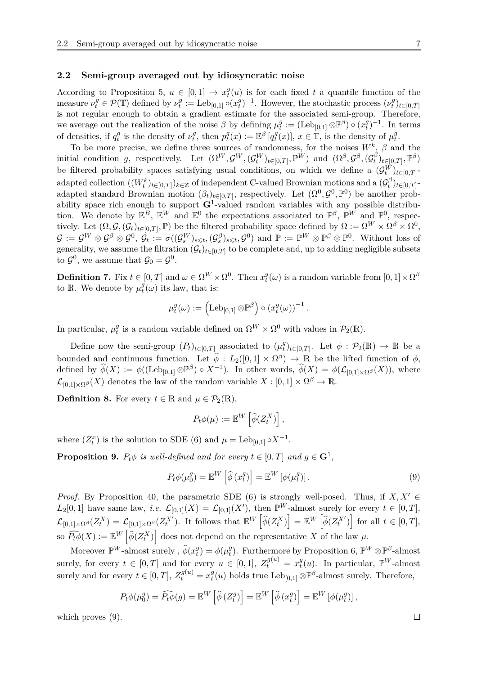#### <span id="page-6-0"></span>**2.2 Semi-group averaged out by idiosyncratic noise**

According to Proposition [5,](#page-5-1)  $u \in [0,1] \mapsto x_t^g$  $t_t^g(u)$  is for each fixed *t* a quantile function of the measure  $\nu_t^g \in \mathcal{P}(\mathbb{T})$  defined by  $\nu_t^g$  $\mathbf{f}_t^g := \operatorname{Leb}_{[0,1]} \circ (x_t^g)$  $(t_t^{g})^{-1}$ . However, the stochastic process  $(\nu_t^g)$  $\binom{g}{t}$ *t*∈[0*,T*] is not regular enough to obtain a gradient estimate for the associated semi-group. Therefore, we average out the realization of the noise  $\beta$  by defining  $\mu_t^g$  $g_t^g := (\text{Leb}_{[0,1]}\otimes \mathbb{P}^\beta) \circ (x_t^g)$  $t^{g}_{t}$ <sup>-1</sup>. In terms of densities, if  $q_t^g$  $t^g$  is the density of  $\nu_t^g$  $t^g$ , then  $p_t^g$  $\mathcal{L}^g_t(x) := \mathbb{E}^{\beta} [q_t^g]$  $\mathcal{L}^{g}(x)$ ,  $x \in \mathbb{T}$ , is the density of  $\mu_t^g$ *t* .

To be more precise, we define three sources of randomness, for the noises *W<sup>k</sup>* , *β* and the initial condition *g*, respectively. Let  $(\Omega^W, \mathcal{G}^W, (\mathcal{G}_t^W)_{t \in [0,T]}, \mathbb{P}^W)$  and  $(\Omega^{\beta}, \mathcal{G}^{\beta}, (\mathcal{G}_t^{\beta}))$  $\binom{\beta}{t}$ <sub> $t \in [0,T]$ </sub>,  $\mathbb{P}^{\beta}$ ) be filtered probability spaces satisfying usual conditions, on which we define a  $(\mathcal{G}_t^W)_{t \in [0,T]}$ adapted collection  $((W_t^k)_{t \in [0,T]})_{k \in \mathbb{Z}}$  of independent C-valued Brownian motions and a  $(G_t^{\beta})$  $t^{(p)}$ *t*∈[0*,T*]<sup>-</sup> adapted standard Brownian motion  $(\beta_t)_{t\in[0,T]}$ , respectively. Let  $(\Omega^0, \mathcal{G}^0, \mathbb{P}^0)$  be another probability space rich enough to support **G**<sup>1</sup> -valued random variables with any possible distribution. We denote by  $\mathbb{E}^B$ ,  $\mathbb{E}^W$  and  $\mathbb{E}^0$  the expectations associated to  $\mathbb{P}^{\beta}$ ,  $\mathbb{P}^W$  and  $\mathbb{P}^0$ , respectively. Let  $(\Omega, \mathcal{G}, (\mathcal{G}_t)_{t \in [0,T]}, \mathbb{P})$  be the filtered probability space defined by  $\Omega := \Omega^W \times \Omega^{\beta} \times \Omega^0$ ,  $\mathcal{G} := \mathcal{G}^W \otimes \mathcal{G}^{\beta} \otimes \mathcal{G}^0, \ \mathcal{G}_t := \sigma((\mathcal{G}_s^W)_{s \leqslant t}, (\mathcal{G}_s^{\beta})_{s \leqslant t}, \mathcal{G}^0) \text{ and } \mathbb{P} := \mathbb{P}^W \otimes \mathbb{P}^{\beta} \otimes \mathbb{P}^0. \ \text{ Without loss of}$ generality, we assume the filtration  $(G_t)_{t \in [0,T]}$  to be complete and, up to adding negligible subsets to  $\mathcal{G}^0$ , we assume that  $\mathcal{G}_0 = \mathcal{G}^0$ .

<span id="page-6-2"></span>**Definition 7.** Fix  $t \in [0, T]$  and  $\omega \in \Omega^W \times \Omega^0$ . Then  $x_t^g$  $t^g(\omega)$  is a random variable from  $[0, 1] \times \Omega^{\beta}$ to R. We denote by  $\mu_t^g$  $t^{g}(\omega)$  its law, that is:

$$
\mu_t^g(\omega) := \left( \mathrm{Leb}_{[0,1]} \otimes \mathbb{P}^\beta \right) \circ \left( x_t^g(\omega) \right)^{-1}.
$$

In particular,  $\mu_t^g$ <sup>g</sup> is a random variable defined on  $\Omega^W \times \Omega^0$  with values in  $\mathcal{P}_2(\mathbb{R})$ .

Define now the semi-group  $(P_t)_{t \in [0,T]}$  associated to  $(\mu_t^g)$  $t^g_t)_{t \in [0,T]}$ . Let  $\phi : \mathcal{P}_2(\mathbb{R}) \to \mathbb{R}$  be a bounded and continuous function. Let  $\hat{\phi}$ :  $L_2([0,1] \times \Omega^{\beta}) \to \mathbb{R}$  be the lifted function of  $\phi$ , defined by  $\widehat{\phi}(X) := \phi((\text{Leb}_{[0,1]}\otimes \mathbb{P}^{\beta}) \circ X^{-1})$ . In other words,  $\widehat{\phi}(X) = \phi(\mathcal{L}_{[0,1]\times \Omega^{\beta}}(X))$ , where  $\mathcal{L}_{[0,1]\times\Omega^{\beta}}(X)$  denotes the law of the random variable  $X:[0,1]\times\Omega^{\beta}\to\mathbb{R}$ .

<span id="page-6-3"></span>**Definition 8.** For every  $t \in \mathbb{R}$  and  $\mu \in \mathcal{P}_2(\mathbb{R})$ ,

<span id="page-6-1"></span>
$$
P_t\phi(\mu) := \mathbb{E}^W\left[\widehat{\phi}(Z_t^X)\right],
$$

where  $(Z_t^x)$  is the solution to SDE [\(6\)](#page-5-2) and  $\mu = \text{Leb}_{[0,1]} \circ X^{-1}$ .

**Proposition 9.**  $P_t \phi$  *is well-defined and for every*  $t \in [0, T]$  *and*  $g \in \mathbf{G}^1$ ,

$$
P_t \phi(\mu_0^g) = \mathbb{E}^W \left[ \widehat{\phi} \left( x_t^g \right) \right] = \mathbb{E}^W \left[ \phi(\mu_t^g) \right]. \tag{9}
$$

*Proof.* By Proposition [40,](#page-35-0) the parametric SDE [\(6\)](#page-5-2) is strongly well-posed. Thus, if  $X, X' \in$  $L_2[0,1]$  have same law, *i.e.*  $\mathcal{L}_{[0,1]}(X) = \mathcal{L}_{[0,1]}(X')$ , then  $\mathbb{P}^W$ -almost surely for every  $t \in [0,T]$ ,  $\mathcal{L}_{[0,1]\times\Omega^{\beta}}(Z_t^X) = \mathcal{L}_{[0,1]\times\Omega^{\beta}}(Z_t^{X^{\prime}}).$  It follows that  $\mathbb{E}^W\left[\widehat{\phi}(Z_t^X)\right] = \mathbb{E}^W\left[\widehat{\phi}(Z_t^{X^{\prime}})\right]$  for all  $t \in [0,T],$ so  $\widehat{P_t\phi}(X) := \mathbb{E}^W\left[\widehat{\phi}(Z_t^X)\right]$  does not depend on the representative X of the law  $\mu$ .

Moreover  $\mathbb{P}^W$ -almost surely ,  $\widehat{\phi}(x_t^g)$  $\phi_t^g$ ) =  $\phi(\mu_t^g)$ <sup>*g*</sup>). Furthermore by Proposition [6,](#page-5-3)  $\mathbb{P}^W \otimes \mathbb{P}^{\beta}$ -almost surely, for every  $t \in [0, T]$  and for every  $u \in [0, 1]$ ,  $Z_t^{g(u)} = x_t^g$  $_t^g(u)$ . In particular,  $\mathbb{P}^W$ -almost surely and for every  $t \in [0, T]$ ,  $Z_t^{g(u)} = x_t^g$  $f_t^g(u)$  holds true Leb<sub>[0,1]</sub>  $\otimes \mathbb{P}^{\beta}$ -almost surely. Therefore,

$$
P_t \phi(\mu_0^g) = \widehat{P_t \phi}(g) = \mathbb{E}^W \left[ \widehat{\phi} \left( Z_t^g \right) \right] = \mathbb{E}^W \left[ \widehat{\phi} \left( x_t^g \right) \right] = \mathbb{E}^W \left[ \phi(\mu_t^g) \right],
$$

which proves  $(9)$ .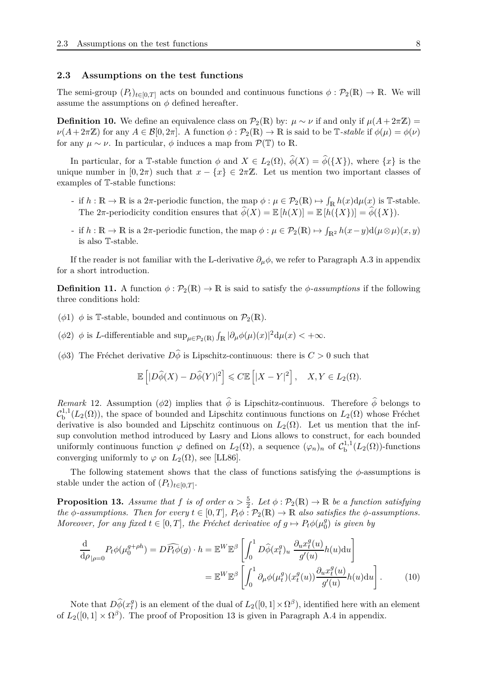#### <span id="page-7-1"></span>**2.3 Assumptions on the test functions**

The semi-group  $(P_t)_{t\in[0,T]}$  acts on bounded and continuous functions  $\phi: \mathcal{P}_2(\mathbb{R}) \to \mathbb{R}$ . We will assume the assumptions on  $\phi$  defined hereafter.

<span id="page-7-4"></span>**Definition 10.** We define an equivalence class on  $\mathcal{P}_2(\mathbb{R})$  by:  $\mu \sim \nu$  if and only if  $\mu(A + 2\pi\mathbb{Z}) =$  $\nu(A + 2\pi\mathbb{Z})$  for any  $A \in \mathcal{B}[0, 2\pi]$ . A function  $\phi : \mathcal{P}_2(\mathbb{R}) \to \mathbb{R}$  is said to be  $\mathbb{T}$ -stable if  $\phi(\mu) = \phi(\nu)$ for any  $\mu \sim \nu$ . In particular,  $\phi$  induces a map from  $\mathcal{P}(\mathbb{T})$  to R.

In particular, for a T-stable function  $\phi$  and  $X \in L_2(\Omega)$ ,  $\hat{\phi}(X) = \hat{\phi}(\{X\})$ , where  $\{x\}$  is the unique number in  $[0, 2\pi)$  such that  $x - \{x\} \in 2\pi\mathbb{Z}$ . Let us mention two important classes of examples of T-stable functions:

- if  $h : \mathbb{R} \to \mathbb{R}$  is a 2 $\pi$ -periodic function, the map  $\phi : \mu \in \mathcal{P}_2(\mathbb{R}) \mapsto \int_{\mathbb{R}} h(x) d\mu(x)$  is T-stable. The  $2\pi$ -periodicity condition ensures that  $\widehat{\phi}(X) = \mathbb{E}[h(X)] = \mathbb{E}[h(\lbrace X \rbrace)] = \widehat{\phi}(\lbrace X \rbrace).$
- $\mathcal{F}$  if  $h: \mathbb{R} \to \mathbb{R}$  is a 2 $\pi$ -periodic function, the map  $\phi: \mu \in \mathcal{P}_2(\mathbb{R}) \mapsto \int_{\mathbb{R}^2} h(x y) d(\mu \otimes \mu)(x, y)$ is also T-stable.

If the reader is not familiar with the L-derivative  $\partial_{\mu}\phi$ , we refer to Paragraph [A.3](#page-36-0) in appendix for a short introduction.

<span id="page-7-0"></span>**Definition 11.** A function  $\phi : \mathcal{P}_2(\mathbb{R}) \to \mathbb{R}$  is said to satisfy the  $\phi$ *-assumptions* if the following three conditions hold:

- ( $\phi$ 1)  $\phi$  is T-stable, bounded and continuous on  $\mathcal{P}_2(\mathbb{R})$ .
- ( $\phi$ 2)  $\phi$  is *L*-differentiable and  $\sup_{\mu \in \mathcal{P}_2(\mathbb{R})} \int_{\mathbb{R}} |\partial_{\mu} \phi(\mu)(x)|^2 d\mu(x) < +\infty$ .
- ( $\phi$ 3) The Fréchet derivative  $D\hat{\phi}$  is Lipschitz-continuous: there is  $C > 0$  such that

$$
\mathbb{E}\left[|D\widehat{\phi}(X) - D\widehat{\phi}(Y)|^2\right] \leqslant C \mathbb{E}\left[|X - Y|^2\right], \quad X, Y \in L_2(\Omega).
$$

<span id="page-7-5"></span>*Remark* 12. Assumption ( $\phi$ 2) implies that  $\hat{\phi}$  is Lipschitz-continuous. Therefore  $\hat{\phi}$  belongs to  $\mathcal{C}_{\mathrm{b}}^{1,1}$  $L_{\rm b}^{1,1}(L_2(\Omega))$ , the space of bounded and Lipschitz continuous functions on  $L_2(\Omega)$  whose Fréchet derivative is also bounded and Lipschitz continuous on  $L_2(\Omega)$ . Let us mention that the infsup convolution method introduced by Lasry and Lions allows to construct, for each bounded uniformly continuous function  $\varphi$  defined on  $L_2(\Omega)$ , a sequence  $(\varphi_n)_n$  of  $C^{1,1}_b$  $b^{1,1}(L_2(\Omega))$ -functions converging uniformly to  $\varphi$  on  $L_2(\Omega)$ , see [\[LL86\]](#page-45-10).

The following statement shows that the class of functions satisfying the *φ*-assumptions is stable under the action of  $(P_t)_{t \in [0,T]}$ .

<span id="page-7-2"></span>**Proposition 13.** *Assume that f is of order*  $\alpha > \frac{5}{2}$ *. Let*  $\phi : \mathcal{P}_2(\mathbb{R}) \to \mathbb{R}$  *be a function satisfying the*  $\phi$ -assumptions. Then for every  $t \in [0, T]$ ,  $P_t \phi : \mathcal{P}_2(\mathbb{R}) \to \mathbb{R}$  also satisfies the  $\phi$ -assumptions. *Moreover, for any fixed*  $t \in [0, T]$ *, the Fréchet derivative of*  $g \mapsto P_t \phi(\mu_0^g)$  $\left(\begin{smallmatrix} g\ 0 \end{smallmatrix}\right)$  *is given by* 

<span id="page-7-3"></span>
$$
\frac{\mathrm{d}}{\mathrm{d}\rho}_{|\rho=0} P_t \phi(\mu_0^{g+\rho h}) = D \widehat{P_t \phi}(g) \cdot h = \mathbb{E}^W \mathbb{E}^{\beta} \left[ \int_0^1 D \widehat{\phi}(x_t^g)_u \frac{\partial_u x_t^g(u)}{g'(u)} h(u) \mathrm{d}u \right]
$$

$$
= \mathbb{E}^W \mathbb{E}^{\beta} \left[ \int_0^1 \partial_\mu \phi(\mu_t^g)(x_t^g(u)) \frac{\partial_u x_t^g(u)}{g'(u)} h(u) \mathrm{d}u \right]. \tag{10}
$$

Note that  $D\widehat{\phi}(x_t^g)$  $_t^g$ ) is an element of the dual of  $L_2([0,1] \times \Omega^{\beta})$ , identified here with an element of  $L_2([0,1] \times \Omega^{\beta})$ . The proof of Proposition [13](#page-7-2) is given in Paragraph [A.4](#page-37-0) in appendix.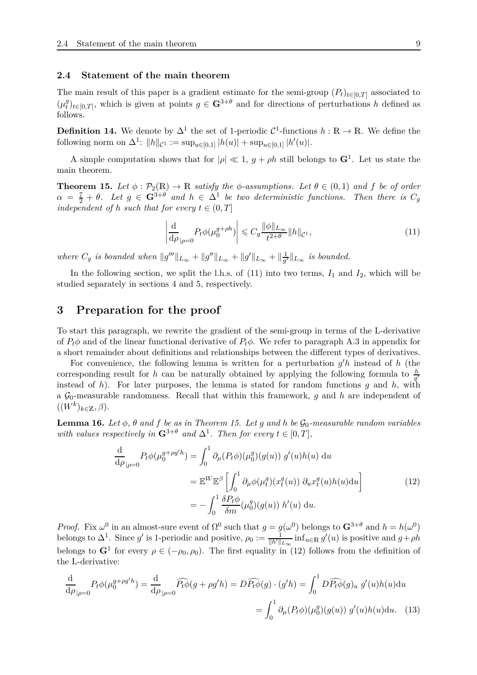#### <span id="page-8-2"></span>**2.4 Statement of the main theorem**

The main result of this paper is a gradient estimate for the semi-group  $(P_t)_{t \in [0,T]}$  associated to  $(\mu_t^g)$  $f(t)$ <sub>*t*</sub> $(t)$ <sub>*t*</sub> $(t)$ <sub>*z*</sub> $(t)$ , which is given at points *g* ∈ **G**<sup>3+*θ*</sup> and for directions of perturbations *h* defined as follows.

**Definition 14.** We denote by  $\Delta^1$  the set of 1-periodic  $\mathcal{C}^1$ -functions  $h : \mathbb{R} \to \mathbb{R}$ . We define the following norm on  $\Delta^1$ :  $||h||_{\mathcal{C}^1} := \sup_{u \in [0,1]} |h(u)| + \sup_{u \in [0,1]} |h'(u)|$ .

A simple computation shows that for  $|\rho| \ll 1$ ,  $g + \rho h$  still belongs to  $\mathbf{G}^1$ . Let us state the main theorem.

<span id="page-8-0"></span>**Theorem 15.** Let  $\phi$ :  $\mathcal{P}_2(\mathbb{R}) \to \mathbb{R}$  *satisfy the*  $\phi$ -assumptions. Let  $\theta \in (0,1)$  and f be of order  $\alpha = \frac{7}{2} + \theta$ . Let  $g \in \mathbf{G}^{3+\theta}$  and  $h \in \Delta^1$  be two deterministic functions. Then there is  $C_g$ *independent of h such that for every*  $t \in (0, T]$ 

<span id="page-8-3"></span>
$$
\left| \frac{\mathrm{d}}{\mathrm{d}\rho} \right|_{\rho=0} P_t \phi(\mu_0^{g+\rho h}) \right| \leqslant C_g \frac{\|\phi\|_{L_\infty}}{t^{2+\theta}} \|h\|_{\mathcal{C}^1},\tag{11}
$$

*where*  $C_g$  *is bounded when*  $||g'''||_{L_{\infty}} + ||g''||_{L_{\infty}} + ||g'||_{L_{\infty}} + ||\frac{1}{g'}||_{L_{\infty}}$  $\frac{1}{g'}\Vert_{L_{\infty}}$  *is bounded.* 

In the following section, we split the l.h.s. of  $(11)$  into two terms,  $I_1$  and  $I_2$ , which will be studied separately in sections [4](#page-10-0) and [5,](#page-19-0) respectively.

### <span id="page-8-1"></span>**3 Preparation for the proof**

To start this paragraph, we rewrite the gradient of the semi-group in terms of the L-derivative of  $P_t\phi$  and of the linear functional derivative of  $P_t\phi$ . We refer to paragraph [A.3](#page-36-0) in appendix for a short remainder about definitions and relationships between the different types of derivatives.

For convenience, the following lemma is written for a perturbation  $g'h$  instead of h (the corresponding result for *h* can be naturally obtained by applying the following formula to  $\frac{h}{g'}$ instead of *h*). For later purposes, the lemma is stated for random functions *g* and *h*, with a  $\mathcal{G}_0$ -measurable randomness. Recall that within this framework, *g* and *h* are independent of  $((W^k)_{k\in\mathbb{Z}}, \beta).$ 

<span id="page-8-5"></span>**Lemma 16.** *Let*  $\phi$ ,  $\theta$  *and*  $f$  *be as in Theorem [15.](#page-8-0) Let g and h be*  $\mathcal{G}_0$ *-measurable random variables with values respectively in*  $\mathbf{G}^{3+\theta}$  *and*  $\Delta^1$ *. Then for every*  $t \in [0, T]$ *,* 

<span id="page-8-4"></span>
$$
\frac{\mathrm{d}}{\mathrm{d}\rho}_{|\rho=0} P_t \phi(\mu_0^{g+\rho g'h}) = \int_0^1 \partial_\mu (P_t \phi)(\mu_0^g)(g(u)) g'(u)h(u) \, \mathrm{d}u
$$
\n
$$
= \mathbb{E}^W \mathbb{E}^\beta \left[ \int_0^1 \partial_\mu \phi(\mu_t^g)(x_t^g(u)) \partial_u x_t^g(u)h(u) \mathrm{d}u \right]
$$
\n
$$
= -\int_0^1 \frac{\delta P_t \phi}{\delta m}(\mu_0^g)(g(u)) h'(u) \, \mathrm{d}u.
$$
\n(12)

*Proof.* Fix  $\omega^0$  in an almost-sure event of  $\Omega^0$  such that  $g = g(\omega^0)$  belongs to  $\mathbf{G}^{3+\theta}$  and  $h = h(\omega^0)$ belongs to  $\Delta^1$ . Since *g*' is 1-periodic and positive,  $\rho_0 := \frac{1}{\|h'\|_{L_\infty}} \inf_{u \in \mathbb{R}} g'(u)$  is positive and  $g + \rho h$ belongs to  $G^1$  for every  $\rho \in (-\rho_0, \rho_0)$ . The first equality in [\(12\)](#page-8-4) follows from the definition of the L-derivative:

$$
\frac{\mathrm{d}}{\mathrm{d}\rho}_{|\rho=0} P_t \phi(\mu_0^{g+\rho g'h}) = \frac{\mathrm{d}}{\mathrm{d}\rho}_{|\rho=0} \widehat{P_t \phi}(g + \rho g'h) = D\widehat{P_t \phi}(g) \cdot (g'h) = \int_0^1 D\widehat{P_t \phi}(g)_u \ g'(u)h(u) \mathrm{d}u
$$

$$
= \int_0^1 \partial_\mu (P_t \phi)(\mu_0^g)(g(u)) \ g'(u)h(u) \mathrm{d}u. \tag{13}
$$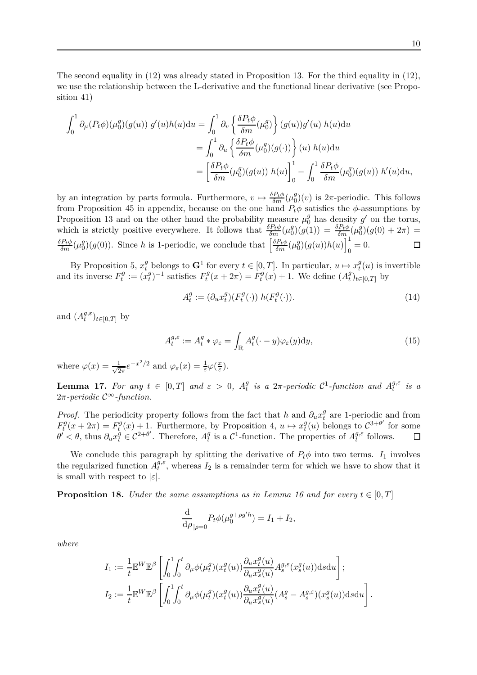The second equality in [\(12\)](#page-8-4) was already stated in Proposition [13.](#page-7-2) For the third equality in [\(12\)](#page-8-4), we use the relationship between the L-derivative and the functional linear derivative (see Proposition [41\)](#page-37-1)

$$
\int_0^1 \partial_\mu (P_t \phi)(\mu_0^g)(g(u)) g'(u)h(u) \mathrm{d}u = \int_0^1 \partial_v \left\{ \frac{\delta P_t \phi}{\delta m}(\mu_0^g) \right\} (g(u)) g'(u) h(u) \mathrm{d}u
$$
  

$$
= \int_0^1 \partial_u \left\{ \frac{\delta P_t \phi}{\delta m}(\mu_0^g)(g(\cdot)) \right\} (u) h(u) \mathrm{d}u
$$
  

$$
= \left[ \frac{\delta P_t \phi}{\delta m}(\mu_0^g)(g(u)) h(u) \right]_0^1 - \int_0^1 \frac{\delta P_t \phi}{\delta m}(\mu_0^g)(g(u)) h'(u) \mathrm{d}u,
$$

by an integration by parts formula. Furthermore,  $v \mapsto \frac{\delta P_t \phi}{\delta m} (\mu_0^g)$  $\binom{g}{0}(v)$  is  $2\pi$ -periodic. This follows from Proposition [45](#page-39-0) in appendix, because on the one hand  $P_t\phi$  satisfies the  $\phi$ -assumptions by Proposition [13](#page-7-2) and on the other hand the probability measure  $\mu_0^g$  has density  $g'$  on the torus, which is strictly positive everywhere. It follows that  $\frac{\delta P_t \phi}{\delta m} (\mu_0^g)$  $\binom{g}{0}(g(1)) = \frac{\delta P_t \phi}{\delta m}(\mu_0^g)$  $g_0^g$  $(g(0) + 2\pi) =$  $\binom{g}{0}(g(u))h(u)\Big]_0^1$  $\binom{g}{0}(g(0))$ . Since *h* is 1-periodic, we conclude that  $\left[\frac{\delta P_t \phi}{\delta m}(\mu_0^g)\right]$  $\frac{\delta P_t \phi}{\delta m}(\mu_0^g)$  $_{0} = 0.$ 口

By Proposition [5,](#page-5-1)  $x_t^g$  belongs to  $\mathbf{G}^1$  for every  $t \in [0, T]$ . In particular,  $u \mapsto x_t^g$  $t<sup>y</sup>(u)$  is invertible and its inverse  $F_t^g$  $x_t^g := (x_t^g)$  $F_t^g$ <sup> $(-1)$ </sup> satisfies  $F_t^g$  $F_t^g(x+2\pi) = F_t^g$  $t^{g}(x) + 1$ . We define  $(A_t^g)$  $\int_t^g t e[0,T]$  by

<span id="page-9-1"></span><span id="page-9-0"></span>
$$
A_t^g := (\partial_u x_t^g)(F_t^g(\cdot)) h(F_t^g(\cdot)).
$$
\n<sup>(14)</sup>

and  $(A_t^{g,\varepsilon})$  ${}_{t}^{g,\varepsilon}$ <sub>*t*∈[0,*T*] by</sub>

$$
A_t^{g,\varepsilon} := A_t^g * \varphi_\varepsilon = \int_{\mathbb{R}} A_t^g(\cdot - y) \varphi_\varepsilon(y) \mathrm{d}y,\tag{15}
$$

where  $\varphi(x) = \frac{1}{\sqrt{2}}$  $\frac{1}{2\pi}e^{-x^2/2}$  and  $\varphi_{\varepsilon}(x) = \frac{1}{\varepsilon}\varphi(\frac{x}{\varepsilon})$ *ε* ).

**Lemma 17.** *For any*  $t \in [0, T]$  *and*  $\varepsilon > 0$ *,*  $A_t^g$  $\frac{g}{t}$  is a  $2\pi$ -periodic  $C^1$ -function and  $A_t^{g,\varepsilon}$  $t^{g,\varepsilon}$  *is a* 2*π-periodic* C∞*-function.*

*Proof.* The periodicity property follows from the fact that *h* and  $\partial_u x_i^g$  $t$ <sup>*t*</sup> are 1-periodic and from  $F_t^g$  $F_t^g(x+2\pi) = F_t^g$  $t_t^g(x) + 1$ . Furthermore, by Proposition [4,](#page-5-0)  $u \mapsto x_t^g$  $f_t^g(u)$  belongs to  $C^{3+\theta'}$  for some  $\theta' < \theta$ , thus  $\partial_u x_t^g \in C^{2+\theta'}$ . Therefore,  $A_t^g$ <sup>*g*</sup> is a  $C^1$ -function. The properties of  $A_t^{g,\varepsilon}$  $t^{g,\varepsilon}$  follows.

We conclude this paragraph by splitting the derivative of  $P_t\phi$  into two terms.  $I_1$  involves the regularized function  $A_t^{\bar{g},\varepsilon}$  $t^{g,\varepsilon}$ , whereas  $I_2$  is a remainder term for which we have to show that it is small with respect to  $|\varepsilon|$ .

<span id="page-9-2"></span>**Proposition 18.** *Under the same assumptions as in Lemma* [16](#page-8-5) and for every  $t \in [0, T]$ 

$$
\frac{\mathrm{d}}{\mathrm{d}\rho}_{|\rho=0} P_t \phi(\mu_0^{g+\rho g'h}) = I_1 + I_2,
$$

*where*

$$
I_1 := \frac{1}{t} \mathbb{E}^W \mathbb{E}^{\beta} \left[ \int_0^1 \int_0^t \partial_\mu \phi(\mu_t^g)(x_t^g(u)) \frac{\partial_u x_t^g(u)}{\partial_u x_s^g(u)} A_s^{g,\varepsilon}(x_s^g(u)) \mathrm{d} s \mathrm{d} u \right];
$$
  
\n
$$
I_2 := \frac{1}{t} \mathbb{E}^W \mathbb{E}^{\beta} \left[ \int_0^1 \int_0^t \partial_\mu \phi(\mu_t^g)(x_t^g(u)) \frac{\partial_u x_t^g(u)}{\partial_u x_s^g(u)} (A_s^g - A_s^{g,\varepsilon})(x_s^g(u)) \mathrm{d} s \mathrm{d} u \right].
$$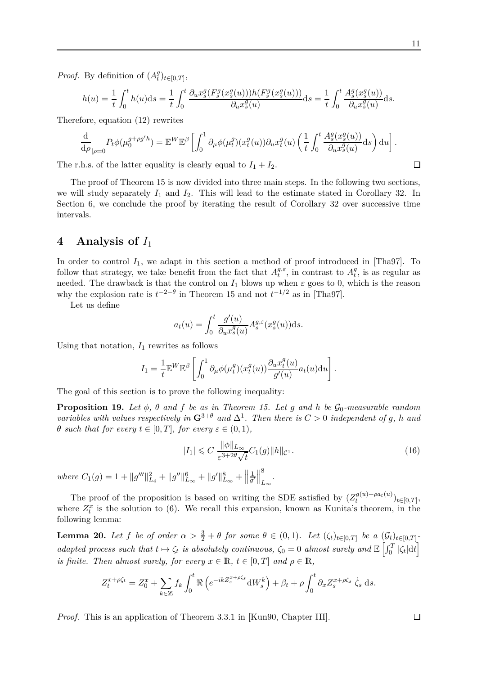$\Box$ 

*Proof.* By definition of  $(A_t^g)$  $_{t}^{g}$ <sub> $(t\in[0,T],$ </sub>

$$
h(u) = \frac{1}{t} \int_0^t h(u) ds = \frac{1}{t} \int_0^t \frac{\partial_u x_s^g(F_s^g(x_s^g(u))) h(F_s^g(x_s^g(u)))}{\partial_u x_s^g(u)} ds = \frac{1}{t} \int_0^t \frac{A_s^g(x_s^g(u))}{\partial_u x_s^g(u)} ds.
$$

Therefore, equation [\(12\)](#page-8-4) rewrites

$$
\frac{\mathrm{d}}{\mathrm{d}\rho}_{|\rho=0} P_t \phi(\mu_0^{g+\rho g'h}) = \mathbb{E}^W \mathbb{E}^{\beta} \left[ \int_0^1 \partial_\mu \phi(\mu_t^g)(x_t^g(u)) \partial_u x_t^g(u) \left( \frac{1}{t} \int_0^t \frac{A_s^g(x_s^g(u))}{\partial_u x_s^g(u)} \mathrm{d}s \right) \mathrm{d}u \right].
$$

The r.h.s. of the latter equality is clearly equal to  $I_1 + I_2$ .

The proof of Theorem [15](#page-8-0) is now divided into three main steps. In the following two sections, we will study separately  $I_1$  and  $I_2$ . This will lead to the estimate stated in Corollary [32.](#page-28-0) In Section [6,](#page-29-0) we conclude the proof by iterating the result of Corollary [32](#page-28-0) over successive time intervals.

### <span id="page-10-0"></span>**4 Analysis of** *I*<sup>1</sup>

In order to control  $I_1$ , we adapt in this section a method of proof introduced in [\[Tha97\]](#page-45-5). To follow that strategy, we take benefit from the fact that  $A_t^{g,\varepsilon}$  $t^{g,\varepsilon}$ , in contrast to  $A_t^g$  $t<sup>g</sup>$ , is as regular as needed. The drawback is that the control on  $I_1$  blows up when  $\varepsilon$  goes to 0, which is the reason why the explosion rate is  $t^{-2-\theta}$  in Theorem [15](#page-8-0) and not  $t^{-1/2}$  as in [\[Tha97\]](#page-45-5).

Let us define

$$
a_t(u) = \int_0^t \frac{g'(u)}{\partial_u x_s^g(u)} A_s^{g,\varepsilon}(x_s^g(u)) \mathrm{d} s.
$$

Using that notation,  $I_1$  rewrites as follows

$$
I_1 = \frac{1}{t} \mathbb{E}^W \mathbb{E}^{\beta} \left[ \int_0^1 \partial_{\mu} \phi(\mu_t^g)(x_t^g(u)) \frac{\partial_u x_t^g(u)}{g'(u)} a_t(u) \mathrm{d}u \right].
$$

The goal of this section is to prove the following inequality:

<span id="page-10-2"></span>**Proposition 19.** Let  $\phi$ ,  $\theta$  and  $f$  be as in Theorem [15.](#page-8-0) Let  $g$  and  $h$  be  $\mathcal{G}_0$ -measurable random *variables with values respectively in*  $\mathbf{G}^{3+\theta}$  *and*  $\Delta^1$ *. Then there is*  $C > 0$  *independent of g, h and θ such that for every*  $t \in [0, T]$ *, for every*  $\varepsilon \in (0, 1)$ *,* 

$$
|I_1| \leqslant C \frac{\|\phi\|_{L_{\infty}}}{\varepsilon^{3+2\theta}\sqrt{t}} C_1(g) \|h\|_{\mathcal{C}^1}.
$$
\n
$$
(16)
$$

 $where C_1(g) = 1 + ||g'''||^2_{L_4} + ||g''||^6_{L_{\infty}} + ||g'||^8_{L_{\infty}} + ||g'''||^2_{L_{\infty}}$ 1  $\frac{1}{g'}$ 8 *L*∞ *.*

The proof of the proposition is based on writing the SDE satisfied by  $(Z_t^{g(u)+\rho a_t(u)})$  $(t^{g(u)+pat(u)})_{t\in[0,T]},$ where  $Z_t^x$  is the solution to [\(6\)](#page-5-2). We recall this expansion, known as Kunita's theorem, in the following lemma:

<span id="page-10-1"></span>**Lemma 20.** Let f be of order  $\alpha > \frac{3}{2} + \theta$  for some  $\theta \in (0,1)$ . Let  $(\zeta_t)_{t \in [0,T]}$  be a  $(\mathcal{G}_t)_{t \in [0,T]}$  $\alpha$  *adapted process such that*  $t \mapsto \zeta_t$  *is absolutely continuous,*  $\zeta_0 = 0$  *almost surely and*  $\mathbb{E}\left[\int_0^T |\zeta_t| dt\right]$ *is finite. Then almost surely, for every*  $x \in \mathbb{R}$ ,  $t \in [0, T]$  *and*  $\rho \in \mathbb{R}$ ,

$$
Z_t^{x+\rho\zeta_t} = Z_0^x + \sum_{k \in \mathbb{Z}} f_k \int_0^t \Re \left( e^{-ikZ_s^{x+\rho\zeta_s}} \mathrm{d}W_s^k \right) + \beta_t + \rho \int_0^t \partial_x Z_s^{x+\rho\zeta_s} \dot{\zeta}_s \, \mathrm{d}s.
$$

*Proof.* This is an application of Theorem 3.3.1 in [\[Kun90,](#page-45-11) Chapter III].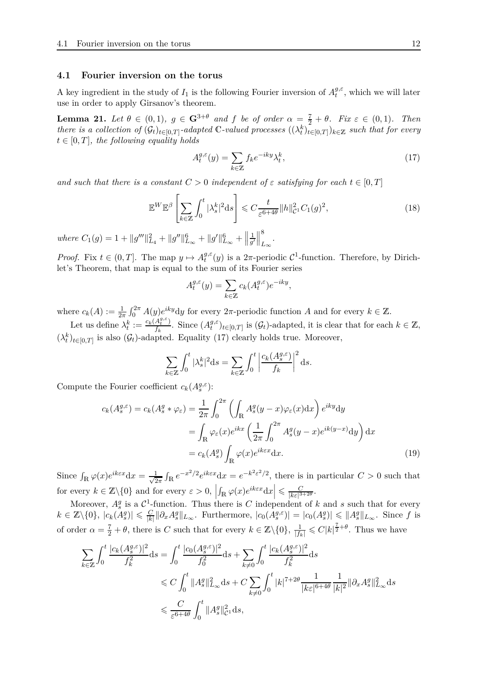#### **4.1 Fourier inversion on the torus**

A key ingredient in the study of  $I_1$  is the following Fourier inversion of  $A_t^{g,\varepsilon}$  $t^{y,\varepsilon}$ , which we will later use in order to apply Girsanov's theorem.

<span id="page-11-0"></span>**Lemma 21.** *Let*  $\theta \in (0,1)$ *,*  $g \in \mathbb{G}^{3+\theta}$  *and*  $f$  *be of order*  $\alpha = \frac{7}{2} + \theta$ *. Fix*  $\varepsilon \in (0,1)$ *. Then there is a collection of*  $(G_t)_{t \in [0,T]}$ -*adapted* C-valued processes  $((\lambda_t^k)_{t \in [0,T]})_{k \in \mathbb{Z}}$  such that for every  $t \in [0, T]$ , the following equality holds

<span id="page-11-2"></span><span id="page-11-1"></span>
$$
A_t^{g,\varepsilon}(y) = \sum_{k \in \mathbb{Z}} f_k e^{-iky} \lambda_t^k,\tag{17}
$$

*and such that there is a constant*  $C > 0$  *independent* of  $\varepsilon$  *satisfying for each*  $t \in [0, T]$ 

$$
\mathbb{E}^W \mathbb{E}^{\beta} \left[ \sum_{k \in \mathbb{Z}} \int_0^t |\lambda_s^k|^2 \, \mathrm{d}s \right] \leqslant C \frac{t}{\varepsilon^{6+4\theta}} \|h\|_{\mathcal{C}^1}^2 C_1(g)^2,\tag{18}
$$

 $where C_1(g) = 1 + ||g'''||^2_{L_4} + ||g''||^6_{L_{\infty}} + ||g'||^6_{L_{\infty}} + ||g'''||^6_{L_{\infty}}$ 1  $\frac{1}{g'}$ 8 *L*∞ *.*

*Proof.* Fix  $t \in (0, T]$ . The map  $y \mapsto A_t^{g, \varepsilon}$  $t^{\mathcal{G},\varepsilon}(y)$  is a 2π-periodic C<sup>1</sup>-function. Therefore, by Dirichlet's Theorem, that map is equal to the sum of its Fourier series

$$
A_t^{g,\varepsilon}(y) = \sum_{k \in \mathbb{Z}} c_k (A_t^{g,\varepsilon}) e^{-iky},
$$

where  $c_k(A) := \frac{1}{2\pi} \int_0^{2\pi} A(y) e^{iky} dy$  for every  $2\pi$ -periodic function *A* and for every  $k \in \mathbb{Z}$ .

Let us define  $\lambda_t^k := \frac{c_k(A_t^{g,\varepsilon})}{f_k}$  $\frac{A_t^{g,\epsilon}}{f_k}$ . Since  $(A_t^{g,\epsilon})$  $g_i^{\sigma,\varepsilon}$ <sub>*t*</sub> $\in$ <sub>*[0,T*]</sub> is  $(G_t)$ -adapted, it is clear that for each  $k \in \mathbb{Z}$ ,  $(\lambda_t^k)_{t \in [0,T]}$  is also  $(\mathcal{G}_t)$ -adapted. Equality [\(17\)](#page-11-1) clearly holds true. Moreover,

$$
\sum_{k \in \mathbb{Z}} \int_0^t |\lambda_s^k|^2 \mathrm{d}s = \sum_{k \in \mathbb{Z}} \int_0^t \left| \frac{c_k(A_s^{g,\varepsilon})}{f_k} \right|^2 \mathrm{d}s.
$$

Compute the Fourier coefficient  $c_k(A_s^{g,\varepsilon})$ :

$$
c_k(A_s^{g,\varepsilon}) = c_k(A_s^g * \varphi_\varepsilon) = \frac{1}{2\pi} \int_0^{2\pi} \left( \int_{\mathbb{R}} A_s^g(y - x) \varphi_\varepsilon(x) dx \right) e^{iky} dy
$$

$$
= \int_{\mathbb{R}} \varphi_\varepsilon(x) e^{ikx} \left( \frac{1}{2\pi} \int_0^{2\pi} A_s^g(y - x) e^{ik(y - x)} dy \right) dx
$$

$$
= c_k(A_s^g) \int_{\mathbb{R}} \varphi(x) e^{ik\varepsilon x} dx.
$$
(19)

Since  $\int_{\mathbb{R}} \varphi(x) e^{ik \varepsilon x} dx = \frac{1}{\sqrt{2}}$  $\frac{1}{2\pi} \int_{\mathbb{R}} e^{-x^2/2} e^{ik\epsilon x} dx = e^{-k^2 \epsilon^2/2}$ , there is in particular  $C > 0$  such that for every  $k \in \mathbb{Z} \backslash \{0\}$  and for every  $\varepsilon > 0$ ,  $\left|\int_{\mathbb{R}} \varphi(x) e^{ik\epsilon x} dx\right| \leqslant \frac{C}{|k\epsilon|^3}$  $\frac{C}{|k\varepsilon|^{3+2\theta}}$ .

Moreover,  $A_s^g$  is a  $C^1$ -function. Thus there is *C* independent of *k* and *s* such that for every  $k \in \mathbb{Z} \backslash \{0\}, |c_k(A_s^g)| \leqslant \frac{C}{|k|}$  $\frac{C}{|k|} ||\partial_x A_s^g||_{L_\infty}$ . Furthermore,  $|c_0(A_s^{g,\varepsilon})| = |c_0(A_s^g)| \leq ||A_s^g||_{L_\infty}$ . Since *f* is of order  $\alpha = \frac{7}{2} + \theta$ , there is *C* such that for every  $k \in \mathbb{Z} \setminus \{0\}$ ,  $\frac{1}{|f_k|} \leqslant C |k|^{\frac{7}{2} + \theta}$ . Thus we have

$$
\sum_{k \in \mathbb{Z}} \int_0^t \frac{|c_k(A_s^{g,\varepsilon})|^2}{f_k^2} ds = \int_0^t \frac{|c_0(A_s^{g,\varepsilon})|^2}{f_0^2} ds + \sum_{k \neq 0} \int_0^t \frac{|c_k(A_s^{g,\varepsilon})|^2}{f_k^2} ds
$$
  
\$\leqslant C \int\_0^t \|A\_s^g\|\_{L\_\infty}^2 ds + C \sum\_{k \neq 0} \int\_0^t |k|^{7+2\theta} \frac{1}{|k\varepsilon|^{6+4\theta}} \frac{1}{|k|^2} \|\partial\_x A\_s^g\|\_{L\_\infty}^2 ds\$  
\$\leqslant \frac{C}{\varepsilon^{6+4\theta}} \int\_0^t \|A\_s^g\|\_{\mathcal{L}^1}^2 ds\$,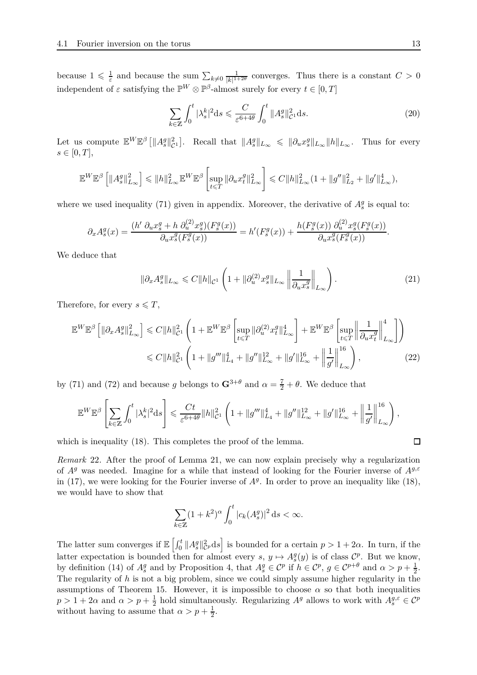because  $1 \leqslant \frac{1}{\varepsilon}$  $\frac{1}{\varepsilon}$  and because the sum  $\sum_{k\neq 0} \frac{1}{|k|^{1-\varepsilon}}$  $\frac{1}{|k|^{1+2\theta}}$  converges. Thus there is a constant  $C > 0$ independent of  $\varepsilon$  satisfying the  $\mathbb{P}^W \otimes \mathbb{P}^{\beta}$ -almost surely for every  $t \in [0, T]$ 

<span id="page-12-1"></span>
$$
\sum_{k \in \mathbb{Z}} \int_0^t |\lambda_s^k|^2 \mathrm{d}s \leqslant \frac{C}{\varepsilon^{6+4\theta}} \int_0^t \|A_s^g\|_{\mathcal{C}^1}^2 \mathrm{d}s. \tag{20}
$$

Let us compute  $\mathbb{E}^{W}\mathbb{E}^{\beta}$  [ $||A_{s}^{g}||_{\mathcal{C}^{1}}^{2}$ ]. Recall that  $||A_{s}^{g}||_{L_{\infty}} \leq ||\partial_{u}x_{s}^{g}||_{L_{\infty}}||h||_{L_{\infty}}$ . Thus for every  $s \in [0, T],$ 

$$
\mathbb{E}^W\mathbb{E}^{\beta}\left[\|A_s^g\|_{L_\infty}^2\right] \leqslant \|h\|_{L_\infty}^2\mathbb{E}^W\mathbb{E}^{\beta}\left[\sup_{t\leqslant T}\|\partial_u x_t^g\|_{L_\infty}^2\right] \leqslant C\|h\|_{L_\infty}^2(1+\|g^{\prime}\|_{L_2}^2+\|g^{\prime}\|_{L_\infty}^4),
$$

where we used inequality [\(71\)](#page-34-0) given in appendix. Moreover, the derivative of  $A_s^g$  is equal to:

$$
\partial_x A_s^g(x) = \frac{(h' \ \partial_u x_s^g + h \ \partial_u^{(2)} x_s^g)(F_s^g(x))}{\partial_u x_s^g(F_s^g(x))} = h'(F_s^g(x)) + \frac{h(F_s^g(x)) \ \partial_u^{(2)} x_s^g(F_s^g(x))}{\partial_u x_s^g(F_s^g(x))}.
$$

We deduce that

<span id="page-12-3"></span><span id="page-12-2"></span>
$$
\|\partial_x A_s^g\|_{L_\infty} \leqslant C \|h\|_{\mathcal{C}^1} \left(1 + \|\partial_u^{(2)} x_s^g\|_{L_\infty} \left\|\frac{1}{\partial_u x_s^g}\right\|_{L_\infty}\right). \tag{21}
$$

Therefore, for every  $s \leq T$ ,

$$
\mathbb{E}^{W} \mathbb{E}^{\beta} \left[ \|\partial_{x} A_{s}^{g}\|_{L_{\infty}}^{2} \right] \leq C \|h\|_{\mathcal{C}^{1}}^{2} \left( 1 + \mathbb{E}^{W} \mathbb{E}^{\beta} \left[ \sup_{t \leq T} \|\partial_{u}^{(2)} x_{t}^{g}\|_{L_{\infty}}^{4} \right] + \mathbb{E}^{W} \mathbb{E}^{\beta} \left[ \sup_{t \leq T} \left\| \frac{1}{\partial_{u} x_{t}^{g}} \right\|_{L_{\infty}}^{4} \right] \right)
$$
  

$$
\leq C \|h\|_{\mathcal{C}^{1}}^{2} \left( 1 + \|g'''\|_{L_{4}}^{4} + \|g''\|_{L_{\infty}}^{12} + \|g'\|_{L_{\infty}}^{16} + \left\| \frac{1}{g'} \right\|_{L_{\infty}}^{16} \right), \tag{22}
$$

by [\(71\)](#page-34-0) and [\(72\)](#page-34-1) and because *g* belongs to  $\mathbf{G}^{3+\theta}$  and  $\alpha = \frac{7}{2} + \theta$ . We deduce that

$$
\mathbb{E}^{W} \mathbb{E}^{\beta} \left[ \sum_{k \in \mathbb{Z}} \int_{0}^{t} |\lambda_{s}^{k}|^{2} \mathrm{d} s \right] \leqslant \frac{C t}{\varepsilon^{6+4 \theta}} \|h\|_{\mathcal{C}^{1}}^{2} \left( 1 + \|g^{\prime \prime}\|_{L_{4}}^{4} + \|g^{\prime \prime}\|_{L_{\infty}}^{12} + \|g^{\prime}\|_{L_{\infty}}^{16} + \left\| \frac{1}{g^{\prime}} \right\|_{L_{\infty}}^{16} \right),
$$

which is inequality  $(18)$ . This completes the proof of the lemma.

<span id="page-12-0"></span>*Remark* 22*.* After the proof of Lemma [21,](#page-11-0) we can now explain precisely why a regularization of *A<sup>g</sup>* was needed. Imagine for a while that instead of looking for the Fourier inverse of *Ag,ε* in [\(17\)](#page-11-1), we were looking for the Fourier inverse of  $A<sup>g</sup>$ . In order to prove an inequality like [\(18\)](#page-11-2), we would have to show that

$$
\sum_{k\in\mathbb{Z}}(1+k^2)^{\alpha}\int_0^t|c_k(A_s^g)|^2\,\mathrm{d} s<\infty.
$$

The latter sum converges if  $\mathbb{E} \left[ \int_0^t \|A_s^g\|_C^2 \right]$  $\left[\frac{2}{C}p\mathrm{d}s\right]$  is bounded for a certain  $p>1+2\alpha$ . In turn, if the latter expectation is bounded then for almost every  $s, y \mapsto A_s^g(y)$  is of class  $\mathcal{C}^p$ . But we know, by definition [\(14\)](#page-9-0) of  $A_s^g$  and by Proposition [4,](#page-5-0) that  $A_s^g \in \mathcal{C}^p$  if  $h \in \mathcal{C}^p$ ,  $g \in \mathcal{C}^{p+\theta}$  and  $\alpha > p + \frac{1}{2}$ . The regularity of *h* is not a big problem, since we could simply assume higher regularity in the assumptions of Theorem [15.](#page-8-0) However, it is impossible to choose  $\alpha$  so that both inequalities  $p > 1 + 2\alpha$  and  $\alpha > p + \frac{1}{2}$  $\frac{1}{2}$  hold simultaneously. Regularizing  $A^g$  allows to work with  $A^{g,\varepsilon}_s \in \mathcal{C}^p$ without having to assume that  $\alpha > p + \frac{1}{2}$  $rac{1}{2}$ .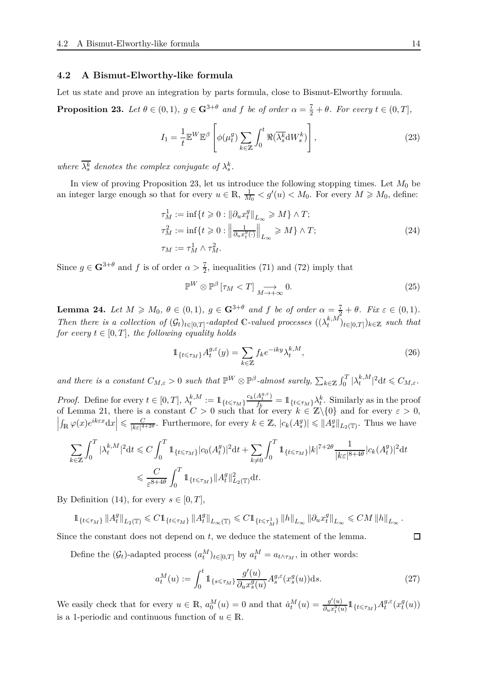#### **4.2 A Bismut-Elworthy-like formula**

Let us state and prove an integration by parts formula, close to Bismut-Elworthy formula.

<span id="page-13-0"></span>**Proposition 23.** *Let*  $\theta \in (0,1)$ *,*  $g \in \mathbf{G}^{3+\theta}$  *and*  $f$  *be of order*  $\alpha = \frac{7}{2} + \theta$ *. For every*  $t \in (0,T]$ *,* 

<span id="page-13-4"></span>
$$
I_1 = \frac{1}{t} \mathbb{E}^W \mathbb{E}^\beta \left[ \phi(\mu_t^g) \sum_{k \in \mathbb{Z}} \int_0^t \Re(\overline{\lambda_s^k} \mathrm{d} W_s^k) \right],\tag{23}
$$

*where*  $\overline{\lambda_s^k}$  *denotes the complex conjugate of*  $\lambda_s^k$ *.* 

In view of proving Proposition [23,](#page-13-0) let us introduce the following stopping times. Let  $M_0$  be an integer large enough so that for every  $u \in \mathbb{R}$ ,  $\frac{1}{M}$  $\frac{1}{M_0}$  <  $g'(u)$  <  $M_0$ . For every  $M \geq M_0$ , define:

$$
\tau_M^1 := \inf\{t \ge 0 : \|\partial_u x_t^g\|_{L_\infty} \ge M\} \wedge T;
$$
  

$$
\tau_M^2 := \inf\{t \ge 0 : \left\|\frac{1}{\partial_u x_t^g(\cdot)}\right\|_{L_\infty} \ge M\} \wedge T;
$$
  

$$
\tau_M := \tau_M^1 \wedge \tau_M^2.
$$
 (24)

Since  $g \in \mathbf{G}^{3+\theta}$  and f is of order  $\alpha > \frac{7}{2}$ , inequalities [\(71\)](#page-34-0) and [\(72\)](#page-34-1) imply that

<span id="page-13-5"></span><span id="page-13-2"></span><span id="page-13-1"></span>
$$
\mathbb{P}^W \otimes \mathbb{P}^\beta \left[ \tau_M < T \right] \underset{M \to +\infty}{\longrightarrow} 0. \tag{25}
$$

<span id="page-13-3"></span>**Lemma 24.** Let  $M \geq M_0$ ,  $\theta \in (0,1)$ ,  $g \in \mathbf{G}^{3+\theta}$  and f be of order  $\alpha = \frac{7}{2} + \theta$ . Fix  $\varepsilon \in (0,1)$ . *Then there is a collection of*  $(G_t)_{t \in [0,T]}$ -adapted C-valued processes  $((\lambda_t^{k,M})$  $\binom{k}{t}$ <sup>*t*</sup> $\binom{k}{t}$ </sub>  $\neq$  2 *such that for every*  $t \in [0, T]$ *, the following equality holds* 

$$
\mathbb{1}_{\{t \leq \tau_M\}} A_t^{g,\varepsilon}(y) = \sum_{k \in \mathbb{Z}} f_k e^{-iky} \lambda_t^{k,M},\tag{26}
$$

*and there is a constant*  $C_{M,\varepsilon} > 0$  *such that*  $\mathbb{P}^W \otimes \mathbb{P}^{\beta}$ -*almost surely*,  $\sum_{k \in \mathbb{Z}} \int_0^T |\lambda_t^{k,M}|$  $|t^{k,M}|^2 dt \leq C_{M,\varepsilon}$ .

*Proof.* Define for every  $t \in [0, T]$ ,  $\lambda_t^{k, M}$  $\mathcal{L}^{k,M}_t := \mathbb{1}_{\{t \leqslant \tau_M\}} \frac{c_k(A^{g,\varepsilon}_t)}{f_k}$  $\frac{A_t^{s}}{f_k} = 1$  { $t \le \tau_M$ } $\lambda_t^k$ . Similarly as in the proof of Lemma [21,](#page-11-0) there is a constant  $C > 0$  such that for every  $k \in \mathbb{Z}\backslash\{0\}$  and for every  $\varepsilon > 0$ ,  $\left|\int_{\mathbb{R}} \varphi(x) e^{ik \varepsilon x} dx\right| \leqslant \frac{C}{|k \varepsilon|^4}$  $\frac{C}{|k\varepsilon|^{4+2\theta}}$ . Furthermore, for every  $k \in \mathbb{Z}$ ,  $|c_k(A_s^g)| \leq \|A_s^g\|_{L_2(\mathbb{T})}$ . Thus we have

$$
\begin{split} \sum_{k \in \mathbb{Z}} \int_0^T |\lambda_t^{k,M}|^2 \mathrm{d} t &\leqslant C \int_0^T \mathbb{1}_{\{t \leqslant \tau_M\}} |c_0(A_t^g)|^2 \mathrm{d} t + \sum_{k \neq 0} \int_0^T \mathbb{1}_{\{t \leqslant \tau_M\}} |k|^{7+2\theta} \frac{1}{|k \varepsilon|^{8+4\theta}} |c_k(A_t^g)|^2 \mathrm{d} t \\ &\leqslant \frac{C}{\varepsilon^{8+4\theta}} \int_0^T \mathbb{1}_{\{t \leqslant \tau_M\}} \|A_t^g\|_{L_2(\mathbb{T})}^2 \mathrm{d} t. \end{split}
$$

By Definition [\(14\)](#page-9-0), for every  $s \in [0, T]$ ,

$$
\mathbb{1}_{\left\{t\leqslant\tau_{M}\right\}}\left\|A_{t}^{g}\right\|_{L_{2}\left(\mathbb{T}\right)}\leqslant C\mathbb{1}_{\left\{t\leqslant\tau_{M}\right\}}\left\|A_{t}^{g}\right\|_{L_{\infty}\left(\mathbb{T}\right)}\leqslant C\mathbb{1}_{\left\{t\leqslant\tau_{M}^{1}\right\}}\left\|h\right\|_{L_{\infty}}\left\|\partial_{u}x_{t}^{g}\right\|_{L_{\infty}}\leqslant CM\left\|h\right\|_{L_{\infty}}.
$$

Since the constant does not depend on *t*, we deduce the statement of the lemma.

Define the  $(G_t)$ -adapted process  $(a_t^M)_{t \in [0,T]}$  by  $a_t^M = a_{t \wedge \tau_M}$ , in other words:

<span id="page-13-6"></span>
$$
a_t^M(u) := \int_0^t \mathbb{1}_{\{s \le \tau_M\}} \frac{g'(u)}{\partial_u x_s^g(u)} A_s^{g,\varepsilon}(x_s^g(u)) \, ds. \tag{27}
$$

We easily check that for every  $u \in \mathbb{R}$ ,  $a_0^M(u) = 0$  and that  $\dot{a}_t^M(u) = \frac{g'(u)}{\partial_u x_t^g(u)}$  $\frac{g'(u)}{\partial_u x_t^g(u)} 1\!\!1_{\{t\leqslant\tau_M\}} A_t^{g,\varepsilon}$  $g, \varepsilon$ <sub> $t$ </sub> $(x_t^g)$  $_{t}^{g}(u))$ is a 1-periodic and continuous function of  $u \in \mathbb{R}$ .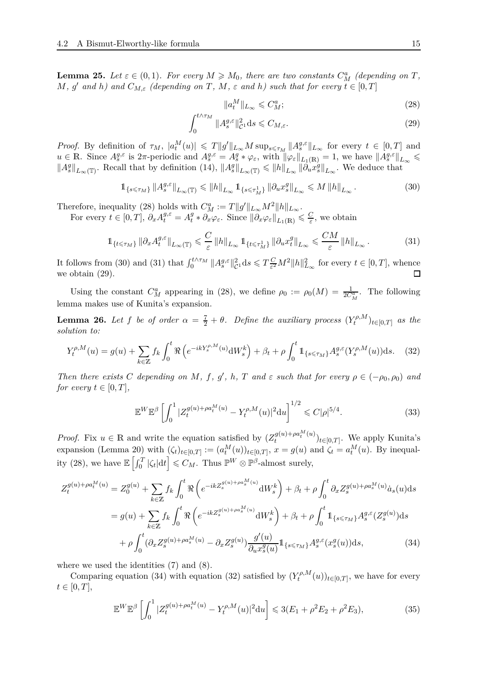**Lemma 25.** Let  $\varepsilon \in (0,1)$ . For every  $M \geq M_0$ , there are two constants  $C_M^a$  (depending on  $T$ ,  $M$ *,*  $g'$  and  $h$ ) and  $C_{M,\varepsilon}$  (depending on  $T$ *,*  $M$ *,*  $\varepsilon$  and  $h$ ) such that for every  $t \in [0,T]$ 

<span id="page-14-3"></span><span id="page-14-2"></span><span id="page-14-1"></span><span id="page-14-0"></span>
$$
\|a_t^M\|_{L_\infty} \leqslant C_M^a;\tag{28}
$$

$$
\int_0^{t \wedge \tau_M} \|A_s^{g,\varepsilon}\|_{\mathcal{C}^1}^2 ds \leq C_{M,\varepsilon}.\tag{29}
$$

*Proof.* By definition of  $\tau_M$ ,  $|a_t^M(u)| \leq T ||g'||_{L_\infty} M \sup_{s \leq \tau_M} ||A_s^{g,\varepsilon}||_{L_\infty}$  for every  $t \in [0,T]$  and  $u \in \mathbb{R}$ . Since  $A_s^{g,\varepsilon}$  is  $2\pi$ -periodic and  $A_s^{g,\varepsilon} = A_s^g * \varphi_\varepsilon$ , with  $\|\varphi_\varepsilon\|_{L_1(\mathbb{R})} = 1$ , we have  $\|A_s^{g,\varepsilon}\|_{L_\infty} \leq$  $||A_s^g||_{L_\infty(\mathbb{T})}$ . Recall that by definition [\(14\)](#page-9-0),  $||A_s^g||_{L_\infty(\mathbb{T})} \le ||h||_{L_\infty} ||\partial_u^j x_s^g||_{L_\infty}$ . We deduce that

$$
\mathbb{1}_{\{s \leqslant \tau_M\}} \|A_s^{g,\varepsilon}\|_{L_\infty(\mathbb{T})} \leqslant \|h\|_{L_\infty} \mathbb{1}_{\{s \leqslant \tau_M^1\}} \|\partial_u x_s^g\|_{L_\infty} \leqslant M \|h\|_{L_\infty} \,. \tag{30}
$$

Therefore, inequality [\(28\)](#page-14-0) holds with  $C_M^a := T||g'||_{L_\infty}M^2||h||_{L_\infty}$ .

For every  $t \in [0, T]$ ,  $\partial_x A_t^{g, \varepsilon} = A_t^g$  $\frac{g}{t} * \partial_x \varphi_{\varepsilon}$ . Since  $\|\partial_x \varphi_{\varepsilon}\|_{L_1(\mathbb{R})} \leqslant \frac{C}{\varepsilon}$ , we obtain

$$
\mathbb{1}_{\{t \leq \tau_M\}} \left\| \partial_x A_t^{g,\varepsilon} \right\|_{L_\infty(\mathbb{T})} \leq \frac{C}{\varepsilon} \left\| h \right\|_{L_\infty} \mathbb{1}_{\{t \leq \tau_M^1\}} \left\| \partial_u x_t^g \right\|_{L_\infty} \leq \frac{CM}{\varepsilon} \left\| h \right\|_{L_\infty} . \tag{31}
$$

It follows from [\(30\)](#page-14-1) and [\(31\)](#page-14-2) that  $\int_0^{t \wedge \tau_M} ||A_s^{g,\varepsilon}||_C^2$  $c^2$ <sub>c</sub><sup>2</sup> d*s*  $\leq T \frac{C}{\varepsilon^2}$  $\frac{C}{\varepsilon^2}M^2\|h\|_{L_\infty}^2$  for every  $t \in [0, T]$ , whence we obtain [\(29\)](#page-14-3).

Using the constant  $C_M^a$  appearing in [\(28\)](#page-14-0), we define  $\rho_0 := \rho_0(M) = \frac{1}{2C_M^a}$ . The following lemma makes use of Kunita's expansion.

<span id="page-14-7"></span>**Lemma 26.** Let f be of order  $\alpha = \frac{7}{2} + \theta$ . Define the auxiliary process  $(Y_t^{\rho,M})$  $(t^{p,M})_{t\in[0,T]}$  *as the solution to:*

$$
Y_t^{\rho,M}(u) = g(u) + \sum_{k \in \mathbb{Z}} f_k \int_0^t \Re \left( e^{-ikY_s^{\rho,M}(u)} \mathrm{d}W_s^k \right) + \beta_t + \rho \int_0^t \mathbb{1}_{\{s \le \tau_M\}} A_s^{g,\varepsilon}(Y_s^{\rho,M}(u)) \mathrm{d}s. \tag{32}
$$

Then there exists C depending on M, f, g', h, T and  $\varepsilon$  such that for every  $\rho \in (-\rho_0, \rho_0)$  and *for every*  $t \in [0, T]$ *,* 

<span id="page-14-5"></span>
$$
\mathbb{E}^W \mathbb{E}^{\beta} \left[ \int_0^1 |Z_t^{g(u) + \rho a_t^M(u)} - Y_t^{\rho, M}(u)|^2 \mathrm{d}u \right]^{1/2} \leqslant C|\rho|^{5/4}.
$$
 (33)

*Proof.* Fix  $u \in \mathbb{R}$  and write the equation satisfied by  $(Z_t^{g(u)+\rho a_t^M(u)})$  $(t^{(u)}_t + t^{(u)})_{t \in [0,T]}$ . We apply Kunita's expansion (Lemma [20\)](#page-10-1) with  $(\zeta_t)_{t\in[0,T]} := (a_t^M(u))_{t\in[0,T]}, x = g(u)$  and  $\zeta_t = a_t^M(u)$ . By inequal-ity [\(28\)](#page-14-0), we have  $\mathbb{E}\left[\int_0^T |\zeta_t| dt\right] \leqslant C_M$ . Thus  $\mathbb{P}^W \otimes \mathbb{P}^{\beta}$ -almost surely,

$$
Z_t^{g(u) + \rho a_t^M(u)} = Z_0^{g(u)} + \sum_{k \in \mathbb{Z}} f_k \int_0^t \Re \left( e^{-ikZ_s^{g(u) + \rho a_s^M(u)}} \mathrm{d}W_s^k \right) + \beta_t + \rho \int_0^t \partial_x Z_s^{g(u) + \rho a_s^M(u)} \dot{a}_s(u) \mathrm{d}s
$$
  

$$
= g(u) + \sum_{k \in \mathbb{Z}} f_k \int_0^t \Re \left( e^{-ikZ_s^{g(u) + \rho a_s^M(u)}} \mathrm{d}W_s^k \right) + \beta_t + \rho \int_0^t \mathbb{1}_{\{s \le \tau_M\}} A_s^{g,\varepsilon}(Z_s^{g(u)}) \mathrm{d}s
$$
  

$$
+ \rho \int_0^t (\partial_x Z_s^{g(u) + \rho a_s^M(u)} - \partial_x Z_s^{g(u)}) \frac{g'(u)}{\partial_u x_s^g(u)} \mathbb{1}_{\{s \le \tau_M\}} A_s^{g,\varepsilon}(x_s^g(u)) \mathrm{d}s,
$$
 (34)

where we used the identities [\(7\)](#page-5-4) and [\(8\)](#page-5-5).

Comparing equation [\(34\)](#page-14-4) with equation [\(32\)](#page-14-5) satisfied by  $(Y_t^{\rho,M})$  $(t^{P,M}(u))_{t\in[0,T]}$ , we have for every  $t \in [0, T],$ 

<span id="page-14-6"></span><span id="page-14-4"></span>
$$
\mathbb{E}^{W} \mathbb{E}^{\beta} \left[ \int_{0}^{1} |Z_{t}^{g(u) + \rho a_{t}^{M}(u)} - Y_{t}^{\rho, M}(u)|^{2} du \right] \leq 3(E_{1} + \rho^{2} E_{2} + \rho^{2} E_{3}), \tag{35}
$$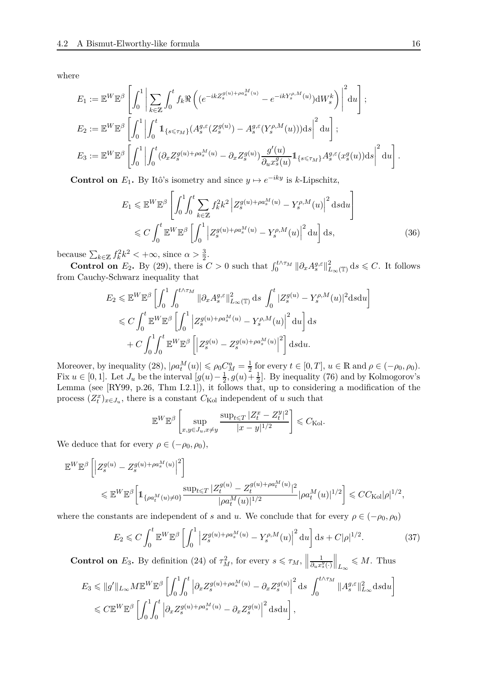where

$$
E_1 := \mathbb{E}^W \mathbb{E}^{\beta} \left[ \int_0^1 \left| \sum_{k \in \mathbb{Z}} \int_0^t f_k \Re \left( (e^{-ikZ_s^{g(u)+\rho a_s^M(u)}} - e^{-ikY_s^{\rho,M}(u)}) \mathrm{d}W_s^k \right) \right|^2 \mathrm{d}u \right];
$$
  
\n
$$
E_2 := \mathbb{E}^W \mathbb{E}^{\beta} \left[ \int_0^1 \left| \int_0^t \mathbb{1}_{\{s \leq \tau_M\}} (A_s^{g,\varepsilon}(Z_s^{g(u)}) - A_s^{g,\varepsilon}(Y_s^{\rho,M}(u))) \mathrm{d}s \right|^2 \mathrm{d}u \right];
$$
  
\n
$$
E_3 := \mathbb{E}^W \mathbb{E}^{\beta} \left[ \int_0^1 \left| \int_0^t (\partial_x Z_s^{g(u)+\rho a_s^M(u)} - \partial_x Z_s^{g(u)}) \frac{g'(u)}{\partial_u x_s^g(u)} \mathbb{1}_{\{s \leq \tau_M\}} A_s^{g,\varepsilon}(x_s^g(u)) \mathrm{d}s \right|^2 \mathrm{d}u \right].
$$

**Control on**  $E_1$ . By Itô's isometry and since  $y \mapsto e^{-iky}$  is *k*-Lipschitz,

<span id="page-15-0"></span>
$$
E_1 \leqslant \mathbb{E}^W \mathbb{E}^{\beta} \left[ \int_0^1 \int_0^t \sum_{k \in \mathbb{Z}} f_k^2 k^2 \left| Z_s^{g(u) + \rho a_s^M(u)} - Y_s^{\rho, M}(u) \right|^2 \, \mathrm{d} s \mathrm{d} u \right]
$$
  

$$
\leqslant C \int_0^t \mathbb{E}^W \mathbb{E}^{\beta} \left[ \int_0^1 \left| Z_s^{g(u) + \rho a_s^M(u)} - Y_s^{\rho, M}(u) \right|^2 \, \mathrm{d} u \right] \mathrm{d} s,
$$
 (36)

because  $\sum_{k \in \mathbb{Z}} f_k^2 k^2 < +\infty$ , since  $\alpha > \frac{3}{2}$ .

**Control on**  $E_2$ . By [\(29\)](#page-14-3), there is  $C > 0$  such that  $\int_0^{t \wedge \tau_M} ||\partial_x A_s^{g,\varepsilon}||_{L_\infty(\mathbb{T})}^2 ds \leq C$ . It follows from Cauchy-Schwarz inequality that

$$
E_2 \leqslant \mathbb{E}^W \mathbb{E}^{\beta} \left[ \int_0^1 \int_0^{t \wedge \tau_M} \|\partial_x A_s^{g,\varepsilon}\|_{L_\infty(\mathbb{T})}^2 \, \mathrm{d} s \int_0^t |Z_s^{g(u)} - Y_s^{\rho,M}(u)|^2 \mathrm{d} s \mathrm{d} u \right]
$$
  

$$
\leqslant C \int_0^t \mathbb{E}^W \mathbb{E}^{\beta} \left[ \int_0^1 \left| Z_s^{g(u) + \rho a_s^M(u)} - Y_s^{\rho,M}(u) \right|^2 \mathrm{d} u \right] \mathrm{d} s
$$
  

$$
+ C \int_0^1 \int_0^t \mathbb{E}^W \mathbb{E}^{\beta} \left[ \left| Z_s^{g(u)} - Z_s^{g(u) + \rho a_s^M(u)} \right|^2 \right] \mathrm{d} s \mathrm{d} u.
$$

Moreover, by inequality [\(28\)](#page-14-0),  $|\rho a_t^M(u)| \leq \rho_0 C_M^a = \frac{1}{2}$  $\frac{1}{2}$  for every  $t \in [0, T]$ ,  $u \in \mathbb{R}$  and  $\rho \in (-\rho_0, \rho_0)$ . Fix  $u \in [0, 1]$ . Let  $J_u$  be the interval  $[g(u) - \frac{1}{2}, g(u) + \frac{1}{2}]$ . By inequality [\(76\)](#page-35-1) and by Kolmogorov's Lemma (see [\[RY99,](#page-45-12) p.26, Thm I.2.1]), it follows that, up to considering a modification of the process  $(Z_t^x)_{x \in J_u}$ , there is a constant  $C_{\text{Kol}}$  independent of *u* such that

<span id="page-15-1"></span>
$$
\mathbb{E}^{W} \mathbb{E}^{\beta} \left[ \sup_{x,y \in J_u, x \neq y} \frac{\sup_{t \leq T} |Z_t^x - Z_t^y|^2}{|x - y|^{1/2}} \right] \leq C_{\text{Kol}}.
$$

We deduce that for every  $\rho \in (-\rho_0, \rho_0)$ ,

$$
\label{eq:R1} \begin{split} \mathbb{E}^{W}\mathbb{E}^{\beta}\left[\left|Z_{s}^{g(u)}-Z_{s}^{g(u)+\rho a_{s}^{M}(u)}\right|^{2}\right] \\ &\leqslant \mathbb{E}^{W}\mathbb{E}^{\beta}\bigg[\mathbbm{1}_{\{\rho a_{t}^{M}(u)\neq 0\}}\frac{\sup_{t\leqslant T}|Z_{t}^{g(u)}-Z_{t}^{g(u)+\rho a_{t}^{M}(u)}|^{2}}{|\rho a_{t}^{M}(u)|^{1/2}}|\rho a_{t}^{M}(u)|^{1/2}\bigg] \leqslant CC_{\mathrm{Kol}}|\rho|^{1/2}, \end{split}
$$

where the constants are independent of *s* and *u*. We conclude that for every  $\rho \in (-\rho_0, \rho_0)$ 

$$
E_2 \leq C \int_0^t \mathbb{E}^W \mathbb{E}^\beta \left[ \int_0^1 \left| Z_s^{g(u) + \rho a_s^M(u)} - Y_s^{\rho, M}(u) \right|^2 du \right] ds + C|\rho|^{1/2}.
$$
 (37)

**Control on** *E*<sub>3</sub>**.** By definition [\(24\)](#page-13-1) of  $\tau_M^2$ , for every  $s \le \tau_M$ ,  $\parallel$ 1  $∂<sub>u</sub>x<sup>g</sup><sub>s</sub>(·)$  $\parallel$ <sub>*L*∞</sub> ≤ *M*. Thus

$$
E_3 \leqslant ||g'||_{L_{\infty}} M \mathbb{E}^W \mathbb{E}^{\beta} \left[ \int_0^1 \int_0^t \left| \partial_x Z_s^{g(u) + \rho a_s^M(u)} - \partial_x Z_s^{g(u)} \right|^2 ds \int_0^{t \wedge \tau_M} ||A_s^{g,\varepsilon}||_{L_{\infty}}^2 ds du \right]
$$
  

$$
\leqslant C \mathbb{E}^W \mathbb{E}^{\beta} \left[ \int_0^1 \int_0^t \left| \partial_x Z_s^{g(u) + \rho a_s^M(u)} - \partial_x Z_s^{g(u)} \right|^2 ds du \right],
$$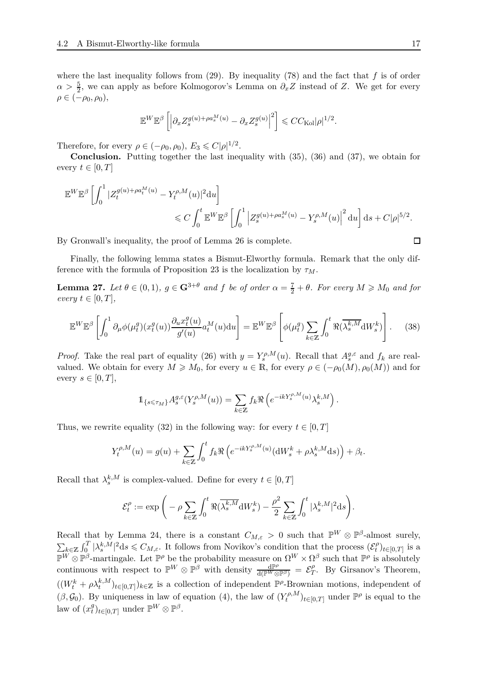where the last inequality follows from [\(29\)](#page-14-3). By inequality [\(78\)](#page-35-2) and the fact that *f* is of order  $\alpha > \frac{5}{2}$ , we can apply as before Kolmogorov's Lemma on  $\partial_x Z$  instead of *Z*. We get for every  $\rho \in (-\rho_0, \rho_0),$ 

$$
\mathbb{E}^W\mathbb{E}^{\beta}\left[\left|\partial_x Z_s^{g(u)+\rho a_s^M(u)}-\partial_x Z_s^{g(u)}\right|^2\right]\leqslant CC_{\rm Kol}|\rho|^{1/2}.
$$

Therefore, for every  $\rho \in (-\rho_0, \rho_0)$ ,  $E_3 \leq C|\rho|^{1/2}$ .

**Conclusion.** Putting together the last inequality with [\(35\)](#page-14-6), [\(36\)](#page-15-0) and [\(37\)](#page-15-1), we obtain for every  $t \in [0, T]$ 

$$
\mathbb{E}^{W} \mathbb{E}^{\beta} \left[ \int_0^1 |Z_t^{g(u) + \rho a_t^M(u)} - Y_t^{\rho, M}(u)|^2 du \right]
$$
  
\$\leqslant C \int\_0^t \mathbb{E}^{W} \mathbb{E}^{\beta} \left[ \int\_0^1 \left| Z\_s^{g(u) + \rho a\_s^M(u)} - Y\_s^{\rho, M}(u) \right|^2 du \right] ds + C|\rho|^{5/2}.\$

By Gronwall's inequality, the proof of Lemma [26](#page-14-7) is complete.

Finally, the following lemma states a Bismut-Elworthy formula. Remark that the only dif-ference with the formula of Proposition [23](#page-13-0) is the localization by  $\tau_M$ .

**Lemma 27.** Let  $\theta \in (0,1)$ ,  $g \in \mathbb{G}^{3+\theta}$  and f be of order  $\alpha = \frac{7}{2} + \theta$ . For every  $M \geq M_0$  and for  $every$   $t \in [0, T]$ ,

$$
\mathbb{E}^{W}\mathbb{E}^{\beta}\left[\int_{0}^{1} \partial_{\mu}\phi(\mu_{t}^{g})(x_{t}^{g}(u))\frac{\partial_{u}x_{t}^{g}(u)}{g'(u)}a_{t}^{M}(u)du\right] = \mathbb{E}^{W}\mathbb{E}^{\beta}\left[\phi(\mu_{t}^{g})\sum_{k\in\mathbb{Z}}\int_{0}^{t} \Re(\overline{\lambda_{s}^{k,M}}\mathrm{d}W_{s}^{k})\right].
$$
 (38)

*Proof.* Take the real part of equality [\(26\)](#page-13-2) with  $y = Y_s^{\rho,M}(u)$ . Recall that  $A_s^{g,\varepsilon}$  and  $f_k$  are realvalued. We obtain for every  $M \geq M_0$ , for every  $u \in \mathbb{R}$ , for every  $\rho \in (-\rho_0(M), \rho_0(M))$  and for every  $s \in [0, T]$ ,

<span id="page-16-0"></span>
$$
1\!\!1_{\{s\leqslant\tau_M\}}A^{g,\varepsilon}_s(Y^{ \rho,M}_s(u))=\sum_{k\in\mathbb Z}f_k\Re\left(e^{-ikY^{ \rho,M}_s(u)}\lambda^{k,M}_s\right).
$$

Thus, we rewrite equality [\(32\)](#page-14-5) in the following way: for every  $t \in [0, T]$ 

$$
Y_t^{\rho,M}(u) = g(u) + \sum_{k \in \mathbb{Z}} \int_0^t f_k \Re \left( e^{-ikY_s^{\rho,M}(u)} (\mathrm{d}W_s^k + \rho \lambda_s^{k,M} \mathrm{d} s) \right) + \beta_t.
$$

Recall that  $\lambda_s^{k,M}$  is complex-valued. Define for every  $t \in [0, T]$ 

$$
\mathcal{E}_t^\rho:=\exp\bigg(-\rho\sum_{k\in\mathbb{Z}}\int_0^t\Re(\overline{\lambda^{k,M}_s}{\rm d}W^k_s)-\frac{\rho^2}{2}\sum_{k\in\mathbb{Z}}\int_0^t|\lambda^{k,M}_s|^2{\rm d} s\bigg).
$$

Recall that by Lemma [24,](#page-13-3) there is a constant  $C_{M,\varepsilon} > 0$  such that  $\mathbb{P}^W \otimes \mathbb{P}^{\beta}$ -almost surely,  $\sum_{k\in\mathbb{Z}}\int_0^T|\lambda_s^{k,M}|^2\mathrm{d}s\leqslant C_{M,\varepsilon}$ . It follows from Novikov's condition that the process  $(\mathcal{E}_t^{\rho})$  $\mathcal{L}_{k \in \mathbb{Z}}$  *J*<sub>0</sub> |  $\Lambda$ <sub>*s*</sub> | **ds**  $\leq$   $CM$ <sub>*s*</sub>. It follows from NOVIKOV s condition that the process  $(c_t)_{t \in [0,T]}$  is a  $\mathbb{P}^W \otimes \mathbb{P}^{\beta}$ -martingale. Let  $\mathbb{P}^{\rho}$  be the probability measure on  $\Omega^W \$  $\binom{p}{t}$ <sub>t</sub>∈[0,*T*] is a continuous with respect to  $\mathbb{P}^W \otimes \mathbb{P}^{\beta}$  with density  $\frac{d\mathbb{P}^{\rho}}{d(\mathbb{P}^W \otimes \mathbb{P}^{\beta})} = \mathcal{E}^{\rho}_T$  $T$ . By Girsanov's Theorem,  $((W_t^k + \rho \lambda_t^{k,M})_{t \in [0,T]})_{k \in \mathbb{Z}}$  is a collection of independent  $\mathbb{P}^{\rho}$ -Brownian motions, independent of  $(\beta, \mathcal{G}_0)$ . By uniqueness in law of equation [\(4\)](#page-4-1), the law of  $(Y_t^{\rho,M})$  $(t^{\rho,M})_{t\in[0,T]}$  under  $\mathbb{P}^{\rho}$  is equal to the law of  $(x_t^g)$  ${}_{t}^{g}$ <sub> $)$ *t*∈[0,*T*] under  $\mathbb{P}^{W} \otimes \mathbb{P}^{\beta}$ .</sub>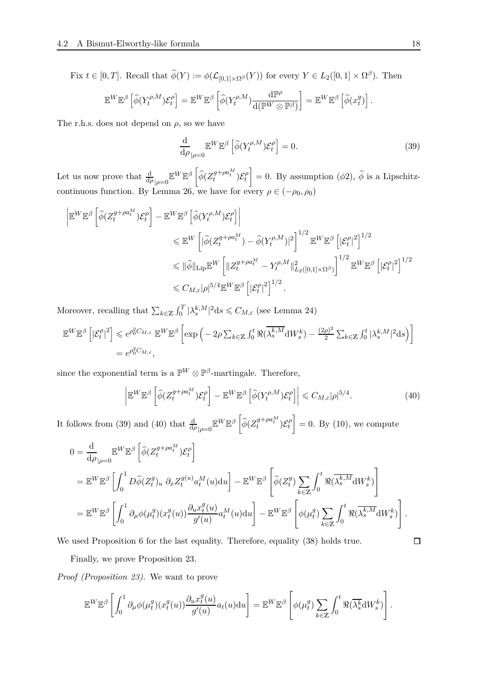Fix  $t \in [0, T]$ . Recall that  $\widehat{\phi}(Y) := \phi(\mathcal{L}_{[0,1] \times \Omega^{\beta}}(Y))$  for every  $Y \in L_2([0,1] \times \Omega^{\beta})$ . Then

$$
\mathbb{E}^W \mathbb{E}^{\beta} \left[ \widehat{\phi}(Y_t^{\rho,M}) \mathcal{E}_t^{\rho} \right] = \mathbb{E}^W \mathbb{E}^{\beta} \left[ \widehat{\phi}(Y_t^{\rho,M}) \frac{\mathrm{d} \mathbb{P}^{\rho}}{\mathrm{d} (\mathbb{P}^W \otimes \mathbb{P}^{\beta})} \right] = \mathbb{E}^W \mathbb{E}^{\beta} \left[ \widehat{\phi}(x_t^g) \right].
$$

The r.h.s. does not depend on  $\rho$ , so we have

<span id="page-17-0"></span>
$$
\frac{\mathrm{d}}{\mathrm{d}\rho}\mathbb{E}^W \mathbb{E}^{\beta} \left[ \widehat{\phi}(Y_t^{\rho,M}) \mathcal{E}_t^{\rho} \right] = 0. \tag{39}
$$

Let us now prove that  $\frac{d}{d\rho}$ <sub> $|\rho=0$ </sub>  $\mathbb{E}^{W}\mathbb{E}^{\beta}$   $\left\lceil$  $\widehat{\phi}(Z_t^{g+\rho a_t^M})\mathcal{E}_t^{\rho}$ *t* T  $= 0$ . By assumption ( $\phi$ 2),  $\phi$  is a Lipschitz-continuous function. By Lemma [26,](#page-14-7) we have for every  $\rho \in (-\rho_0, \rho_0)$ 

$$
\begin{split} \left| \mathbb{E}^{W} \mathbb{E}^{\beta} \left[ \widehat{\phi} (Z_{t}^{g+\rho a_{t}^{M}}) \mathcal{E}_{t}^{\rho} \right] - \mathbb{E}^{W} \mathbb{E}^{\beta} \left[ \widehat{\phi} (Y_{t}^{\rho,M}) \mathcal{E}_{t}^{\rho} \right] \right| \\ & \leqslant \mathbb{E}^{W} \left[ |\widehat{\phi} (Z_{t}^{g+\rho a_{t}^{M}}) - \widehat{\phi} (Y_{t}^{\rho,M})|^{2} \right]^{1/2} \mathbb{E}^{W} \mathbb{E}^{\beta} \left[ |\mathcal{E}_{t}^{\rho}|^{2} \right]^{1/2} \\ & \leqslant ||\widehat{\phi}||_{\text{Lip}} \mathbb{E}^{W} \left[ ||Z_{t}^{g+\rho a_{t}^{M}} - Y_{t}^{\rho,M}||_{L_{2}([0,1] \times \Omega^{\beta})}^{2} \right]^{1/2} \mathbb{E}^{W} \mathbb{E}^{\beta} \left[ |\mathcal{E}_{t}^{\rho}|^{2} \right]^{1/2} \\ & \leqslant C_{M,\varepsilon} |\rho|^{5/4} \mathbb{E}^{W} \mathbb{E}^{\beta} \left[ |\mathcal{E}_{t}^{\rho}|^{2} \right]^{1/2}. \end{split}
$$

Moreover, recalling that  $\sum_{k \in \mathbb{Z}} \int_0^T |\lambda_s^{k,M}|^2 ds \leq C_{M,\varepsilon}$  (see Lemma [24\)](#page-13-3)

$$
\mathbb{E}^{W} \mathbb{E}^{\beta} \left[ |\mathcal{E}_{t}^{\rho}|^{2} \right] \leq e^{\rho_{0}^{2} C_{M,\varepsilon}} \mathbb{E}^{W} \mathbb{E}^{\beta} \left[ \exp \left( -2\rho \sum_{k \in \mathbb{Z}} \int_{0}^{t} \Re(\overline{\lambda_{s}^{k,M}} \mathrm{d}W_{s}^{k}) - \frac{(2\rho)^{2}}{2} \sum_{k \in \mathbb{Z}} \int_{0}^{t} |\lambda_{s}^{k,M}|^{2} \mathrm{d}s \right) \right]
$$
  
=  $e^{\rho_{0}^{2} C_{M,\varepsilon}},$ 

since the exponential term is a  $\mathbb{P}^W \otimes \mathbb{P}^{\beta}$ -martingale. Therefore,

<span id="page-17-1"></span>
$$
\left| \mathbb{E}^W \mathbb{E}^{\beta} \left[ \widehat{\phi} (Z_t^{g + \rho a_t^M}) \mathcal{E}_t^{\rho} \right] - \mathbb{E}^W \mathbb{E}^{\beta} \left[ \widehat{\phi} (Y_t^{\rho, M}) \mathcal{E}_t^{\rho} \right] \right| \leq C_{M, \varepsilon} |\rho|^{5/4}.
$$
\n(40)

It follows from [\(39\)](#page-17-0) and [\(40\)](#page-17-1) that  $\frac{d}{d\rho}$ <sub>| $\rho=0$ </sub>  $\mathbb{E}^W \mathbb{E}^{\beta}$   $\left[$  $\widehat{\phi}(Z_t^{g+\rho a_t^M})\mathcal{E}_t^{\rho}$ *t* 1  $= 0.$  By  $(10)$ , we compute

$$
0 = \frac{\mathrm{d}}{\mathrm{d}\rho_{|\rho=0}} \mathbb{E}^{W} \mathbb{E}^{\beta} \left[ \hat{\phi} (Z_t^{g+\rho a_t^M}) \mathcal{E}_t^{\rho} \right]
$$
  
\n
$$
= \mathbb{E}^{W} \mathbb{E}^{\beta} \left[ \int_0^1 D\hat{\phi} (Z_t^g)_u \ \partial_x Z_t^{g(u)} a_t^M(u) \mathrm{d}u \right] - \mathbb{E}^{W} \mathbb{E}^{\beta} \left[ \hat{\phi} (Z_t^g) \sum_{k \in \mathbb{Z}} \int_0^t \Re(\overline{\lambda_s^{k,M}} \mathrm{d}W_s^k) \right]
$$
  
\n
$$
= \mathbb{E}^{W} \mathbb{E}^{\beta} \left[ \int_0^1 \partial_\mu \phi (\mu_t^g)(x_t^g(u)) \frac{\partial_u x_t^g(u)}{g'(u)} a_t^M(u) \mathrm{d}u \right] - \mathbb{E}^{W} \mathbb{E}^{\beta} \left[ \phi (\mu_t^g) \sum_{k \in \mathbb{Z}} \int_0^t \Re(\overline{\lambda_s^{k,M}} \mathrm{d}W_s^k) \right].
$$

We used Proposition [6](#page-5-3) for the last equality. Therefore, equality  $(38)$  holds true.

Finally, we prove Proposition [23.](#page-13-0)

*Proof (Proposition [23\)](#page-13-0).* We want to prove

$$
\mathbb{E}^{W}\mathbb{E}^{\beta}\left[\int_{0}^{1} \partial_{\mu}\phi(\mu_{t}^{g})(x_{t}^{g}(u))\frac{\partial_{u}x_{t}^{g}(u)}{g'(u)}a_{t}(u)du\right] = \mathbb{E}^{W}\mathbb{E}^{\beta}\left[\phi(\mu_{t}^{g})\sum_{k\in\mathbb{Z}}\int_{0}^{t} \Re(\overline{\lambda_{s}^{k}}\mathrm{d}W_{s}^{k})\right].
$$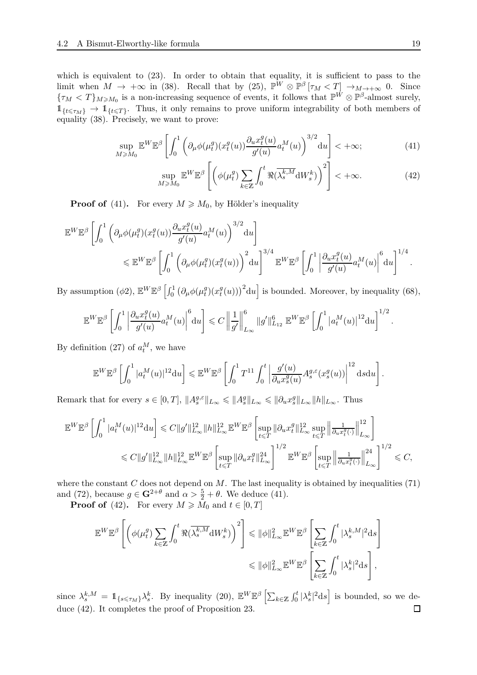which is equivalent to  $(23)$ . In order to obtain that equality, it is sufficient to pass to the limit when  $M \to +\infty$  in [\(38\)](#page-16-0). Recall that by [\(25\)](#page-13-5),  $\mathbb{P}^W \otimes \mathbb{P}^{\beta} [\tau_M < T] \to_{M \to +\infty} 0$ . Since  ${\tau_M < T}_{M \geq M_0}$  is a non-increasing sequence of events, it follows that  $\mathbb{P}^{\tilde{W}} \otimes \mathbb{P}^{\beta}$ -almost surely,  $1_{\{t \leq \tau_M\}} \to 1_{\{t \leq T\}}$ . Thus, it only remains to prove uniform integrability of both members of equality [\(38\)](#page-16-0). Precisely, we want to prove:

$$
\sup_{M\geqslant M_0} \mathbb{E}^W \mathbb{E}^{\beta} \left[ \int_0^1 \left( \partial_\mu \phi(\mu_t^g)(x_t^g(u)) \frac{\partial_u x_t^g(u)}{g'(u)} a_t^M(u) \right)^{3/2} du \right] < +\infty; \tag{41}
$$

$$
\sup_{M\geq M_0} \mathbb{E}^W \mathbb{E}^{\beta} \left[ \left( \phi(\mu_t^g) \sum_{k\in\mathbb{Z}} \int_0^t \Re(\overline{\lambda_s^{k,M}} \mathrm{d} W_s^k) \right)^2 \right] < +\infty. \tag{42}
$$

**Proof of** [\(41\)](#page-18-0). For every  $M \geq M_0$ , by Hölder's inequality

$$
\mathbb{E}^{W} \mathbb{E}^{\beta} \left[ \int_0^1 \left( \partial_{\mu} \phi(\mu_t^g)(x_t^g(u)) \frac{\partial_{u} x_t^g(u)}{g'(u)} a_t^M(u) \right)^{3/2} du \right] \leq \mathbb{E}^{W} \mathbb{E}^{\beta} \left[ \int_0^1 \left( \partial_{\mu} \phi(\mu_t^g)(x_t^g(u)) \right)^2 du \right]^{3/4} \mathbb{E}^{W} \mathbb{E}^{\beta} \left[ \int_0^1 \left| \frac{\partial_{u} x_t^g(u)}{g'(u)} a_t^M(u) \right|^6 du \right]^{1/4}.
$$

By assumption  $(\phi 2)$ ,  $\mathbb{E}^W \mathbb{E}^{\beta}$   $\left[ \int_0^1 (\partial_{\mu} \phi(\mu_t^g))$  $\binom{g}{t}$  $\left(x_t^g\right)$  $\left(\frac{g}{t}(u)\right)^2$  d*u* is bounded. Moreover, by inequality [\(68\)](#page-34-2),

$$
\mathbb{E}^{W}\mathbb{E}^{\beta}\left[\int_{0}^{1}\left|\frac{\partial_{u}x_{t}^{g}(u)}{g'(u)}a_{t}^{M}(u)\right|^{6}\mathrm{d}u\right]\leqslant C\left\|\frac{1}{g'}\right\|^{6}_{L_{\infty}}\left\|g'\right\|^{6}_{L_{12}}\mathbb{E}^{W}\mathbb{E}^{\beta}\left[\int_{0}^{1}\left|a_{t}^{M}(u)\right|^{12}\mathrm{d}u\right]^{1/2}
$$

By definition  $(27)$  of  $a_t^M$ , we have

$$
\mathbb{E}^{W} \mathbb{E}^{\beta} \left[ \int_0^1 |a_t^M(u)|^{12} du \right] \leqslant \mathbb{E}^{W} \mathbb{E}^{\beta} \left[ \int_0^1 T^{11} \int_0^t \left| \frac{g'(u)}{\partial_u x_s^g(u)} A_s^{g,\varepsilon}(x_s^g(u)) \right|^{12} ds du \right].
$$

Remark that for every  $s \in [0, T]$ ,  $||A_s^{g,\varepsilon}||_{L_\infty} \le ||A_s^g||_{L_\infty} \le ||\partial_u x_s^g||_{L_\infty} ||h||_{L_\infty}$ . Thus

$$
\begin{split} \mathbb{E}^{W}\mathbb{E}^{\beta}\left[\int_0^1|a^M_t(u)|^{12}\mathrm{d}u\right] &\leqslant C\|g'\|^{12}_{L_{\infty}}\|h\|^{12}_{L_{\infty}}\mathbb{E}^{W}\mathbb{E}^{\beta}\left[\sup_{t\leqslant T}\|\partial_u x^g_t\|^{12}_{L_{\infty}}\sup_{t\leqslant T}\left\|\frac{1}{\partial_u x^g_t(\cdot)}\right\|^{12}_{L_{\infty}}\right] \\ &\leqslant C\|g'\|^{12}_{L_{\infty}}\|h\|^{12}_{L_{\infty}}\mathbb{E}^{W}\mathbb{E}^{\beta}\left[\sup_{t\leqslant T}\|\partial_u x^g_t\|^{24}_{L_{\infty}}\right]^{1/2}\mathbb{E}^{W}\mathbb{E}^{\beta}\left[\sup_{t\leqslant T}\left\|\frac{1}{\partial_u x^g_t(\cdot)}\right\|^{24}_{L_{\infty}}\right]^{1/2}\leqslant C, \end{split}
$$

where the constant *C* does not depend on *M*. The last inequality is obtained by inequalities [\(71\)](#page-34-0) and [\(72\)](#page-34-1), because  $g \in \mathbf{G}^{2+\theta}$  and  $\alpha > \frac{5}{2} + \theta$ . We deduce [\(41\)](#page-18-0).

**Proof of** [\(42\)](#page-18-1). For every  $M \geq M_0$  and  $t \in [0, T]$ 

$$
\begin{split} \mathbb{E}^{W} \mathbb{E}^{\beta}\left[\left(\phi(\mu^{g}_{t}) \sum_{k \in \mathbb{Z}} \int_{0}^{t} \Re(\overline{\lambda^{k,M}_{s}} \mathrm{d} W^{k}_{s})\right)^{2}\right] &\leqslant \|\phi\|_{L_{\infty}}^{2} \mathbb{E}^{W} \mathbb{E}^{\beta}\left[\sum_{k \in \mathbb{Z}} \int_{0}^{t} |\lambda^{k,M}_{s}|^{2} \mathrm{d} s\right] \\ &\leqslant \|\phi\|_{L_{\infty}}^{2} \mathbb{E}^{W} \mathbb{E}^{\beta}\left[\sum_{k \in \mathbb{Z}} \int_{0}^{t} |\lambda^{k}_{s}|^{2} \mathrm{d} s\right], \end{split}
$$

since  $\lambda_s^{k,M} = \mathbb{1}_{\{s \leq \tau_M\}} \lambda_s^k$ . By inequality [\(20\)](#page-12-1),  $\mathbb{E}^W \mathbb{E}^{\beta} \left[ \sum_{k \in \mathbb{Z}} \int_0^t |\lambda_s^k|^2 ds \right]$  is bounded, so we deduce [\(42\)](#page-18-1). It completes the proof of Proposition [23.](#page-13-0) $\Box$ 

<span id="page-18-1"></span><span id="page-18-0"></span>*.*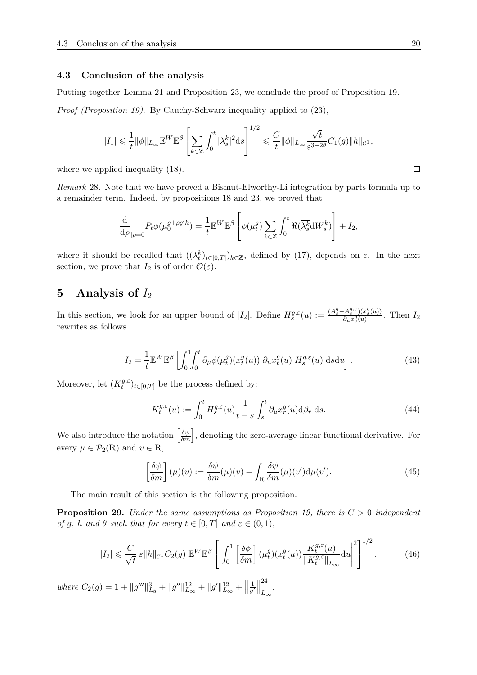#### **4.3 Conclusion of the analysis**

Putting together Lemma [21](#page-11-0) and Proposition [23,](#page-13-0) we conclude the proof of Proposition [19.](#page-10-2)

*Proof (Proposition [19\)](#page-10-2).* By Cauchy-Schwarz inequality applied to [\(23\)](#page-13-4),

$$
|I_1| \leq \frac{1}{t} \|\phi\|_{L_\infty} \mathbb{E}^W \mathbb{E}^{\beta} \left[ \sum_{k \in \mathbb{Z}} \int_0^t |\lambda_s^k|^2 \mathrm{d}s \right]^{1/2} \leq \frac{C}{t} \|\phi\|_{L_\infty} \frac{\sqrt{t}}{\varepsilon^{3+2\theta}} C_1(g) \|h\|_{\mathcal{C}^1},
$$

where we applied inequality [\(18\)](#page-11-2).

*Remark* 28*.* Note that we have proved a Bismut-Elworthy-Li integration by parts formula up to a remainder term. Indeed, by propositions [18](#page-9-2) and [23,](#page-13-0) we proved that

$$
\frac{\mathrm{d}}{\mathrm{d}\rho}_{|\rho=0} P_t \phi(\mu_0^{g+\rho g'h}) = \frac{1}{t} \mathbb{E}^W \mathbb{E}^{\beta} \left[ \phi(\mu_t^g) \sum_{k \in \mathbb{Z}} \int_0^t \Re(\overline{\lambda_s^k} \mathrm{d}W_s^k) \right] + I_2,
$$

where it should be recalled that  $((\lambda_t^k)_{t\in[0,T]})_{k\in\mathbb{Z}}$ , defined by [\(17\)](#page-11-1), depends on  $\varepsilon$ . In the next section, we prove that  $I_2$  is of order  $\mathcal{O}(\varepsilon)$ .

## <span id="page-19-0"></span>**5 Analysis of** *I*<sup>2</sup>

In this section, we look for an upper bound of  $|I_2|$ . Define  $H_s^{g,\varepsilon}(u) := \frac{(A_s^g - A_s^{g,\varepsilon})(x_s^g(u))}{\partial_u x_s^g(u)}$  $\frac{\partial^2 A_s^x (u)}{\partial u^2}$ . Then  $I_2$ rewrites as follows

$$
I_2 = \frac{1}{t} \mathbb{E}^W \mathbb{E}^\beta \left[ \int_0^1 \int_0^t \partial_\mu \phi(\mu_t^g)(x_t^g(u)) \ \partial_u x_t^g(u) \ H_s^{g,\varepsilon}(u) \ \text{d} s \text{d} u \right]. \tag{43}
$$

Moreover, let (*K g,ε*  $(t<sup>y,ε</sup>)$ <sub>*t*∈[0,*T*] be the process defined by:</sub>

<span id="page-19-4"></span><span id="page-19-2"></span>
$$
K_t^{g,\varepsilon}(u) := \int_0^t H_s^{g,\varepsilon}(u) \frac{1}{t-s} \int_s^t \partial_u x_r^g(u) d\beta_r ds. \tag{44}
$$

We also introduce the notation  $\left[\frac{\delta\psi}{\delta m}\right]$ , denoting the zero-average linear functional derivative. For every  $\mu \in \mathcal{P}_2(\mathbb{R})$  and  $v \in \mathbb{R}$ ,

<span id="page-19-3"></span>
$$
\left[\frac{\delta\psi}{\delta m}\right](\mu)(v) := \frac{\delta\psi}{\delta m}(\mu)(v) - \int_{\mathbb{R}} \frac{\delta\psi}{\delta m}(\mu)(v')d\mu(v').\tag{45}
$$

The main result of this section is the following proposition.

<span id="page-19-1"></span>**Proposition 29.** *Under the same assumptions as Proposition [19,](#page-10-2) there is C >* 0 *independent of g, h* and  $\theta$  *such that for every*  $t \in [0, T]$  *and*  $\varepsilon \in (0, 1)$ *,* 

$$
|I_2| \leqslant \frac{C}{\sqrt{t}} \varepsilon \|h\|_{\mathcal{C}^1} C_2(g) \, \mathbb{E}^W \mathbb{E}^{\beta} \left[ \left| \int_0^1 \left[ \frac{\delta \phi}{\delta m} \right] (\mu_t^g)(x_t^g(u)) \frac{K_t^{g,\varepsilon}(u)}{\|K_t^{g,\varepsilon}\|_{L_\infty}} \mathrm{d}u \right|^2 \right]^{1/2} . \tag{46}
$$

 $where C_2(g) = 1 + ||g'''||_{L_8}^3 + ||g''||_{L_{\infty}}^{12} + ||g'||_{L_{\infty}}^{12} + ||g'''||_{L_{\infty}}^{12}$ 1  $\frac{1}{g'}$ 24 *L*∞ *.*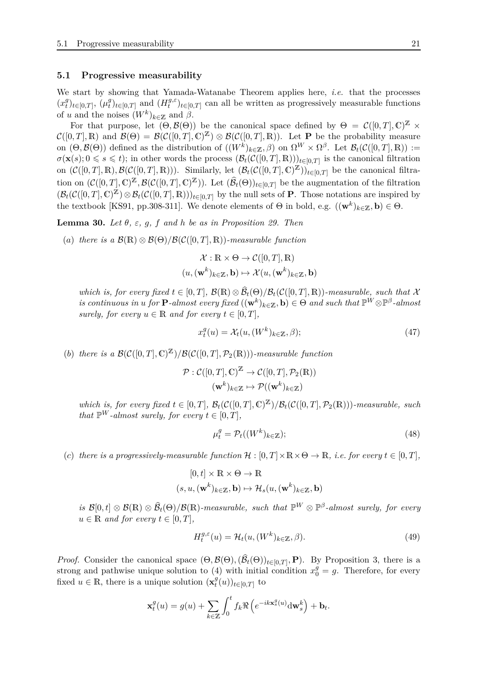#### **5.1 Progressive measurability**

We start by showing that Yamada-Watanabe Theorem applies here, *i.e.* that the processes  $(x_t^g)$  $(t_t^g)_{t \in [0,T]}, (\mu_t^g)$  $\int_t^g t e[0,T]$  and  $(H_t^{g,\varepsilon})$  $t^{g,\varepsilon}$ <sub>*t*</sub> $(t_{\varepsilon}[0,T]$  can all be written as progressively measurable functions of *u* and the noises  $(W^k)_{k \in \mathbb{Z}}$  and  $\beta$ .

For that purpose, let  $(\Theta, \mathcal{B}(\Theta))$  be the canonical space defined by  $\Theta = \mathcal{C}([0,T],\mathbb{C})^{\mathbb{Z}} \times$  $\mathcal{C}([0,T],\mathbb{R})$  and  $\mathcal{B}(\Theta) = \mathcal{B}(\mathcal{C}([0,T],\mathbb{C})^{\mathbb{Z}}) \otimes \mathcal{B}(\mathcal{C}([0,T],\mathbb{R}))$ . Let **P** be the probability measure on  $(\Theta, \mathcal{B}(\Theta))$  defined as the distribution of  $((W^k)_{k\in\mathbb{Z}}, \beta)$  on  $\Omega^W \times \Omega^{\beta}$ . Let  $\mathcal{B}_t(\mathcal{C}([0,T], \mathbb{R})) :=$  $\sigma(\mathbf{x}(s); 0 \leq s \leq t)$ ; in other words the process  $(\mathcal{B}_t(\mathcal{C}([0,T], \mathbb{R})))_{t \in [0,T]}$  is the canonical filtration on  $(C([0,T],\mathbb{R}),\mathcal{B}(\mathcal{C}([0,T],\mathbb{R})))$ . Similarly, let  $(\mathcal{B}_t(\mathcal{C}([0,T],\mathbb{C})\mathbb{Z}))_{t\in[0,T]}$  be the canonical filtration on  $(C([0,T],\mathbb{C})^{\mathbb{Z}},\mathcal{B}(\mathcal{C}([0,T],\mathbb{C})^{\mathbb{Z}}))$ . Let  $(\widehat{\mathcal{B}}_t(\Theta))_{t\in[0,T]}$  be the augmentation of the filtration  $(\mathcal{B}_t(\mathcal{C}([0,T],\mathbb{C})\mathbb{Z})\otimes\mathcal{B}_t(\mathcal{C}([0,T],\mathbb{R})))_{t\in[0,T]}$  by the null sets of **P**. Those notations are inspired by the textbook [\[KS91,](#page-45-13) pp.308-311]. We denote elements of  $\Theta$  in bold, e.g.  $((\mathbf{w}^k)_{k\in\mathbb{Z}}, \mathbf{b}) \in \Theta$ .

<span id="page-20-3"></span>**Lemma 30.** *Let*  $\theta$ *,*  $\varepsilon$ *,*  $g$ *,*  $f$  *and*  $h$  *be as in Proposition [29.](#page-19-1) Then* 

(*a*) *there is a*  $\mathcal{B}(\mathbb{R}) \otimes \mathcal{B}(\Theta)/\mathcal{B}(\mathcal{C}([0,T],\mathbb{R}))$ *-measurable function* 

$$
\mathcal{X}: \mathbb{R} \times \Theta \to \mathcal{C}([0, T], \mathbb{R})
$$

$$
(u, (\mathbf{w}^k)_{k \in \mathbb{Z}}, \mathbf{b}) \mapsto \mathcal{X}(u, (\mathbf{w}^k)_{k \in \mathbb{Z}}, \mathbf{b})
$$

*which is, for every fixed*  $t \in [0, T]$ ,  $\mathcal{B}(\mathbb{R}) \otimes \mathcal{B}_t(\Theta) / \mathcal{B}_t(\mathcal{C}([0, T], \mathbb{R}))$ *-measurable, such that*  $\mathcal{X}$  $\mathbf{a}$  *is continuous in u for*  $\mathbf{P}$ *-almost every fixed*  $((\mathbf{w}^k)_{k \in \mathbb{Z}}, \mathbf{b}) \in \Theta$  *and such that*  $\mathbb{P}^W \otimes \mathbb{P}^{\beta}$ *-almost surely, for every*  $u \in \mathbb{R}$  *and for every*  $t \in [0, T]$ *,* 

<span id="page-20-0"></span>
$$
x_t^g(u) = \mathcal{X}_t(u, (W^k)_{k \in \mathbb{Z}}, \beta);
$$
\n(47)

(*b*) *there is a*  $\mathcal{B}(\mathcal{C}([0,T],\mathbb{C})^{\mathbb{Z}})/\mathcal{B}(\mathcal{C}([0,T],\mathcal{P}_2(\mathbb{R})))$ *-measurable function* 

$$
\mathcal{P} : \mathcal{C}([0,T], \mathbb{C})^{\mathbb{Z}} \to \mathcal{C}([0,T], \mathcal{P}_2(\mathbb{R}))
$$

$$
(\mathbf{w}^k)_{k \in \mathbb{Z}} \mapsto \mathcal{P}((\mathbf{w}^k)_{k \in \mathbb{Z}})
$$

*which is, for every fixed*  $t \in [0, T]$ *,*  $\mathcal{B}_t(C([0, T], \mathbb{C})^{\mathbb{Z}})/\mathcal{B}_t(C([0, T], \mathcal{P}_2(\mathbb{R})))$ *-measurable, such that*  $\mathbb{P}^W$ -*almost surely, for every*  $t \in [0, T]$ *,* 

<span id="page-20-1"></span>
$$
\mu_t^g = \mathcal{P}_t((W^k)_{k \in \mathbb{Z}}); \tag{48}
$$

(*c*) there is a progressively-measurable function  $\mathcal{H} : [0, T] \times \mathbb{R} \times \Theta \to \mathbb{R}$ , i.e. for every  $t \in [0, T]$ ,

$$
[0, t] \times \mathbb{R} \times \Theta \to \mathbb{R}
$$
  

$$
(s, u, (\mathbf{w}^k)_{k \in \mathbb{Z}}, \mathbf{b}) \mapsto \mathcal{H}_s(u, (\mathbf{w}^k)_{k \in \mathbb{Z}}, \mathbf{b})
$$

 $\widehat{\mathcal{B}}(0,t] \otimes \mathcal{B}(\mathbb{R}) \otimes \widehat{\mathcal{B}}_t(\Theta)/\mathcal{B}(\mathbb{R})$ -measurable, such that  $\mathbb{P}^W \otimes \mathbb{P}^{\beta}$ -almost surely, for every  $u \in \mathbb{R}$  *and for every*  $t \in [0, T]$ ,

<span id="page-20-2"></span>
$$
H_t^{g,\varepsilon}(u) = \mathcal{H}_t(u,(W^k)_{k \in \mathbb{Z}}, \beta).
$$
\n(49)

*Proof.* Consider the canonical space  $(\Theta, \mathcal{B}(\Theta), (\mathcal{B}_t(\Theta))_{t \in [0,T]}, \mathbf{P})$ . By Proposition [3,](#page-4-3) there is a strong and pathwise unique solution to [\(4\)](#page-4-1) with initial condition  $x_0^g = g$ . Therefore, for every fixed  $u \in \mathbb{R}$ , there is a unique solution  $(\mathbf{x}_t^g)$  $\binom{g}{t}(u)$ <sub>*t*∈[0,*T*] to</sub>

$$
\mathbf{x}_t^g(u) = g(u) + \sum_{k \in \mathbb{Z}} \int_0^t f_k \Re \left( e^{-ik \mathbf{x}_s^g(u)} \mathrm{d} \mathbf{w}_s^k \right) + \mathbf{b}_t.
$$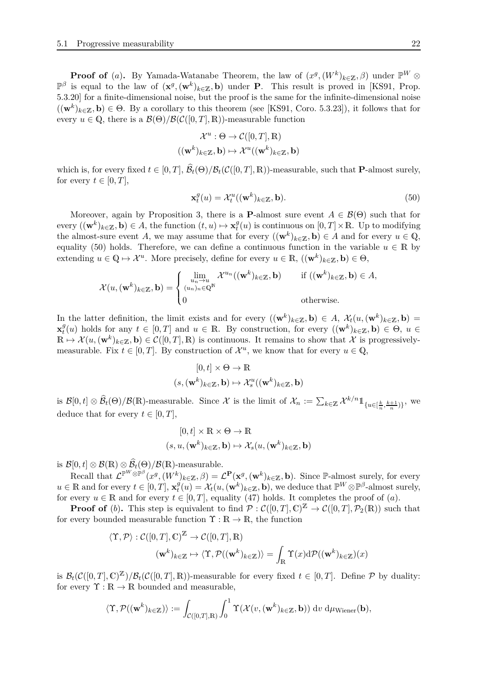**Proof of** (*a*). By Yamada-Watanabe Theorem, the law of  $(x^g, (W^k)_{k \in \mathbb{Z}}, \beta)$  under  $\mathbb{P}^W \otimes$  $\mathbb{P}^{\beta}$  is equal to the law of  $(\mathbf{x}^{g}, (\mathbf{w}^{k})_{k\in\mathbb{Z}}, \mathbf{b})$  under **P**. This result is proved in [\[KS91,](#page-45-13) Prop. 5.3.20] for a finite-dimensional noise, but the proof is the same for the infinite-dimensional noise  $((\mathbf{w}^k)_{k\in\mathbb{Z}}, \mathbf{b}) \in \Theta$ . By a corollary to this theorem (see [\[KS91,](#page-45-13) Coro. 5.3.23]), it follows that for every  $u \in \mathbb{Q}$ , there is a  $\mathcal{B}(\Theta)/\mathcal{B}(\mathcal{C}([0,T],\mathbb{R}))$ -measurable function

$$
\mathcal{X}^u : \Theta \to \mathcal{C}([0, T], \mathbb{R})
$$

$$
((\mathbf{w}^k)_{k \in \mathbb{Z}}, \mathbf{b}) \mapsto \mathcal{X}^u((\mathbf{w}^k)_{k \in \mathbb{Z}}, \mathbf{b})
$$

which is, for every fixed  $t \in [0, T]$ ,  $\mathcal{B}_t(\Theta)/\mathcal{B}_t(\mathcal{C}([0, T], \mathbb{R}))$ -measurable, such that **P**-almost surely, for every  $t \in [0, T]$ ,

<span id="page-21-0"></span>
$$
\mathbf{x}_t^g(u) = \mathcal{X}_t^u((\mathbf{w}^k)_{k \in \mathbb{Z}}, \mathbf{b}).
$$
\n(50)

Moreover, again by Proposition [3,](#page-4-3) there is a **P**-almost sure event  $A \in \mathcal{B}(\Theta)$  such that for every  $((\mathbf{w}^k)_{k \in \mathbb{Z}}, \mathbf{b}) \in A$ , the function  $(t, u) \mapsto \mathbf{x}_t^g$  $t_t^g(u)$  is continuous on  $[0,T] \times \mathbb{R}$ . Up to modifying the almost-sure event *A*, we may assume that for every  $((\mathbf{w}^k)_{k\in\mathbb{Z}}, \mathbf{b}) \in A$  and for every  $u \in \mathbb{Q}$ , equality [\(50\)](#page-21-0) holds. Therefore, we can define a continuous function in the variable  $u \in \mathbb{R}$  by extending  $u \in \mathbb{Q} \mapsto \mathcal{X}^u$ . More precisely, define for every  $u \in \mathbb{R}$ ,  $((\mathbf{w}^k)_{k \in \mathbb{Z}}, \mathbf{b}) \in \Theta$ ,

$$
\mathcal{X}(u,(\mathbf{w}^k)_{k\in\mathbb{Z}},\mathbf{b})=\begin{cases}\lim_{u_n\to u \atop (u_n)_n\in\mathbb{Q}^{\mathbb{N}}}\mathcal{X}^{u_n}((\mathbf{w}^k)_{k\in\mathbb{Z}},\mathbf{b}) & \text{if } ((\mathbf{w}^k)_{k\in\mathbb{Z}},\mathbf{b})\in A, \\ 0 & \text{otherwise.}\end{cases}
$$

In the latter definition, the limit exists and for every  $((\mathbf{w}^k)_{k\in\mathbb{Z}}, \mathbf{b}) \in A$ ,  $\mathcal{X}_t(u, (\mathbf{w}^k)_{k\in\mathbb{Z}}, \mathbf{b}) =$  $\mathbf{x}_t^g$  $f_t^g(u)$  holds for any  $t \in [0,T]$  and  $u \in \mathbb{R}$ . By construction, for every  $((\mathbf{w}^k)_{k\in\mathbb{Z}}, \mathbf{b}) \in \Theta$ ,  $u \in \mathbb{R}$ .  $\mathbb{R} \mapsto \mathcal{X}(u,(\mathbf{w}^k)_{k\in\mathbb{Z}},\mathbf{b}) \in \mathcal{C}([0,T],\mathbb{R})$  is continuous. It remains to show that X is progressivelymeasurable. Fix  $t \in [0, T]$ . By construction of  $\mathcal{X}^u$ , we know that for every  $u \in \mathbb{Q}$ ,

$$
[0, t] \times \Theta \to \mathbb{R}
$$

$$
(s, (\mathbf{w}^k)_{k \in \mathbb{Z}}, \mathbf{b}) \mapsto \mathcal{X}_s^u((\mathbf{w}^k)_{k \in \mathbb{Z}}, \mathbf{b})
$$

is  $\mathcal{B}[0,t] \otimes \widehat{\mathcal{B}}_t(\Theta)/\mathcal{B}(\mathbb{R})$ -measurable. Since X is the limit of  $\mathcal{X}_n := \sum_{k \in \mathbb{Z}} \mathcal{X}^{k/n} \mathbb{1}_{\{u \in [\frac{k}{n}, \frac{k+1}{n})\}}$ , we deduce that for every  $t \in [0, T]$ ,

$$
[0, t] \times \mathbb{R} \times \Theta \to \mathbb{R}
$$
  

$$
(s, u, (\mathbf{w}^k)_{k \in \mathbb{Z}}, \mathbf{b}) \mapsto \mathcal{X}_s(u, (\mathbf{w}^k)_{k \in \mathbb{Z}}, \mathbf{b})
$$

is  $\mathcal{B}[0,t] \otimes \mathcal{B}(\mathbb{R}) \otimes \mathcal{B}_t(\Theta)/\mathcal{B}(\mathbb{R})$ -measurable.

 $\text{Recall that } \mathcal{L}^{\mathbb{P}^W \otimes \mathbb{P}^{\beta}}(x^g, (W^k)_{k \in \mathbb{Z}}, \beta) = \mathcal{L}^{\mathbf{P}}(\mathbf{x}^g, (\mathbf{w}^k)_{k \in \mathbb{Z}}, \mathbf{b}).$  Since P-almost surely, for every  $u \in \mathbb{R}$  and for every  $t \in [0, T]$ ,  $\mathbf{x}_t^g$  $\mathcal{H}(u) = \mathcal{X}_t(u, (\mathbf{w}^k)_{k \in \mathbb{Z}}, \mathbf{b})$ , we deduce that  $\mathbb{P}^W \otimes \mathbb{P}^{\beta}$ -almost surely, for every  $u \in \mathbb{R}$  and for every  $t \in [0, T]$ , equality [\(47\)](#page-20-0) holds. It completes the proof of (*a*).

**Proof of** (b). This step is equivalent to find  $P: C([0,T], \mathbb{C})^{\mathbb{Z}} \to C([0,T], \mathcal{P}_2(\mathbb{R}))$  such that for every bounded measurable function  $\Upsilon : \mathbb{R} \to \mathbb{R}$ , the function

$$
\langle \Upsilon, \mathcal{P} \rangle : \mathcal{C}([0, T], \mathbb{C})^{\mathbb{Z}} \to \mathcal{C}([0, T], \mathbb{R})
$$

$$
(\mathbf{w}^k)_{k \in \mathbb{Z}} \mapsto \langle \Upsilon, \mathcal{P}((\mathbf{w}^k)_{k \in \mathbb{Z}}) \rangle = \int_{\mathbb{R}} \Upsilon(x) d\mathcal{P}((\mathbf{w}^k)_{k \in \mathbb{Z}})(x)
$$

is  $\mathcal{B}_t(\mathcal{C}([0,T],\mathbb{C})^{\mathbb{Z}})/\mathcal{B}_t(\mathcal{C}([0,T],\mathbb{R}))$ -measurable for every fixed  $t \in [0,T]$ . Define  $\mathcal P$  by duality: for every  $\Upsilon : \mathbb{R} \to \mathbb{R}$  bounded and measurable,

$$
\langle \Upsilon, \mathcal{P}((\mathbf{w}^k)_{k \in \mathbb{Z}}) \rangle := \int_{\mathcal{C}([0,T],\mathbb{R})} \int_0^1 \Upsilon(\mathcal{X}(v,(\mathbf{w}^k)_{k \in \mathbb{Z}},\mathbf{b})) \, dv \, d\mu_{\text{Wiener}}(\mathbf{b}),
$$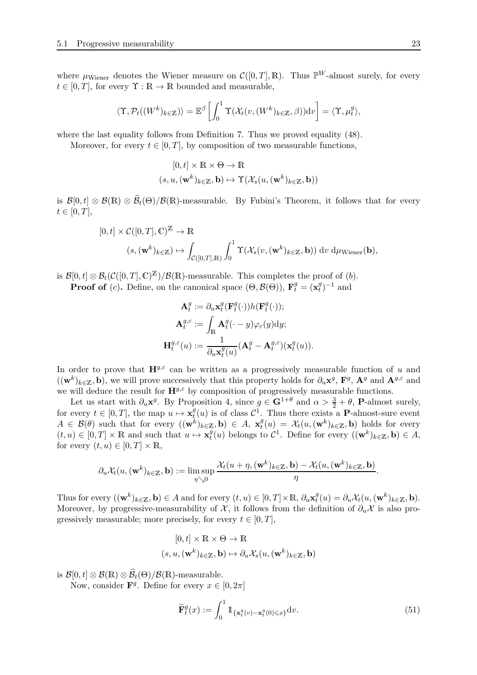where  $\mu_{\text{Wiener}}$  denotes the Wiener measure on  $\mathcal{C}([0,T],\mathbb{R})$ . Thus  $\mathbb{P}^W$ -almost surely, for every  $t \in [0, T]$ , for every  $\Upsilon : \mathbb{R} \to \mathbb{R}$  bounded and measurable,

$$
\langle \Upsilon, \mathcal{P}_t((W^k)_{k \in \mathbb{Z}}) \rangle = \mathbb{E}^{\beta} \left[ \int_0^1 \Upsilon(\mathcal{X}_t(v, (W^k)_{k \in \mathbb{Z}}, \beta)) \mathrm{d}v \right] = \langle \Upsilon, \mu_t^g \rangle,
$$

where the last equality follows from Definition [7.](#page-6-2) Thus we proved equality [\(48\)](#page-20-1).

Moreover, for every  $t \in [0, T]$ , by composition of two measurable functions,

$$
[0, t] \times \mathbb{R} \times \Theta \to \mathbb{R}
$$
  

$$
(s, u, (\mathbf{w}^k)_{k \in \mathbb{Z}}, \mathbf{b}) \mapsto \Upsilon(\mathcal{X}_s(u, (\mathbf{w}^k)_{k \in \mathbb{Z}}, \mathbf{b}))
$$

is  $\mathcal{B}[0,t] \otimes \mathcal{B}(\mathbb{R}) \otimes \mathcal{B}_t(\Theta)/\mathcal{B}(\mathbb{R})$ -measurable. By Fubini's Theorem, it follows that for every  $t \in [0, T],$ 

$$
[0, t] \times C([0, T], \mathbb{C})^{\mathbb{Z}} \to \mathbb{R}
$$
  

$$
(s, (\mathbf{w}^{k})_{k \in \mathbb{Z}}) \mapsto \int_{C([0, T], \mathbb{R})} \int_{0}^{1} \Upsilon(\mathcal{X}_{s}(v, (\mathbf{w}^{k})_{k \in \mathbb{Z}}, \mathbf{b})) dv d\mu_{\text{Wiener}}(\mathbf{b}),
$$

is  $\mathcal{B}[0,t] \otimes \mathcal{B}_t(\mathcal{C}([0,T],\mathbb{C})^{\mathbb{Z}})/\mathcal{B}(\mathbb{R})$ -measurable. This completes the proof of  $(b)$ .

**Proof of** (*c*). Define, on the canonical space  $(\Theta, \mathcal{B}(\Theta))$ ,  $\mathbf{F}_t^g = (\mathbf{x}_t^g)$  $_{t}^{g})^{-1}$  and

$$
\mathbf{A}_t^g := \partial_u \mathbf{x}_t^g(\mathbf{F}_t^g(\cdot)) h(\mathbf{F}_t^g(\cdot));
$$
  

$$
\mathbf{A}_t^{g,\varepsilon} := \int_{\mathbb{R}} \mathbf{A}_t^g(\cdot - y) \varphi_{\varepsilon}(y) dy;
$$
  

$$
\mathbf{H}_t^{g,\varepsilon}(u) := \frac{1}{\partial_u \mathbf{x}_t^g(u)} (\mathbf{A}_t^g - \mathbf{A}_t^{g,\varepsilon}) (\mathbf{x}_t^g(u)).
$$

In order to prove that  $\mathbf{H}^{g,\varepsilon}$  can be written as a progressively measurable function of *u* and  $((\mathbf{w}^k)_{k \in \mathbb{Z}}, \mathbf{b})$ , we will prove successively that this property holds for  $\partial_u \mathbf{x}^g$ ,  $\mathbf{F}^g$ ,  $\mathbf{A}^g$  and  $\mathbf{A}^{g,\varepsilon}$  and we will deduce the result for **H***g,ε* by composition of progressively measurable functions.

Let us start with  $\partial_u \mathbf{x}^g$ . By Proposition [4,](#page-5-0) since  $g \in \mathbf{G}^{1+\theta}$  and  $\alpha > \frac{3}{2} + \theta$ , **P**-almost surely, for every  $t \in [0, T]$ , the map  $u \mapsto \mathbf{x}_t^g$  $t_t^g(u)$  is of class  $\mathcal{C}^1$ . Thus there exists a **P**-almost-sure event  $A \in \mathcal{B}(\theta)$  such that for every  $((\mathbf{w}^k)_{k \in \mathbb{Z}}, \mathbf{b}) \in A$ ,  $\mathbf{x}_t^g$  $\mathcal{X}_t(u) = \mathcal{X}_t(u, (\mathbf{w}^k)_{k \in \mathbb{Z}}, \mathbf{b})$  holds for every  $(t, u) \in [0, T] \times \mathbb{R}$  and such that  $u \mapsto \mathbf{x}_t^g$  $f_t^g(u)$  belongs to  $C^1$ . Define for every  $((\mathbf{w}^k)_{k\in\mathbb{Z}}, \mathbf{b}) \in A$ , for every  $(t, u) \in [0, T] \times \mathbb{R}$ ,

$$
\partial_u \mathcal{X}_t(u,(\mathbf{w}^k)_{k \in \mathbb{Z}},\mathbf{b}):= \limsup_{\eta \searrow 0} \frac{\mathcal{X}_t(u+\eta,(\mathbf{w}^k)_{k \in \mathbb{Z}},\mathbf{b}) - \mathcal{X}_t(u,(\mathbf{w}^k)_{k \in \mathbb{Z}},\mathbf{b})}{\eta}.
$$

Thus for every  $((\mathbf{w}^k)_{k \in \mathbb{Z}}, \mathbf{b}) \in A$  and for every  $(t, u) \in [0, T] \times \mathbb{R}, \partial_u \mathbf{x}_t^g$  $\partial_t^g(u) = \partial_u \mathcal{X}_t(u, (\mathbf{w}^k)_{k \in \mathbb{Z}}, \mathbf{b}).$ Moreover, by progressive-measurability of  $\mathcal{X}$ , it follows from the definition of  $\partial_u \mathcal{X}$  is also progressively measurable; more precisely, for every  $t \in [0, T]$ ,

$$
[0, t] \times \mathbb{R} \times \Theta \to \mathbb{R}
$$
  

$$
(s, u, (\mathbf{w}^k)_{k \in \mathbb{Z}}, \mathbf{b}) \mapsto \partial_u \mathcal{X}_s(u, (\mathbf{w}^k)_{k \in \mathbb{Z}}, \mathbf{b})
$$

is  $\mathcal{B}[0,t] \otimes \mathcal{B}(\mathbb{R}) \otimes \mathcal{B}_t(\Theta)/\mathcal{B}(\mathbb{R})$ -measurable.

Now, consider  $\mathbf{F}^g$ . Define for every  $x \in [0, 2\pi]$ 

<span id="page-22-0"></span>
$$
\widetilde{\mathbf{F}}_t^g(x) := \int_0^1 \mathbb{1}_{\{\mathbf{x}_t^g(v) - \mathbf{x}_t^g(0) \leq x\}} \mathrm{d}v. \tag{51}
$$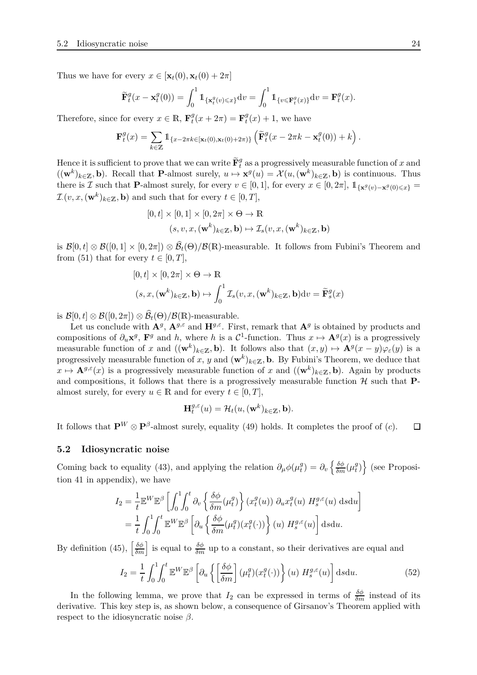Thus we have for every  $x \in [\mathbf{x}_t(0), \mathbf{x}_t(0) + 2\pi]$ 

$$
\widetilde{\mathbf{F}}_t^g(x - \mathbf{x}_t^g(0)) = \int_0^1 \mathbb{1}_{\{\mathbf{x}_t^g(v) \leq x\}} \mathrm{d}v = \int_0^1 \mathbb{1}_{\{v \leq \mathbf{F}_t^g(x)\}} \mathrm{d}v = \mathbf{F}_t^g(x).
$$

Therefore, since for every  $x \in \mathbb{R}$ ,  $\mathbf{F}_t^g$  $\mathbf{F}_t^g(x+2\pi) = \mathbf{F}_t^g$  $t<sup>y</sup>(x) + 1$ , we have

$$
\mathbf{F}_t^g(x) = \sum_{k \in \mathbb{Z}} \mathbb{1}_{\{x - 2\pi k \in [\mathbf{x}_t(0), \mathbf{x}_t(0) + 2\pi)\}} \left( \widetilde{\mathbf{F}}_t^g(x - 2\pi k - \mathbf{x}_t^g(0)) + k \right).
$$

Hence it is sufficient to prove that we can write  $\widetilde{\mathbf{F}}_t^g$  as a progressively measurable function of  $x$  and  $((\mathbf{w}^k)_{k \in \mathbb{Z}}, \mathbf{b})$ . Recall that **P**-almost surely,  $u \mapsto \mathbf{x}^g(u) = \mathcal{X}(u, (\mathbf{w}^k)_{k \in \mathbb{Z}}, \mathbf{b})$  is continuous. Thus there is  $\mathcal{I}$  such that **P**-almost surely, for every  $v \in [0, 1]$ , for every  $x \in [0, 2\pi]$ ,  $\mathbb{1}_{\{\mathbf{x}^g(v) - \mathbf{x}^g(0) \leq x\}} =$  $\mathcal{I}.\left(v, x, (\mathbf{w}^k)_{k \in \mathbb{Z}}, \mathbf{b}\right)$  and such that for every  $t \in [0, T],$ 

$$
[0, t] \times [0, 1] \times [0, 2\pi] \times \Theta \to \mathbb{R}
$$
  

$$
(s, v, x, (\mathbf{w}^k)_{k \in \mathbb{Z}}, \mathbf{b}) \mapsto \mathcal{I}_s(v, x, (\mathbf{w}^k)_{k \in \mathbb{Z}}, \mathbf{b})
$$

is  $\mathcal{B}[0,t] \otimes \mathcal{B}([0,1] \times [0,2\pi]) \otimes \mathcal{B}_t(\Theta)/\mathcal{B}(\mathbb{R})$ -measurable. It follows from Fubini's Theorem and from [\(51\)](#page-22-0) that for every  $t \in [0, T]$ ,

$$
[0, t] \times [0, 2\pi] \times \Theta \to \mathbb{R}
$$
  

$$
(s, x, (\mathbf{w}^k)_{k \in \mathbb{Z}}, \mathbf{b}) \mapsto \int_0^1 \mathcal{I}_s(v, x, (\mathbf{w}^k)_{k \in \mathbb{Z}}, \mathbf{b}) dv = \widetilde{\mathbf{F}}_s^g(x)
$$

is  $\mathcal{B}[0,t] \otimes \mathcal{B}([0,2\pi]) \otimes \mathcal{B}_t(\Theta)/\mathcal{B}(\mathbb{R})$ -measurable.

Let us conclude with  $\mathbf{A}^g$ ,  $\mathbf{A}^{g,\varepsilon}$  and  $\mathbf{H}^{g,\varepsilon}$ . First, remark that  $\mathbf{A}^g$  is obtained by products and compositions of  $\partial_u \mathbf{x}^g$ ,  $\mathbf{F}^g$  and *h*, where *h* is a  $\mathcal{C}^1$ -function. Thus  $x \mapsto \mathbf{A}^g(x)$  is a progressively measurable function of *x* and  $((\mathbf{w}^k)_{k\in\mathbb{Z}}, \mathbf{b})$ . It follows also that  $(x, y) \mapsto \mathbf{A}^g(x - y)\varphi_{\varepsilon}(y)$  is a progressively measurable function of *x*, *y* and  $(\mathbf{w}^k)_{k \in \mathbb{Z}}$ , **b**. By Fubini's Theorem, we deduce that  $x \mapsto \mathbf{A}^{g,\epsilon}(x)$  is a progressively measurable function of *x* and  $((\mathbf{w}^k)_{k\in\mathbb{Z}}, \mathbf{b})$ . Again by products and compositions, it follows that there is a progressively measurable function  $H$  such that **P**almost surely, for every  $u \in \mathbb{R}$  and for every  $t \in [0, T]$ ,

<span id="page-23-0"></span>
$$
\mathbf{H}_{t}^{g,\varepsilon}(u) = \mathcal{H}_{t}(u,(\mathbf{w}^{k})_{k\in\mathbb{Z}},\mathbf{b}).
$$

It follows that  $\mathbf{P}^W \otimes \mathbf{P}^{\beta}$ -almost surely, equality [\(49\)](#page-20-2) holds. It completes the proof of (*c*).  $\Box$ 

#### **5.2 Idiosyncratic noise**

Coming back to equality [\(43\)](#page-19-2), and applying the relation  $\partial_{\mu}\phi(\mu_t^g)$  $\partial_t^g$ ) =  $\partial_v \left\{ \frac{\delta \phi}{\delta m} (\mu_t^g) \right\}$  $\{g(t)\}$  (see Proposition [41](#page-37-1) in appendix), we have

$$
I_2 = \frac{1}{t} \mathbb{E}^W \mathbb{E}^{\beta} \left[ \int_0^1 \int_0^t \partial_v \left\{ \frac{\delta \phi}{\delta m}(\mu_t^g) \right\} (x_t^g(u)) \partial_u x_t^g(u) H_s^{g,\varepsilon}(u) \, \text{d} s \text{d} u \right]
$$
  
= 
$$
\frac{1}{t} \int_0^1 \int_0^t \mathbb{E}^W \mathbb{E}^{\beta} \left[ \partial_u \left\{ \frac{\delta \phi}{\delta m}(\mu_t^g)(x_t^g(\cdot)) \right\} (u) H_s^{g,\varepsilon}(u) \right] \, \text{d} s \text{d} u.
$$

By definition [\(45\)](#page-19-3),  $\left[\frac{\delta\phi}{\delta m}\right]$  is equal to  $\frac{\delta\phi}{\delta m}$  up to a constant, so their derivatives are equal and

$$
I_2 = \frac{1}{t} \int_0^1 \int_0^t \mathbb{E}^W \mathbb{E}^\beta \left[ \partial_u \left\{ \left[ \frac{\delta \phi}{\delta m} \right] (\mu_t^g)(x_t^g(\cdot)) \right\} (u) H_s^{g,\varepsilon}(u) \right] ds du. \tag{52}
$$

In the following lemma, we prove that  $I_2$  can be expressed in terms of  $\frac{\delta\phi}{\delta m}$  instead of its derivative. This key step is, as shown below, a consequence of Girsanov's Theorem applied with respect to the idiosyncratic noise *β*.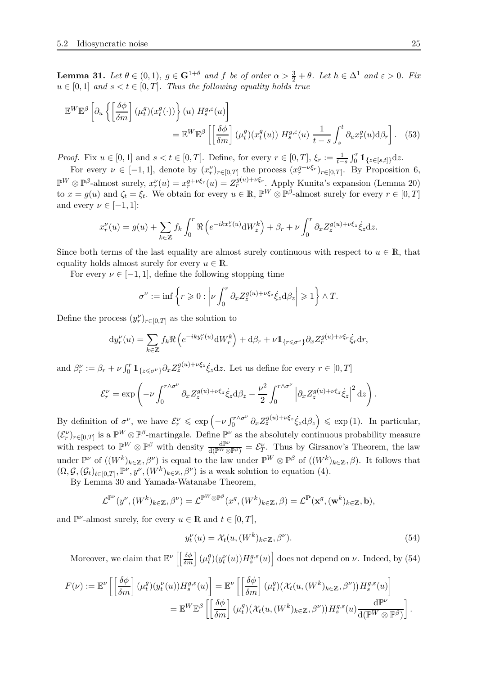**Lemma 31.** *Let*  $\theta \in (0,1)$ *,*  $g \in \mathbf{G}^{1+\theta}$  *and*  $f$  *be of order*  $\alpha > \frac{3}{2} + \theta$ *. Let*  $h \in \Delta^1$  *and*  $\varepsilon > 0$ *. Fix*  $u \in [0,1]$  *and*  $s < t \in [0,T]$ *. Thus the following equality holds true* 

$$
\mathbb{E}^{W} \mathbb{E}^{\beta} \left[ \partial_{u} \left\{ \left[ \frac{\delta \phi}{\delta m} \right] (\mu_{t}^{g}) (x_{t}^{g}(\cdot)) \right\} (u) H_{s}^{g,\varepsilon}(u) \right] = \mathbb{E}^{W} \mathbb{E}^{\beta} \left[ \left[ \frac{\delta \phi}{\delta m} \right] (\mu_{t}^{g}) (x_{t}^{g}(u)) H_{s}^{g,\varepsilon}(u) \frac{1}{t-s} \int_{s}^{t} \partial_{u} x_{r}^{g}(u) d\beta_{r} \right].
$$
 (53)

*Proof.* Fix  $u \in [0, 1]$  and  $s < t \in [0, T]$ . Define, for every  $r \in [0, T]$ ,  $\xi_r := \frac{1}{t-s}$  $\int_0^r \mathbb{1}_{\{z \in [s,t]\}} dz.$ 

For every  $\nu \in [-1,1]$ , denote by  $(x_r^{\nu})_{r \in [0,T]}$  the process  $(x_r^{g+\nu\xi_r})_{r \in [0,T]}$ . By Proposition [6,](#page-5-3)  $\mathbb{P}^W \otimes \mathbb{P}^{\beta}$ -almost surely,  $x_r^{\nu}(u) = x_r^{g+\nu\xi_r}(u) = Z_r^{g(u)+\nu\xi_r}$ . Apply Kunita's expansion (Lemma [20\)](#page-10-1) to  $x = g(u)$  and  $\zeta_t = \xi_t$ . We obtain for every  $u \in \mathbb{R}$ ,  $\mathbb{P}^W \otimes \mathbb{P}^\beta$ -almost surely for every  $r \in [0, T]$ and every  $\nu \in [-1, 1]$ :

$$
x_r^{\nu}(u) = g(u) + \sum_{k \in \mathbb{Z}} f_k \int_0^r \Re \left( e^{-ikx_z^{\nu}(u)} \mathrm{d}W_z^k \right) + \beta_r + \nu \int_0^r \partial_x Z_z^{g(u) + \nu \xi_z} \dot{\xi}_z \mathrm{d}z.
$$

Since both terms of the last equality are almost surely continuous with respect to  $u \in \mathbb{R}$ , that equality holds almost surely for every  $u \in \mathbb{R}$ .

For every  $\nu \in [-1, 1]$ , define the following stopping time

<span id="page-24-1"></span>
$$
\sigma^{\nu} := \inf \left\{ r \geqslant 0 : \left| \nu \int_0^r \partial_x Z_z^{g(u) + \nu \xi_z} \dot{\xi}_z \mathrm{d} \beta_z \right| \geqslant 1 \right\} \wedge T.
$$

Define the process  $(y_r^{\nu})_{r \in [0,T]}$  as the solution to

$$
\mathrm{d}y_r^{\nu}(u) = \sum_{k \in \mathbb{Z}} f_k \Re \left( e^{-iky_r^{\nu}(u)} \mathrm{d}W_r^k \right) + \mathrm{d}\beta_r + \nu \mathbb{1}_{\{r \leq \sigma^{\nu}\}} \partial_x Z_r^{g(u) + \nu \xi_r} \dot{\xi}_r \mathrm{d}r,
$$

and  $\beta_r^{\nu} := \beta_r + \nu \int_0^r \mathbb{1}_{\{z \leq \sigma^{\nu}\}} \partial_x Z_z^{g(u) + \nu \xi_z} \dot{\xi}_z dz$ . Let us define for every  $r \in [0, T]$ 

$$
\mathcal{E}_r^{\nu} = \exp\left(-\nu \int_0^{r \wedge \sigma^{\nu}} \partial_x Z_z^{g(u) + \nu \xi_z} \dot{\xi}_z \mathrm{d} \beta_z - \frac{\nu^2}{2} \int_0^{r \wedge \sigma^{\nu}} \left| \partial_x Z_z^{g(u) + \nu \xi_z} \dot{\xi}_z \right|^2 \mathrm{d} z\right).
$$

By definition of  $\sigma^{\nu}$ , we have  $\mathcal{E}_{r}^{\nu} \leq \exp\left(-\nu \int_{0}^{r \wedge \sigma^{\nu}}$  $\int_0^{r \wedge \sigma^{\nu}} \partial_x Z_z^{g(u) + \nu \xi_z} \dot{\xi}_z d\beta_z \right) \leqslant \exp(1).$  In particular,  $(\mathcal{E}_r^{\nu})_{r \in [0,T]}$  is a  $\mathbb{P}^W \otimes \mathbb{P}^{\beta}$ -martingale. Define  $\mathbb{P}^{\nu}$  as the absolutely continuous probability measure with respect to  $\mathbb{P}^W \otimes \mathbb{P}^{\beta}$  with density  $\frac{d\mathbb{P}^{\nu}}{d(\mathbb{P}^W \otimes \mathbb{P}^{\beta})} = \mathcal{E}^{\nu}_{T}$ . Thus by Girsanov's Theorem, the law under  $\mathbb{P}^{\nu}$  of  $((W^k)_{k\in\mathbb{Z}}, \beta^{\nu})$  is equal to the law under  $\mathbb{P}^W \otimes \mathbb{P}^{\beta}$  of  $((W^k)_{k\in\mathbb{Z}}, \beta)$ . It follows that  $(\Omega, \mathcal{G}, (\mathcal{G}_t)_{t \in [0,T]}, \mathbb{P}^{\nu}, y^{\nu}, (W^k)_{k \in \mathbb{Z}}, \beta^{\nu})$  is a weak solution to equation [\(4\)](#page-4-1).

By Lemma [30](#page-20-3) and Yamada-Watanabe Theorem,

$$
\mathcal{L}^{\mathbb{P}^{\nu}}(y^{\nu},(W^k)_{k\in\mathbb{Z}},\beta^{\nu})=\mathcal{L}^{\mathbb{P}^W\otimes\mathbb{P}^{\beta}}(x^g,(W^k)_{k\in\mathbb{Z}},\beta)=\mathcal{L}^{\mathbf{P}}(\mathbf{x}^g,(w^k)_{k\in\mathbb{Z}},\mathbf{b}),
$$

and  $\mathbb{P}^{\nu}$ -almost surely, for every  $u \in \mathbb{R}$  and  $t \in [0, T]$ ,

<span id="page-24-0"></span>
$$
y_t^{\nu}(u) = \mathcal{X}_t(u, (W^k)_{k \in \mathbb{Z}}, \beta^{\nu}).
$$
\n(54)

Moreover, we claim that  $\mathbb{E}^{\nu} \left[ \left[ \frac{\delta \phi}{\delta m} \right] (\mu_t^g) \right]$  $\left\{ \frac{g}{t} \right\} (y_t^{\nu}(u)) H_s^{g,\varepsilon}(u) \right]$  does not depend on *ν*. Indeed, by [\(54\)](#page-24-0)

$$
F(\nu) := \mathbb{E}^{\nu} \left[ \left[ \frac{\delta \phi}{\delta m} \right] (\mu_t^g) (y_t^{\nu}(u)) H_s^{g,\varepsilon}(u) \right] = \mathbb{E}^{\nu} \left[ \left[ \frac{\delta \phi}{\delta m} \right] (\mu_t^g) (\mathcal{X}_t(u, (W^k)_{k \in \mathbb{Z}}, \beta^{\nu})) H_s^{g,\varepsilon}(u) \right]
$$
  

$$
= \mathbb{E}^W \mathbb{E}^{\beta} \left[ \left[ \frac{\delta \phi}{\delta m} \right] (\mu_t^g) (\mathcal{X}_t(u, (W^k)_{k \in \mathbb{Z}}, \beta^{\nu})) H_s^{g,\varepsilon}(u) \frac{d\mathbb{P}^{\nu}}{d(\mathbb{P}^W \otimes \mathbb{P}^{\beta})} \right].
$$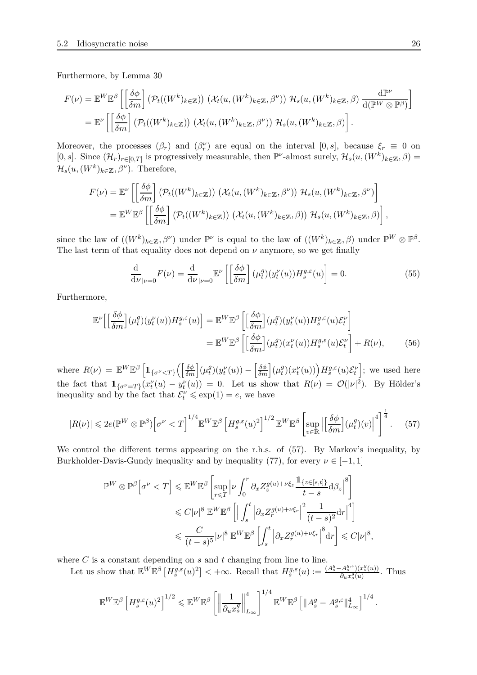Furthermore, by Lemma [30](#page-20-3)

$$
F(\nu) = \mathbb{E}^{W} \mathbb{E}^{\beta} \left[ \left[ \frac{\delta \phi}{\delta m} \right] \left( \mathcal{P}_{t}((W^{k})_{k \in \mathbb{Z}}) \right) \left( \mathcal{X}_{t}(u, (W^{k})_{k \in \mathbb{Z}}, \beta^{\nu}) \right) \mathcal{H}_{s}(u, (W^{k})_{k \in \mathbb{Z}}, \beta) \frac{d\mathbb{P}^{\nu}}{d(\mathbb{P}^{W} \otimes \mathbb{P}^{\beta})} \right]
$$
  
= 
$$
\mathbb{E}^{\nu} \left[ \left[ \frac{\delta \phi}{\delta m} \right] \left( \mathcal{P}_{t}((W^{k})_{k \in \mathbb{Z}}) \right) \left( \mathcal{X}_{t}(u, (W^{k})_{k \in \mathbb{Z}}, \beta^{\nu}) \right) \mathcal{H}_{s}(u, (W^{k})_{k \in \mathbb{Z}}, \beta) \right].
$$

Moreover, the processes  $(\beta_r)$  and  $(\beta_r^{\nu})$  are equal on the interval  $[0, s]$ , because  $\xi_r \equiv 0$  on [0*, s*]. Since  $(\mathcal{H}_r)_{r \in [0,T]}$  is progressively measurable, then  $\mathbb{P}^{\nu}$ -almost surely,  $\mathcal{H}_s(u,(W^k)_{k \in \mathbb{Z}},\beta)$  =  $\mathcal{H}_s(u,(W^k)_{k\in\mathbb{Z}},\beta^{\nu}).$  Therefore,

$$
F(\nu) = \mathbb{E}^{\nu} \left[ \left[ \frac{\delta \phi}{\delta m} \right] \left( \mathcal{P}_t((W^k)_{k \in \mathbb{Z}}) \right) \left( \mathcal{X}_t(u, (W^k)_{k \in \mathbb{Z}}, \beta^{\nu}) \right) \mathcal{H}_s(u, (W^k)_{k \in \mathbb{Z}}, \beta^{\nu}) \right]
$$
  
= 
$$
\mathbb{E}^W \mathbb{E}^{\beta} \left[ \left[ \frac{\delta \phi}{\delta m} \right] \left( \mathcal{P}_t((W^k)_{k \in \mathbb{Z}}) \right) \left( \mathcal{X}_t(u, (W^k)_{k \in \mathbb{Z}}, \beta) \right) \mathcal{H}_s(u, (W^k)_{k \in \mathbb{Z}}, \beta) \right],
$$

since the law of  $((W^k)_{k\in\mathbb{Z}}, \beta^{\nu})$  under  $\mathbb{P}^{\nu}$  is equal to the law of  $((W^k)_{k\in\mathbb{Z}}, \beta)$  under  $\mathbb{P}^W \otimes \mathbb{P}^{\beta}$ . The last term of that equality does not depend on  $\nu$  anymore, so we get finally

<span id="page-25-2"></span><span id="page-25-1"></span>
$$
\frac{\mathrm{d}}{\mathrm{d}\nu}_{|\nu=0}F(\nu) = \frac{\mathrm{d}}{\mathrm{d}\nu}_{|\nu=0}\mathbb{E}^{\nu}\left[\left(\frac{\delta\phi}{\delta m}\right](\mu_t^g)(y_t^{\nu}(u))H_s^{g,\varepsilon}(u)\right] = 0.
$$
\n(55)

Furthermore,

$$
\mathbb{E}^{\nu}\Big[\Big[\frac{\delta\phi}{\delta m}\Big](\mu_t^g)(y_t^{\nu}(u))H_s^{g,\varepsilon}(u)\Big] = \mathbb{E}^{W}\mathbb{E}^{\beta}\left[\Big[\frac{\delta\phi}{\delta m}\Big](\mu_t^g)(y_t^{\nu}(u))H_s^{g,\varepsilon}(u)\mathcal{E}_t^{\nu}\right] \n= \mathbb{E}^{W}\mathbb{E}^{\beta}\left[\Big[\frac{\delta\phi}{\delta m}\Big](\mu_t^g)(x_t^{\nu}(u))H_s^{g,\varepsilon}(u)\mathcal{E}_t^{\nu}\right] + R(\nu),
$$
\n(56)

where  $R(\nu) = \mathbb{E}^W \mathbb{E}^{\beta} \left[ \mathbb{1}_{\{\sigma^{\nu} < T\}} \left( \left[ \frac{\delta \phi}{\delta m} \right] (\mu_t^g) \right] \right]$  $\left( \frac{g}{t} \right) \left( y_t^{\nu}(u) \right) - \left[ \frac{\delta \phi}{\delta m} \right] \left( \mu_t^g \right)$  $\int_t^g (x_t^{\nu}(u)) dx_s^{\nu}(u) \mathcal{E}_t^{\nu}$ i ; we used here the fact that  $1_{\{\sigma^{\nu}=T\}}(x_t^{\nu}(u)-y_t^{\nu}(u))=0$ . Let us show that  $R(\nu)=\mathcal{O}(|\nu|^2)$ . By Hölder's inequality and by the fact that  $\mathcal{E}'_t \leq \exp(1) = e$ , we have

$$
|R(\nu)| \leqslant 2e(\mathbb{P}^W \otimes \mathbb{P}^{\beta}) \Big[ \sigma^{\nu} < T \Big]^{1/4} \mathbb{E}^W \mathbb{E}^{\beta} \left[ H_s^{g,\varepsilon}(u)^2 \right]^{1/2} \mathbb{E}^W \mathbb{E}^{\beta} \left[ \sup_{v \in \mathbb{R}} \left| \left[ \frac{\delta \phi}{\delta m} \right] (\mu_t^g)(v) \right|^4 \right]^{\frac{1}{4}}. \tag{57}
$$

We control the different terms appearing on the r.h.s. of [\(57\)](#page-25-0). By Markov's inequality, by Burkholder-Davis-Gundy inequality and by inequality [\(77\)](#page-35-3), for every  $\nu \in [-1,1]$ 

<span id="page-25-0"></span>
$$
\mathbb{P}^{W} \otimes \mathbb{P}^{\beta} \Big[ \sigma^{\nu} < T \Big] \leqslant \mathbb{E}^{W} \mathbb{E}^{\beta} \left[ \sup_{r \leqslant T} \left| \nu \int_{0}^{r} \partial_{x} Z_{z}^{g(u) + \nu \xi_{z}} \frac{\mathbb{1}_{\{z \in [s,t]\}}}{t-s} \mathrm{d} \beta_{z} \right|^{8} \right] \leqslant C |\nu|^{8} \mathbb{E}^{W} \mathbb{E}^{\beta} \left[ \left| \int_{s}^{t} \left| \partial_{x} Z_{r}^{g(u) + \nu \xi_{r}} \right|^{2} \frac{1}{(t-s)^{2}} \mathrm{d} r \right|^{4} \right] \leqslant \frac{C}{(t-s)^{5}} |\nu|^{8} \mathbb{E}^{W} \mathbb{E}^{\beta} \left[ \int_{s}^{t} \left| \partial_{x} Z_{r}^{g(u) + \nu \xi_{r}} \right|^{8} \mathrm{d} r \right] \leqslant C |\nu|^{8},
$$

where *C* is a constant depending on *s* and *t* changing from line to line.

Let us show that  $\mathbb{E}^{W} \mathbb{E}^{\beta} \left[ H_s^{g,\varepsilon}(u)^2 \right] < +\infty$ . Recall that  $H_s^{g,\varepsilon}(u) := \frac{(A_s^g - A_s^{g,\varepsilon})(x_s^g(u))}{\partial_u x_s^g(u)}$  $\frac{\partial u}{\partial u} x_s^g(u)$ . Thus

$$
\mathbb{E}^{W} \mathbb{E}^{\beta} \left[ H_s^{g,\varepsilon}(u)^2 \right]^{1/2} \leqslant \mathbb{E}^{W} \mathbb{E}^{\beta} \left[ \left\| \frac{1}{\partial_u x_s^g} \right\|_{L_\infty}^4 \right]^{1/4} \mathbb{E}^{W} \mathbb{E}^{\beta} \left[ \left\| A_s^g - A_s^{g,\varepsilon} \right\|_{L_\infty}^4 \right]^{1/4}.
$$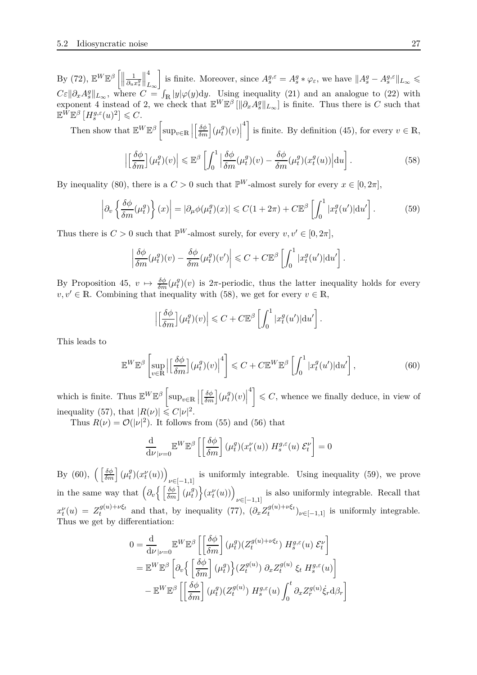$\mathrm{By}$  [\(72\)](#page-34-1),  $\mathbb{E}^{W}\mathbb{E}^{\beta}\left[\Vert$ 1 *∂ux g s*  $\begin{tabular}{|c|c|} \hline \quad \quad & \quad \quad & \quad \quad \\ \hline \quad \quad & \quad \quad & \quad \quad \\ \hline \quad \quad & \quad \quad \\ \hline \end{tabular}$ 4 *L*∞ is finite. Moreover, since  $A_s^{g,\varepsilon} = A_s^g * \varphi_\varepsilon$ , we have  $||A_s^g - A_s^{g,\varepsilon}||_{L_\infty} \le$  $C\varepsilon$ || $\partial_x A^g$ || $L_\infty$ , where  $C = I_{\mathbb{R}} |y| \varphi(y) dy$ . Using inequality [\(21\)](#page-12-2) and an analogue to [\(22\)](#page-12-3) with exponent 4 instead of 2, we check that  $\mathbb{E}^{W}\mathbb{E}^{\beta}[\|\partial_x A_{s}^{g}\|_{L_{\infty}}]$  is finite. Thus there is *C* such that  $\mathbb{E}^W \mathbb{E}^{\beta} \left[ H_s^{g,\varepsilon}(u)^2 \right] \leqslant C.$ 

Then show that  $\mathbb{E}^{W} \mathbb{E}^{\beta}$ sup*v*∈<sup>R</sup>  $\left[\frac{\delta\phi}{\delta m}\right](\mu_t^g)$  $\binom{g}{t}(v)$ <sup>4</sup> is finite. By definition [\(45\)](#page-19-3), for every  $v \in \mathbb{R}$ ,

<span id="page-26-0"></span>
$$
\left| \left[ \frac{\delta \phi}{\delta m} \right] (\mu_t^g)(v) \right| \leq \mathbb{E}^{\beta} \left[ \int_0^1 \left| \frac{\delta \phi}{\delta m} (\mu_t^g)(v) - \frac{\delta \phi}{\delta m} (\mu_t^g)(x_t^g(u)) \right| \mathrm{d}u \right]. \tag{58}
$$

By inequality [\(80\)](#page-37-2), there is a  $C > 0$  such that  $\mathbb{P}^W$ -almost surely for every  $x \in [0, 2\pi]$ ,

$$
\left| \partial_v \left\{ \frac{\delta \phi}{\delta m}(\mu_t^g) \right\} (x) \right| = \left| \partial_\mu \phi(\mu_t^g)(x) \right| \leqslant C(1 + 2\pi) + C \mathbb{E}^\beta \left[ \int_0^1 |x_t^g(u')| \mathrm{d} u' \right]. \tag{59}
$$

Thus there is  $C > 0$  such that  $\mathbb{P}^W$ -almost surely, for every  $v, v' \in [0, 2\pi]$ ,

$$
\left|\frac{\delta\phi}{\delta m}(\mu_t^g)(v) - \frac{\delta\phi}{\delta m}(\mu_t^g)(v')\right| \leq C + C\mathbb{E}^{\beta}\left[\int_0^1 |x_t^g(u')| \mathrm{d}u'\right].
$$

By Proposition [45,](#page-39-0)  $v \mapsto \frac{\delta \phi}{\delta m} (\mu_t^g)$  $t^{g}(v)$  is  $2\pi$ -periodic, thus the latter inequality holds for every  $v, v' \in \mathbb{R}$ . Combining that inequality with [\(58\)](#page-26-0), we get for every  $v \in \mathbb{R}$ 

<span id="page-26-2"></span><span id="page-26-1"></span>
$$
\left| \left[ \frac{\delta \phi}{\delta m} \right] (\mu_t^g)(v) \right| \leq C + C \mathbb{E}^{\beta} \left[ \int_0^1 |x_t^g(u')| \mathrm{d}u' \right].
$$

This leads to

$$
\mathbb{E}^W \mathbb{E}^{\beta} \left[ \sup_{v \in \mathbb{R}} \left| \left[ \frac{\delta \phi}{\delta m} \right] (\mu_t^g)(v) \right|^4 \right] \leq C + C \mathbb{E}^W \mathbb{E}^{\beta} \left[ \int_0^1 |x_t^g(u')| \mathrm{d} u' \right],\tag{60}
$$

which is finite. Thus  $\mathbb{E}^{W} \mathbb{E}^{\beta}$ sup*v*∈<sup>R</sup>  $\left[\frac{\delta\phi}{\delta m}\right](\mu_t^g)$  $\binom{g}{t}(v)$  $\left\{ \mathcal{L}^4 \right\} \leqslant C$ , whence we finally deduce, in view of inequality [\(57\)](#page-25-0), that  $|R(\nu)| \leq C|\nu|^2$ .

Thus  $R(\nu) = \mathcal{O}(|\nu|^2)$ . It follows from [\(55\)](#page-25-1) and [\(56\)](#page-25-2) that

$$
\frac{\mathrm{d}}{\mathrm{d}\nu}_{|\nu=0} \mathbb{E}^W \mathbb{E}^{\beta} \left[ \left[ \frac{\delta \phi}{\delta m} \right] (\mu_t^g)(x_t^{\nu}(u)) H_s^{g,\varepsilon}(u) \mathcal{E}_t^{\nu} \right] = 0
$$

By [\(60\)](#page-26-1),  $\left( \left\lceil \frac{\delta \phi}{\delta m} \right\rceil (\mu_t^g) \right)$  $\binom{g}{t}(x_t^{\nu}(u))$  is uniformly integrable. Using inequality [\(59\)](#page-26-2), we prove *ν*∈[−1*,*1] in the same way that  $\left(\partial_v \left\{\left\lceil \frac{\delta \phi}{\delta m} \right\rceil (\mu_t^g)\right\}\right)$  $\left\{ \left( x_{t}^{\nu}(u) \right) \right\}$ *ν*∈[−1*,*1] is also uniformly integrable. Recall that  $x_t^{\nu}(u) = Z_t^{g(u)+\nu\xi_t}$  $a_t^{g(u)+\nu\xi_t}$  and that, by inequality [\(77\)](#page-35-3),  $(\partial_x Z_t^{g(u)+\nu\xi_t})$  $(t^{(y(u)+\nu \zeta t)})_{\nu \in [-1,1]}$  is uniformly integrable. Thus we get by differentiation:

$$
0 = \frac{\mathrm{d}}{\mathrm{d}\nu_{|\nu=0}} \mathbb{E}^{W} \mathbb{E}^{\beta} \left[ \left[ \frac{\delta \phi}{\delta m} \right] (\mu_{t}^{g}) (Z_{t}^{g(u)+\nu\xi_{t}}) H_{s}^{g,\varepsilon}(u) \mathcal{E}_{t}^{\nu} \right]
$$
  
\n
$$
= \mathbb{E}^{W} \mathbb{E}^{\beta} \left[ \partial_{v} \left\{ \left[ \frac{\delta \phi}{\delta m} \right] (\mu_{t}^{g}) \right\} (Z_{t}^{g(u)}) \partial_{x} Z_{t}^{g(u)} \xi_{t} H_{s}^{g,\varepsilon}(u) \right]
$$
  
\n
$$
- \mathbb{E}^{W} \mathbb{E}^{\beta} \left[ \left[ \frac{\delta \phi}{\delta m} \right] (\mu_{t}^{g}) (Z_{t}^{g(u)}) H_{s}^{g,\varepsilon}(u) \int_{0}^{t} \partial_{x} Z_{r}^{g(u)} \xi_{r} d\beta_{r} \right]
$$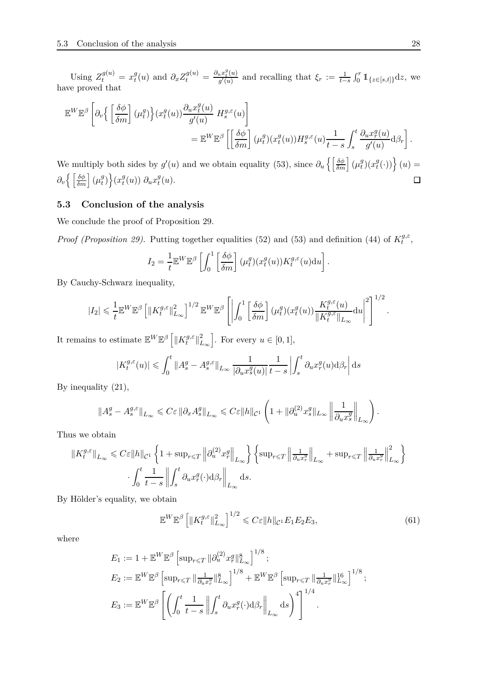Using  $Z_t^{g(u)} = x_t^g$ *g*(*u*) and  $\partial_x Z_t^{g(u)} = \frac{\partial_u x_t^g(u)}{g'(u)}$  $\frac{d}{dx} \frac{d}{dx} \left( u \right)$  and recalling that  $\xi_r := \frac{1}{t-s}$  $\int_0^r \mathbb{1}_{\{z \in [s,t]\}} dz$ , we have proved that

$$
\mathbb{E}^{W} \mathbb{E}^{\beta} \left[ \partial_{v} \left\{ \left[ \frac{\delta \phi}{\delta m} \right] (\mu_{t}^{g}) \right\} (x_{t}^{g}(u)) \frac{\partial_{u} x_{t}^{g}(u)}{g'(u)} H_{s}^{g,\varepsilon}(u) \right] \n= \mathbb{E}^{W} \mathbb{E}^{\beta} \left[ \left[ \frac{\delta \phi}{\delta m} \right] (\mu_{t}^{g}) (x_{t}^{g}(u)) H_{s}^{g,\varepsilon}(u) \frac{1}{t-s} \int_{s}^{t} \frac{\partial_{u} x_{r}^{g}(u)}{g'(u)} d\beta_{r} \right].
$$

We multiply both sides by  $g'(u)$  and we obtain equality [\(53\)](#page-24-1), since  $\partial_u \left\{ \left[ \frac{\delta \phi}{\delta m} \right] (\mu_t^g) \right\}$  $\left\{ \begin{matrix} g(t) \\ t(0) \end{matrix} \right\}$   $(u) =$  $g(t)$ <sub> $(x_t^g)$ </sub>  $\partial_v \Big\{ \left[ \frac{\delta \phi}{\delta m} \right] (\mu_t^g)$  $\left\{ g\right\}$   $\left\{ x_{t}^{g}\right\}$  $\partial_t^g(u)$ )  $\partial_u x_t^g$  $\Box$  $\frac{g}{t}(u)$ .

#### **5.3 Conclusion of the analysis**

We conclude the proof of Proposition [29.](#page-19-1)

*Proof (Proposition [29\)](#page-19-1).* Putting together equalities [\(52\)](#page-23-0) and [\(53\)](#page-24-1) and definition [\(44\)](#page-19-4) of  $K_t^{g,\varepsilon}$  $t^{g,\varepsilon}$ ,

$$
I_2 = \frac{1}{t} \mathbb{E}^W \mathbb{E}^{\beta} \left[ \int_0^1 \left[ \frac{\delta \phi}{\delta m} \right] (\mu_t^g)(x_t^g(u)) K_t^{g,\varepsilon}(u) \mathrm{d}u \right].
$$

By Cauchy-Schwarz inequality,

$$
|I_2| \leq \frac{1}{t} \mathbb{E}^W \mathbb{E}^{\beta} \left[ \left\| K_t^{g,\varepsilon} \right\|_{L_\infty}^2 \right]^{1/2} \mathbb{E}^W \mathbb{E}^{\beta} \left[ \left| \int_0^1 \left[ \frac{\delta \phi}{\delta m} \right] (\mu_t^g)(x_t^g(u)) \frac{K_t^{g,\varepsilon}(u)}{\| K_t^{g,\varepsilon} \|_{L_\infty}} \mathrm{d}u \right|^2 \right]^{1/2}
$$

It remains to estimate  $\mathbb{E}^{W} \mathbb{E}^{\beta}$   $\left[ \Vert K_t^{g, \varepsilon} \right]$  $\frac{g}{t}$ <sup>2</sup>  $L_{\infty}$ . For every  $u \in [0, 1]$ ,

$$
|K_t^{g,\varepsilon}(u)| \leqslant \int_0^t \|A_s^g - A_s^{g,\varepsilon}\|_{L_\infty} \frac{1}{|\partial_u x_s^g(u)|} \frac{1}{t-s} \left| \int_s^t \partial_u x_r^g(u) \mathrm{d} \beta_r \right| \mathrm{d} s
$$

By inequality [\(21\)](#page-12-2),

$$
\|A_s^g-A_s^{g,\varepsilon}\|_{L_\infty}\leqslant C\varepsilon\left\|\partial_xA_s^g\right\|_{L_\infty}\leqslant C\varepsilon\|h\|_{\mathcal{C}^1}\left(1+\|\partial_u^{(2)}x_s^g\|_{L_\infty}\left\|\frac{1}{\partial_u x_s^g}\right\|_{L_\infty}\right).
$$

Thus we obtain

$$
||K_t^{g,\varepsilon}||_{L_{\infty}} \leqslant C\varepsilon ||h||_{\mathcal{C}^1} \left\{ 1 + \sup_{r \leqslant T} \left\| \partial_u^{(2)} x_r^g \right\|_{L_{\infty}} \right\} \left\{ \sup_{r \leqslant T} \left\| \frac{1}{\partial_u x_r^g} \right\|_{L_{\infty}} + \sup_{r \leqslant T} \left\| \frac{1}{\partial_u x_r^g} \right\|_{L_{\infty}}^2 \right\}
$$

$$
\cdot \int_0^t \frac{1}{t-s} \left\| \int_s^t \partial_u x_r^g(\cdot) \mathrm{d} \beta_r \right\|_{L_{\infty}} \mathrm{d}s.
$$

By Hölder's equality, we obtain

$$
\mathbb{E}^{W}\mathbb{E}^{\beta}\left[\|K_t^{g,\varepsilon}\|_{L_{\infty}}^2\right]^{1/2} \leqslant C\varepsilon\|h\|_{\mathcal{C}^1}E_1E_2E_3,\tag{61}
$$

where

$$
E_1 := 1 + \mathbb{E}^W \mathbb{E}^{\beta} \left[ \sup_{r \leq T} \|\partial_u^{(2)} x_r^g\|_{L_\infty}^8 \right]^{1/8};
$$
  
\n
$$
E_2 := \mathbb{E}^W \mathbb{E}^{\beta} \left[ \sup_{r \leq T} \|\frac{1}{\partial_u x_r^g}\|_{L_\infty}^8 \right]^{1/8} + \mathbb{E}^W \mathbb{E}^{\beta} \left[ \sup_{r \leq T} \|\frac{1}{\partial_u x_r^g}\|_{L_\infty}^{16} \right]^{1/8};
$$
  
\n
$$
E_3 := \mathbb{E}^W \mathbb{E}^{\beta} \left[ \left( \int_0^t \frac{1}{t-s} \left\| \int_s^t \partial_u x_r^g(\cdot) \mathrm{d}\beta_r \right\|_{L_\infty} \mathrm{d}s \right)^4 \right]^{1/4}.
$$

<span id="page-27-0"></span>*.*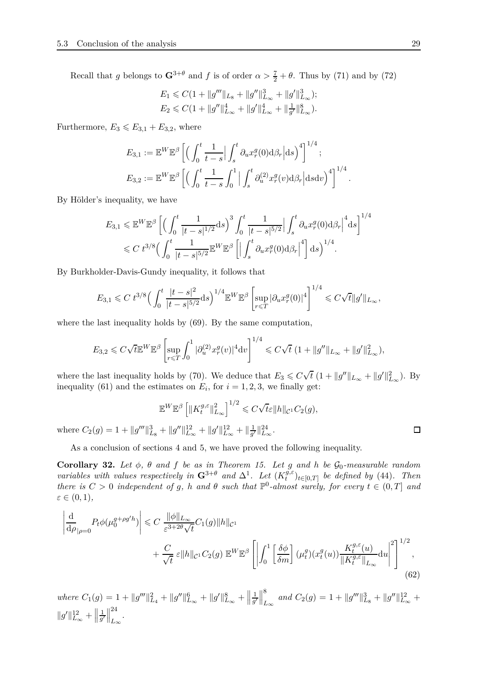Recall that *g* belongs to  $\mathbf{G}^{3+\theta}$  and *f* is of order  $\alpha > \frac{7}{2} + \theta$ . Thus by [\(71\)](#page-34-0) and by [\(72\)](#page-34-1)

$$
E_1 \leq C\left(1 + \|g''' \|_{L_8} + \|g'' \|_{L_{\infty}}^3 + \|g' \|_{L_{\infty}}^3\right);
$$
  

$$
E_2 \leq C\left(1 + \|g'' \|_{L_{\infty}}^4 + \|g' \|_{L_{\infty}}^4 + \| \frac{1}{g'} \|_{L_{\infty}}^8\right).
$$

Furthermore,  $E_3 \leqslant E_{3,1} + E_{3,2}$ , where

$$
E_{3,1} := \mathbb{E}^W \mathbb{E}^{\beta} \left[ \left( \int_0^t \frac{1}{t-s} \Big| \int_s^t \partial_u x_r^g(0) \mathrm{d} \beta_r \Big| \mathrm{d} s \right)^4 \right]^{1/4};
$$
  

$$
E_{3,2} := \mathbb{E}^W \mathbb{E}^{\beta} \left[ \left( \int_0^t \frac{1}{t-s} \int_0^1 \Big| \int_s^t \partial_u^{(2)} x_r^g(v) \mathrm{d} \beta_r \Big| \mathrm{d} s \mathrm{d} v \right)^4 \right]^{1/4}.
$$

By Hölder's inequality, we have

$$
E_{3,1} \leq \mathbb{E}^{W} \mathbb{E}^{\beta} \left[ \left( \int_{0}^{t} \frac{1}{|t-s|^{1/2}} ds \right)^{3} \int_{0}^{t} \frac{1}{|t-s|^{5/2}} \left| \int_{s}^{t} \partial_{u} x_{r}^{g}(0) d\beta_{r} \right|^{4} ds \right]^{1/4}
$$
  

$$
\leq C \ t^{3/8} \left( \int_{0}^{t} \frac{1}{|t-s|^{5/2}} \mathbb{E}^{W} \mathbb{E}^{\beta} \left[ \left| \int_{s}^{t} \partial_{u} x_{r}^{g}(0) d\beta_{r} \right|^{4} \right] ds \right)^{1/4}.
$$

By Burkholder-Davis-Gundy inequality, it follows that

$$
E_{3,1} \leqslant C\; t^{3/8} \Big( \int_0^t \frac{|t-s|^2}{|t-s|^{5/2}} \mathrm{d} s \Big)^{1/4} \mathbb{E}^W \mathbb{E}^{\beta} \left[ \sup_{r \leqslant T} |\partial_u x_r^g(0)|^4 \right]^{1/4} \leqslant C \sqrt{t} \| g' \|_{L_{\infty}},
$$

where the last inequality holds by [\(69\)](#page-34-3). By the same computation,

$$
E_{3,2} \leq C\sqrt{t} \mathbb{E}^W \mathbb{E}^{\beta} \left[ \sup_{r \leq T} \int_0^1 |\partial_u^{(2)} x_r^g(v)|^4 \mathrm{d}v \right]^{1/4} \leq C\sqrt{t} \ (1 + \|g''\|_{L_\infty} + \|g'\|_{L_\infty}^2),
$$

where the last inequality holds by [\(70\)](#page-34-4). We deduce that  $E_3 \leqslant C \sqrt{t} (1 + ||g''||_{L_\infty} + ||g'||_{L_\infty}^2)$ . By inequality [\(61\)](#page-27-0) and the estimates on  $E_i$ , for  $i = 1, 2, 3$ , we finally get:

$$
\mathbb{E}^{W} \mathbb{E}^{\beta} \left[ \|K_t^{g,\varepsilon}\|_{L_{\infty}}^2 \right]^{1/2} \leqslant C\sqrt{t}\varepsilon \|h\|_{\mathcal{C}^1} C_2(g),
$$
  
where  $C_2(g) = 1 + \|g'''\|_{L_8}^3 + \|g''\|_{L_{\infty}}^{12} + \|g'\|_{L_{\infty}}^{12} + \|\frac{1}{g'}\|_{L_{\infty}}^{24}.$ 

As a conclusion of sections [4](#page-10-0) and [5,](#page-19-0) we have proved the following inequality.

<span id="page-28-0"></span>**Corollary 32.** Let  $\phi$ ,  $\theta$  and  $f$  be as in Theorem [15.](#page-8-0) Let  $g$  and  $h$  be  $\mathcal{G}_0$ -measurable random *variables with values respectively in*  $\mathbf{G}^{3+\theta}$  *and*  $\Delta^1$ *. Let*  $(K_t^{g,\varepsilon})$  $(t^{g,\varepsilon})_{t \in [0,T]}$  *be defined by* [\(44\)](#page-19-4). Then *there is*  $C > 0$  *independent of*  $g$ *,*  $h$  *and*  $\theta$  *such that*  $\mathbb{P}^0$ -*almost surely, for every*  $t \in (0, T]$  *and ε* ∈ (0*,* 1)*,*

<span id="page-28-1"></span>
$$
\left| \frac{\mathrm{d}}{\mathrm{d}\rho}_{|\rho=0} P_t \phi(\mu_0^{g+\rho g'h}) \right| \leq C \frac{\|\phi\|_{L_{\infty}}}{\varepsilon^{3+2\theta}\sqrt{t}} C_1(g) \|h\|_{\mathcal{C}^1} + \frac{C}{\sqrt{t}} \varepsilon \|h\|_{\mathcal{C}^1} C_2(g) \mathbb{E}^W \mathbb{E}^{\beta} \left[ \left| \int_0^1 \left[ \frac{\delta\phi}{\delta m} \right] (\mu_t^g)(x_t^g(u)) \frac{K_t^{g,\varepsilon}(u)}{\|K_t^{g,\varepsilon}\|_{L_{\infty}}} \mathrm{d}u \right|^2 \right]^{1/2},
$$
\n
$$
(62)
$$

 $where C_1(g) = 1 + ||g'''||^2_{L_4} + ||g''||^6_{L_{\infty}} + ||g'||^8_{L_{\infty}} + ||g'''||^2_{L_{\infty}}$ 1  $\frac{1}{g'}$ 8  $L_{\infty}$  and  $C_2(g) = 1 + ||g'''||_{L_8}^3 + ||g''||_{L_{\infty}}^{12} + ...$  $\|g'\|_{L_\infty}^{12}+\Big\|$ 1  $\frac{1}{g'}$ 24 *L*∞ *.*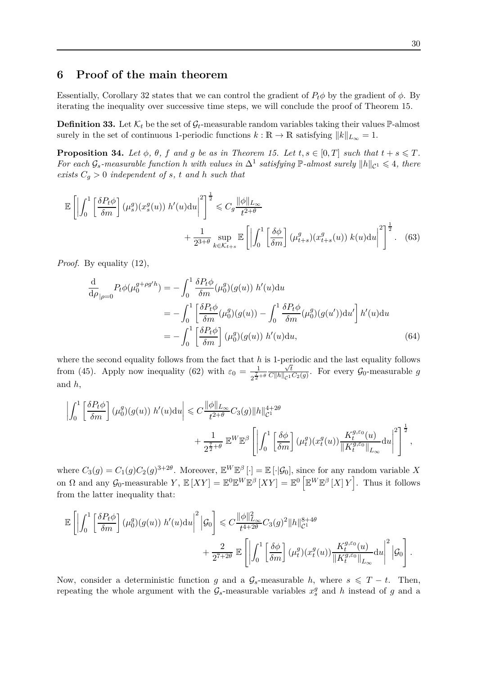# <span id="page-29-0"></span>**6 Proof of the main theorem**

Essentially, Corollary [32](#page-28-0) states that we can control the gradient of  $P_t\phi$  by the gradient of  $\phi$ . By iterating the inequality over successive time steps, we will conclude the proof of Theorem [15.](#page-8-0)

<span id="page-29-3"></span>**Definition 33.** Let  $\mathcal{K}_t$  be the set of  $\mathcal{G}_t$ -measurable random variables taking their values  $\mathbb{P}\text{-almost}$ surely in the set of continuous 1-periodic functions  $k : \mathbb{R} \to \mathbb{R}$  satisfying  $||k||_{L_{\infty}} = 1$ .

<span id="page-29-2"></span>**Proposition 34.** Let  $\phi$ ,  $\theta$ ,  $f$  and  $g$  be as in Theorem [15.](#page-8-0) Let  $t, s \in [0, T]$  such that  $t + s \leq T$ . *For each*  $\mathcal{G}_s$ -measurable function *h* with values in  $\Delta^1$  satisfying  $\mathbb{P}$ -almost surely  $||h||_{\mathcal{C}^1} \leq 4$ , there *exists*  $C_g > 0$  *independent of s, t and h such that* 

$$
\mathbb{E}\left[\left|\int_{0}^{1}\left[\frac{\delta P_{t}\phi}{\delta m}\right](\mu_{s}^{g})(x_{s}^{g}(u)) h'(u)du\right|^{2}\right]^{\frac{1}{2}} \leq C_{g}\frac{\|\phi\|_{L_{\infty}}}{t^{2+\theta}} + \frac{1}{2^{3+\theta} \sup_{k\in\mathcal{K}_{t+s}} \mathbb{E}\left[\left|\int_{0}^{1}\left[\frac{\delta\phi}{\delta m}\right](\mu_{t+s}^{g})(x_{t+s}^{g}(u)) k(u)du\right|^{2}\right]^{\frac{1}{2}}.
$$
 (63)

*Proof.* By equality [\(12\)](#page-8-4),

<span id="page-29-4"></span><span id="page-29-1"></span>
$$
\frac{\mathrm{d}}{\mathrm{d}\rho}_{|\rho=0} P_t \phi(\mu_0^{g+\rho g'h}) = -\int_0^1 \frac{\delta P_t \phi}{\delta m}(\mu_0^g)(g(u)) h'(u) \mathrm{d}u
$$
\n
$$
= -\int_0^1 \left[ \frac{\delta P_t \phi}{\delta m}(\mu_0^g)(g(u)) - \int_0^1 \frac{\delta P_t \phi}{\delta m}(\mu_0^g)(g(u')) \mathrm{d}u' \right] h'(u) \mathrm{d}u
$$
\n
$$
= -\int_0^1 \left[ \frac{\delta P_t \phi}{\delta m} \right] (\mu_0^g)(g(u)) h'(u) \mathrm{d}u, \tag{64}
$$

where the second equality follows from the fact that  $h$  is 1-periodic and the last equality follows from [\(45\)](#page-19-3). Apply now inequality [\(62\)](#page-28-1) with  $\varepsilon_0 = \frac{1}{\sqrt{15}}$  $2^{\frac{7}{2}+\theta}$ √ *t*  $\frac{\sqrt{t}}{C\|h\|_{\mathcal{C}^1}C_2(g)}$ . For every  $\mathcal{G}_0$ -measurable *g* and *h*,

$$
\left| \int_0^1 \left[ \frac{\delta P_t \phi}{\delta m} \right] (\mu_0^g)(g(u)) h'(u) du \right| \leq C \frac{\|\phi\|_{L_\infty}}{t^{2+\theta}} C_3(g) \|h\|_{\mathcal{C}^1}^{4+2\theta} + \frac{1}{2^{\frac{7}{2}+\theta}} \mathbb{E}^W \mathbb{E}^{\beta} \left[ \left| \int_0^1 \left[ \frac{\delta \phi}{\delta m} \right] (\mu_t^g)(x_t^g(u)) \frac{K_t^{g,\varepsilon_0}(u)}{\|K_t^{g,\varepsilon_0}\|_{L_\infty}} du \right|^2 \right]^{\frac{1}{2}},
$$

where  $C_3(g) = C_1(g)C_2(g)^{3+2\theta}$ . Moreover,  $\mathbb{E}^W \mathbb{E}^{\beta}[\cdot] = \mathbb{E}[\cdot|\mathcal{G}_0]$ , since for any random variable X on  $\Omega$  and any  $\mathcal{G}_0$ -measurable  $Y$ ,  $\mathbb{E}[XY] = \mathbb{E}^0 \mathbb{E}^W \mathbb{E}^{\beta} [XY] = \mathbb{E}^0 \left[ \mathbb{E}^W \mathbb{E}^{\beta} [X] Y \right]$ . Thus it follows from the latter inequality that:

$$
\mathbb{E}\left[\left|\int_0^1 \left[\frac{\delta P_t \phi}{\delta m}\right](\mu_0^g)(g(u)) h'(u) \mathrm{d}u\right|^2 \Big| \mathcal{G}_0\right] \leq C \frac{\|\phi\|_{L_\infty}^2}{t^{4+2\theta}} C_3(g)^2 \|h\|_{\mathcal{C}^1}^{8+4\theta} + \frac{2}{2^{7+2\theta}} \mathbb{E}\left[\left|\int_0^1 \left[\frac{\delta \phi}{\delta m}\right](\mu_t^g)(x_t^g(u)) \frac{K_t^{g,\varepsilon_0}(u)}{\|K_t^{g,\varepsilon_0}\|_{L_\infty}} \mathrm{d}u\right|^2 \Big| \mathcal{G}_0\right].
$$

Now, consider a deterministic function *g* and a  $\mathcal{G}_s$ -measurable *h*, where  $s \leq T - t$ . Then, repeating the whole argument with the  $\mathcal{G}_s$ -measurable variables  $x_s^g$  and *h* instead of *g* and a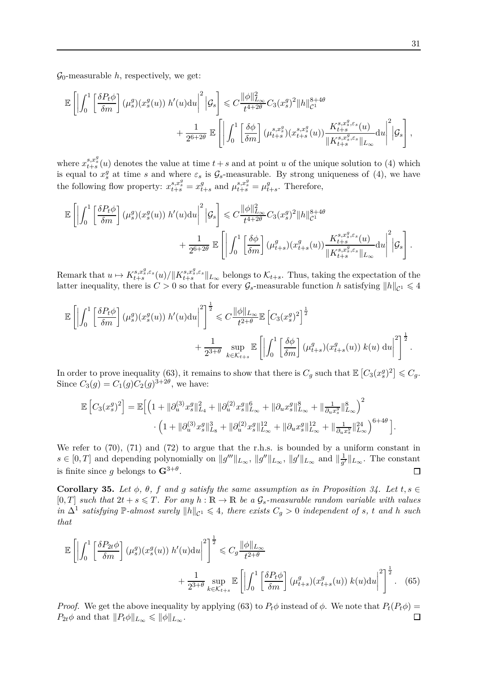$\mathcal{G}_0$ -measurable *h*, respectively, we get:

$$
\mathbb{E}\left[\left|\int_0^1 \left[\frac{\delta P_t \phi}{\delta m}\right](\mu_s^g)(x_s^g(u)) h'(u) \mathrm{d}u\right|^2 \Big| \mathcal{G}_s\right] \leq C \frac{\|\phi\|_{L_\infty}^2}{t^{4+2\theta}} C_3(x_s^g)^2 \|h\|_{\mathcal{C}^1}^{8+4\theta} + \frac{1}{2^{6+2\theta}} \mathbb{E}\left[\left|\int_0^1 \left[\frac{\delta \phi}{\delta m}\right](\mu_{t+s}^{s,x_s^g})(x_{t+s}^{s,x_s^g}(u)) \frac{K_{t+s}^{s,x_s^g,\varepsilon_s}(u)}{\|K_{t+s}^{s,x_s^g,\varepsilon_s}\|_{L_\infty}} \mathrm{d}u\right|^2 \Big| \mathcal{G}_s\right],
$$

where  $x_{t+s}^{s,x_s^g}(u)$  denotes the value at time  $t+s$  and at point *u* of the unique solution to [\(4\)](#page-4-1) which is equal to  $x_s^g$  at time *s* and where  $\varepsilon_s$  is  $\mathcal{G}_s$ -measurable. By strong uniqueness of [\(4\)](#page-4-1), we have the following flow property:  $x_{t+s}^{s,x_s^g} = x_t^g$  $\mu_{t+s}^{g}$  and  $\mu_{t+s}^{s,x_s^g} = \mu_t^g$  $t_{+s}$ . Therefore,

$$
\mathbb{E}\left[\left|\int_0^1\left[\frac{\delta P_t\phi}{\delta m}\right](\mu_s^g)(x_s^g(u)) h'(u)\mathrm{d}u\right|^2\Big|\mathcal{G}_s\right] \leqslant C\frac{\|\phi\|_{L_\infty}^2}{t^{4+2\theta}}C_3(x_s^g)^2\|h\|_{\mathcal{C}^1}^{8+4\theta} + \frac{1}{2^{6+2\theta}}\mathbb{E}\left[\left|\int_0^1\left[\frac{\delta\phi}{\delta m}\right](\mu_{t+s}^g)(x_{t+s}^g(u))\frac{K_{t+s}^{s,x_s^g,\varepsilon_s}(u)}{\|K_{t+s}^{s,x_s^g,\varepsilon_s}\|_{L_\infty}}\mathrm{d}u\right|^2\Big|\mathcal{G}_s\right].
$$

Remark that  $u \mapsto K^{s,x_s^g,\varepsilon_s}_{t+s}(u)/\|K^{s,x_s^g,\varepsilon_s}_{t+s}\|_{L_\infty}$  belongs to  $\mathcal{K}_{t+s}$ . Thus, taking the expectation of the latter inequality, there is  $C > 0$  so that for every  $\mathcal{G}_s$ -measurable function *h* satisfying  $||h||_{\mathcal{C}^1} \leq 4$ 

$$
\mathbb{E}\left[\left|\int_0^1 \left[\frac{\delta P_t \phi}{\delta m}\right](\mu_s^g)(x_s^g(u)) h'(u) \mathrm{d}u\right|^2\right]^{\frac{1}{2}} \leq C \frac{\|\phi\|_{L_\infty}}{t^{2+\theta}} \mathbb{E}\left[C_3(x_s^g)^2\right]^{\frac{1}{2}} + \frac{1}{2^{3+\theta}} \sup_{k \in \mathcal{K}_{t+s}} \mathbb{E}\left[\left|\int_0^1 \left[\frac{\delta \phi}{\delta m}\right](\mu_{t+s}^g)(x_{t+s}^g(u)) k(u) \mathrm{d}u\right|^2\right]^{\frac{1}{2}}.
$$

In order to prove inequality [\(63\)](#page-29-1), it remains to show that there is  $C_g$  such that  $\mathbb{E}\left[C_3(x_s^g)^2\right] \leqslant C_g$ . Since  $C_3(g) = C_1(g)C_2(g)^{3+2\theta}$ , we have:

$$
\mathbb{E}\left[C_3(x_s^g)^2\right] = \mathbb{E}\Big[\Big(1+ \|\partial_u^{(3)}x_s^g\|_{L_4}^2 + \|\partial_u^{(2)}x_s^g\|_{L_\infty}^6 + \|\partial_u x_s^g\|_{L_\infty}^8 + \|\frac{1}{\partial_u x_s^g}\|_{L_\infty}^8\Big)^2 \cdot \Big(1+ \|\partial_u^{(3)}x_s^g\|_{L_8}^3 + \|\partial_u^{(2)}x_s^g\|_{L_\infty}^{12} + \|\partial_u x_s^g\|_{L_\infty}^{12} + \|\frac{1}{\partial_u x_s^g}\|_{L_\infty}^{24}\Big)^{6+4\theta}\Big].
$$

We refer to  $(70)$ ,  $(71)$  and  $(72)$  to argue that the r.h.s. is bounded by a uniform constant in  $s \in [0,T]$  and depending polynomially on  $||g'''||_{L_{\infty}}, ||g''||_{L_{\infty}}, ||g'||_{L_{\infty}}$  and  $||\frac{1}{g'}||_{L_{\infty}}$  $\frac{1}{g'}$ ||<sub>L∞</sub>. The constant is finite since *g* belongs to  $\mathbf{G}^{3+\theta}$ .  $\Box$ 

<span id="page-30-0"></span>**Corollary 35.** Let  $\phi$ ,  $\theta$ ,  $f$  and  $g$  satisfy the same assumption as in Proposition [34.](#page-29-2) Let  $t, s \in$  $[0, T]$  *such that*  $2t + s \leq T$ *. For any*  $h : \mathbb{R} \to \mathbb{R}$  *be a*  $\mathcal{G}_s$ *-measurable random variable with values*  $\int_{0}^{1}$  *satisfying*  $\mathbb{P}\text{-}almost surely \ \|h\|_{\mathcal{C}^1} \leq 4$ , there exists  $C_g > 0$  independent of *s*, *t* and *h* such *that*

<span id="page-30-1"></span>
$$
\mathbb{E}\left[\left|\int_{0}^{1}\left[\frac{\delta P_{2t}\phi}{\delta m}\right](\mu_{s}^{g})(x_{s}^{g}(u)) h'(u)du\right|^{2}\right]^{2} \leq C_{g} \frac{\|\phi\|_{L_{\infty}}}{t^{2+\theta}} + \frac{1}{2^{3+\theta} \sup_{k \in \mathcal{K}_{t+s}} \mathbb{E}\left[\left|\int_{0}^{1}\left[\frac{\delta P_{t}\phi}{\delta m}\right](\mu_{t+s}^{g})(x_{t+s}^{g}(u)) k(u)du\right|^{2}\right]^{2}.
$$
 (65)

*Proof.* We get the above inequality by applying [\(63\)](#page-29-1) to  $P_t\phi$  instead of  $\phi$ . We note that  $P_t(P_t\phi)$  =  $P_{2t}\phi$  and that  $||P_t\phi||_{L_\infty} \le ||\phi||_{L_\infty}$ .  $\Box$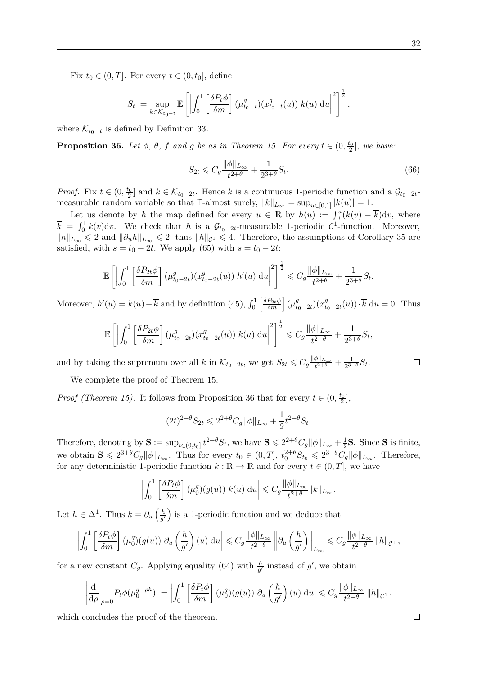Fix  $t_0 \in (0, T]$ . For every  $t \in (0, t_0]$ , define

$$
S_t := \sup_{k \in \mathcal{K}_{t_0-t}} \mathbb{E}\left[\left|\int_0^1 \left[\frac{\delta P_t \phi}{\delta m}\right] (\mu_{t_0-t}^g)(x_{t_0-t}^g(u)) k(u) \, \mathrm{d}u\right|^2\right]^{\frac{1}{2}},
$$

where  $\mathcal{K}_{t_0-t}$  is defined by Definition [33.](#page-29-3)

<span id="page-31-0"></span>**Proposition 36.** *Let*  $\phi$ *,*  $\theta$ *,*  $f$  *and*  $g$  *be as in Theorem [15.](#page-8-0) For every*  $t \in (0, \frac{t_0}{2}]$ *, we have:* 

$$
S_{2t} \leqslant C_g \frac{\|\phi\|_{L_\infty}}{t^{2+\theta}} + \frac{1}{2^{3+\theta}} S_t.
$$
\n
$$
(66)
$$

*Proof.* Fix  $t \in (0, \frac{t_0}{2}]$  and  $k \in \mathcal{K}_{t_0-2t}$ . Hence *k* is a continuous 1-periodic function and a  $\mathcal{G}_{t_0-2t}$ measurable random variable so that P-almost surely,  $||k||_{L_{\infty}} = \sup_{u \in [0,1]} |k(u)| = 1$ .

Let us denote by *h* the map defined for every  $u \in \mathbb{R}$  by  $h(u) := \int_0^u (k(v) - \overline{k}) dv$ , where  $\overline{k} = \int_0^1 k(v) \, dv$ . We check that *h* is a  $\mathcal{G}_{t_0-2t}$ -measurable 1-periodic  $\mathcal{C}^1$ -function. Moreover,  $||h||_{L_{\infty}} \le 2$  and  $||\partial_u h||_{L_{\infty}} \le 2$ ; thus  $||h||_{C^1} \le 4$ . Therefore, the assumptions of Corollary [35](#page-30-0) are satisfied, with  $s = t_0 - 2t$ . We apply [\(65\)](#page-30-1) with  $s = t_0 - 2t$ .

$$
\mathbb{E}\left[\left|\int_0^1 \left[\frac{\delta P_{2t}\phi}{\delta m}\right](\mu_{t_0-2t}^g)(x_{t_0-2t}^g(u)) h'(u) \, \mathrm{d}u\right|^2\right]^{\frac{1}{2}} \leqslant C_g \frac{\|\phi\|_{L_\infty}}{t^{2+\theta}} + \frac{1}{2^{3+\theta}} S_t.
$$

Moreover,  $h'(u) = k(u) - \overline{k}$  and by definition [\(45\)](#page-19-3),  $\int_0^1$  $\left[\frac{\delta P_{2t}\phi}{\delta m}\right](\mu_t^g)$  $f_{t_0-2t}$  $(x_{t_0}^g)$  $f_{t_0-2t}(u)) \cdot k \, du = 0.$  Thus

$$
\mathbb{E}\left[\left|\int_0^1 \left[\frac{\delta P_{2t}\phi}{\delta m}\right](\mu_{t_0-2t}^g)(x_{t_0-2t}^g(u))\ k(u)\ \mathrm{d}u\right|^2\right]^{\frac{1}{2}} \leqslant C_g \frac{\|\phi\|_{L_\infty}}{t^{2+\theta}} + \frac{1}{2^{3+\theta}}S_t
$$

and by taking the supremum over all *k* in  $\mathcal{K}_{t_0-2t}$ , we get  $S_{2t} \leqslant C_g \frac{\|\phi\|_{L_\infty}}{t^{2+\theta}} + \frac{1}{2^{3+1}}$  $\frac{1}{2^{3+\theta}}S_t$ .

We complete the proof of Theorem [15.](#page-8-0)

*Proof (Theorem [15\)](#page-8-0).* It follows from Proposition [36](#page-31-0) that for every  $t \in (0, \frac{t_0}{2})$ ,

$$
(2t)^{2+\theta} S_{2t} \leq 2^{2+\theta} C_g \|\phi\|_{L_\infty} + \frac{1}{2} t^{2+\theta} S_t.
$$

Therefore, denoting by  $S := \sup_{t \in (0,t_0]} t^{2+\theta} S_t$ , we have  $S \leq 2^{2+\theta} C_g ||\phi||_{L_\infty} + \frac{1}{2} S$ . Since S is finite, we obtain  $S \leq 2^{3+\theta}C_g \|\phi\|_{L_\infty}$ . Thus for every  $t_0 \in (0,T]$ ,  $t_0^{2+\theta}S_{t_0} \leq 2^{3+\theta}C_g \|\phi\|_{L_\infty}$ . Therefore, for any deterministic 1-periodic function  $k : \mathbb{R} \to \mathbb{R}$  and for every  $t \in (0, T]$ , we have

$$
\left| \int_0^1 \left[ \frac{\delta P_t \phi}{\delta m} \right] (\mu_0^g)(g(u)) \ k(u) \ du \right| \leqslant C_g \frac{\|\phi\|_{L_\infty}}{t^{2+\theta}} \|k\|_{L_\infty}.
$$

Let  $h \in \Delta^1$ . Thus  $k = \partial_u \left( \frac{h}{g'}\right)$  $\left(\frac{h}{g'}\right)$  is a 1-periodic function and we deduce that

$$
\left| \int_0^1 \left[ \frac{\delta P_t \phi}{\delta m} \right] (\mu_0^g)(g(u)) \ \partial_u \left( \frac{h}{g'} \right) (u) \ du \right| \leqslant C_g \frac{\|\phi\|_{L_\infty}}{t^{2+\theta}} \left\| \partial_u \left( \frac{h}{g'} \right) \right\|_{L_\infty} \leqslant C_g \frac{\|\phi\|_{L_\infty}}{t^{2+\theta}} \left\| h \right\|_{\mathcal{C}^1},
$$

for a new constant  $C_g$ . Applying equality [\(64\)](#page-29-4) with  $\frac{h}{g'}$  instead of  $g'$ , we obtain

$$
\left|\frac{\mathrm{d}}{\mathrm{d}\rho}\right|_{\rho=0} P_t \phi(\mu_0^{g+\rho h})\right| = \left|\int_0^1 \left[\frac{\delta P_t \phi}{\delta m}\right](\mu_0^g)(g(u)) \partial_u \left(\frac{h}{g'}\right)(u) \, \mathrm{d}u\right| \leqslant C_g \frac{\|\phi\|_{L_\infty}}{t^{2+\theta}} \, \|h\|_{\mathcal{C}^1} \,,
$$

which concludes the proof of the theorem.

$$
f_{\rm{max}}
$$

 $\Box$ 

 $\Box$ 

*,*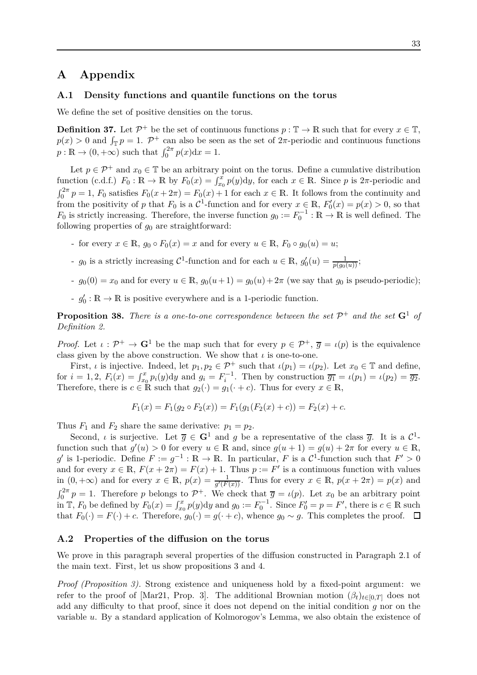# <span id="page-32-0"></span>**A Appendix**

#### **A.1 Density functions and quantile functions on the torus**

We define the set of positive densities on the torus.

<span id="page-32-2"></span>**Definition 37.** Let  $\mathcal{P}^+$  be the set of continuous functions  $p : \mathbb{T} \to \mathbb{R}$  such that for every  $x \in \mathbb{T}$ ,  $p(x) > 0$  and  $\int_{\mathbb{T}} p = 1$ .  $\mathcal{P}^+$  can also be seen as the set of  $2\pi$ -periodic and continuous functions  $p : \mathbb{R} \to (0, +\infty)$  such that  $\int_0^{2\pi} p(x) dx = 1$ .

Let  $p \in \mathcal{P}^+$  and  $x_0 \in \mathbb{T}$  be an arbitrary point on the torus. Define a cumulative distribution function (c.d.f.)  $F_0: \mathbb{R} \to \mathbb{R}$  by  $F_0(x) = \int_{x_0}^x p(y) dy$ , for each  $x \in \mathbb{R}$ . Since p is  $2\pi$ -periodic and  $\int_0^{2\pi} p = 1$ ,  $F_0$  satisfies  $F_0(x + 2\pi) = F_0(x) + 1$  for each  $x \in \mathbb{R}$ . It follows from the continuity and from the positivity of *p* that  $F_0$  is a  $C^1$ -function and for every  $x \in \mathbb{R}$ ,  $F'_0(x) = p(x) > 0$ , so that *F*<sub>0</sub> is strictly increasing. Therefore, the inverse function  $g_0 := F_0^{-1} : \mathbb{R} \to \mathbb{R}$  is well defined. The following properties of  $g_0$  are straightforward:

- for every  $x \in \mathbb{R}$ ,  $g_0 \circ F_0(x) = x$  and for every  $u \in \mathbb{R}$ ,  $F_0 \circ g_0(u) = u$ ;
- $g_0$  is a strictly increasing  $C^1$ -function and for each  $u \in \mathbb{R}$ ,  $g'_0(u) = \frac{1}{p(g_0(u))}$ ;
- $g_0(0) = x_0$  and for every  $u \in \mathbb{R}$ ,  $g_0(u+1) = g_0(u) + 2\pi$  (we say that  $g_0$  is pseudo-periodic);
- $-g'_0: \mathbb{R} \to \mathbb{R}$  is positive everywhere and is a 1-periodic function.

**Proposition 38.** There is a one-to-one correspondence between the set  $\mathcal{P}^+$  and the set  $\mathbf{G}^1$  of *Definition [2.](#page-4-2)*

*Proof.* Let  $\iota : \mathcal{P}^+ \to \mathbf{G}^1$  be the map such that for every  $p \in \mathcal{P}^+$ ,  $\overline{g} = \iota(p)$  is the equivalence class given by the above construction. We show that  $\iota$  is one-to-one.

First, *ι* is injective. Indeed, let  $p_1, p_2 \in \mathcal{P}^+$  such that  $\iota(p_1) = \iota(p_2)$ . Let  $x_0 \in \mathbb{T}$  and define, for  $i = 1, 2$ ,  $F_i(x) = \int_{x_0}^x p_i(y) dy$  and  $g_i = F_i^{-1}$ . Then by construction  $\overline{g_1} = \iota(p_1) = \iota(p_2) = \overline{g_2}$ . Therefore, there is  $c \in \mathbb{R}$  such that  $g_2(\cdot) = g_1(\cdot + c)$ . Thus for every  $x \in \mathbb{R}$ ,

$$
F_1(x) = F_1(g_2 \circ F_2(x)) = F_1(g_1(F_2(x) + c)) = F_2(x) + c.
$$

Thus  $F_1$  and  $F_2$  share the same derivative:  $p_1 = p_2$ .

Second, *ι* is surjective. Let  $\overline{g} \in \mathbf{G}^1$  and *g* be a representative of the class  $\overline{g}$ . It is a  $\mathcal{C}^1$ function such that  $g'(u) > 0$  for every  $u \in \mathbb{R}$  and, since  $g(u+1) = g(u) + 2\pi$  for every  $u \in \mathbb{R}$ ,  $g'$  is 1-periodic. Define  $F := g^{-1} : \mathbb{R} \to \mathbb{R}$ . In particular, *F* is a  $\mathcal{C}^1$ -function such that  $F' > 0$ and for every  $x \in \mathbb{R}$ ,  $F(x+2\pi) = F(x) + 1$ . Thus  $p := F'$  is a continuous function with values in  $(0, +\infty)$  and for every  $x \in \mathbb{R}$ ,  $p(x) = \frac{1}{g'(F(x))}$ . Thus for every  $x \in \mathbb{R}$ ,  $p(x + 2\pi) = p(x)$  and  $\int_0^{2\pi} p = 1$ . Therefore *p* belongs to  $\mathcal{P}^+$ . We check that  $\overline{g} = \iota(p)$ . Let  $x_0$  be an arbitrary point in  $\mathbb{T}$ ,  $F_0$  be defined by  $F_0(x) = \int_{x_0}^x p(y) dy$  and  $g_0 := F_0^{-1}$ . Since  $F'_0 = p = F'$ , there is  $c \in \mathbb{R}$  such that  $F_0(\cdot) = F(\cdot) + c$ . Therefore,  $g_0(\cdot) = g(\cdot + c)$ , whence  $g_0 \sim g$ . This completes the proof.  $\Box$ 

#### <span id="page-32-1"></span>**A.2 Properties of the diffusion on the torus**

We prove in this paragraph several properties of the diffusion constructed in Paragraph [2.1](#page-4-0) of the main text. First, let us show propositions [3](#page-4-3) and [4.](#page-5-0)

*Proof (Proposition [3\)](#page-4-3).* Strong existence and uniqueness hold by a fixed-point argument: we refer to the proof of [\[Mar21,](#page-45-3) Prop. 3]. The additional Brownian motion  $(\beta_t)_{t\in[0,T]}$  does not add any difficulty to that proof, since it does not depend on the initial condition *g* nor on the variable *u*. By a standard application of Kolmorogov's Lemma, we also obtain the existence of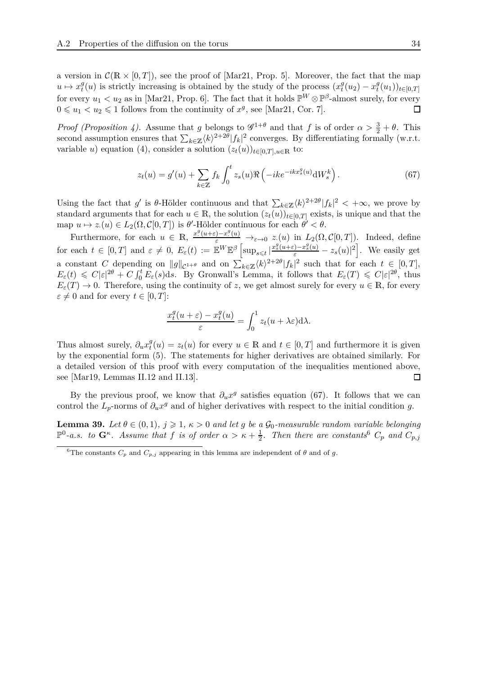a version in  $\mathcal{C}(\mathbb{R} \times [0,T])$ , see the proof of [\[Mar21,](#page-45-3) Prop. 5]. Moreover, the fact that the map  $u \mapsto x_t^g$  $f(t)$  is strictly increasing is obtained by the study of the process  $(x_t^g)$  $x_t^g(u_2) - x_t^g$  $_{t}^{g}(u_1)$ <sub> $)_{t\in[0,T]}$ </sub> for every  $u_1 < u_2$  as in [\[Mar21,](#page-45-3) Prop. 6]. The fact that it holds  $\mathbb{P}^W \otimes \mathbb{P}^{\beta}$ -almost surely, for every  $0 \leq u_1 < u_2 \leq 1$  follows from the continuity of  $x^g$ , see [\[Mar21,](#page-45-3) Cor. 7].  $\Box$ 

*Proof (Proposition [4\)](#page-5-0).* Assume that *g* belongs to  $\mathscr{G}^{1+\theta}$  and that *f* is of order  $\alpha > \frac{3}{2} + \theta$ . This second assumption ensures that  $\sum_{k \in \mathbb{Z}} \langle k \rangle^{2+2\theta} |f_k|^2$  converges. By differentiating formally (w.r.t. variable *u*) equation [\(4\)](#page-4-1), consider a solution  $(z_t(u))_{t\in[0,T],u\in\mathbb{R}}$  to:

<span id="page-33-1"></span>
$$
z_t(u) = g'(u) + \sum_{k \in \mathbb{Z}} f_k \int_0^t z_s(u) \Re\left(-ike^{-ikx_s^g(u)} \mathrm{d}W_s^k\right). \tag{67}
$$

Using the fact that  $g'$  is  $\theta$ -Hölder continuous and that  $\sum_{k \in \mathbb{Z}} \langle k \rangle^{2+2\theta} |f_k|^2 < +\infty$ , we prove by standard arguments that for each  $u \in \mathbb{R}$ , the solution  $(z_t(u))_{t \in [0,T]}$  exists, is unique and that the  $\text{map } u \mapsto z(u) \in L_2(\Omega, \mathcal{C}[0,T]) \text{ is } \theta'$ -Hölder continuous for each  $\theta' < \theta$ .

Furthermore, for each  $u \in \mathbb{R}$ ,  $\frac{x^g(u+\varepsilon)-x^g(u)}{\varepsilon} \to_{\varepsilon \to 0} z(u)$  in  $L_2(\Omega, \mathcal{C}[0,T])$ . Indeed, define for each  $t \in [0,T]$  and  $\varepsilon \neq 0$ ,  $E_{\varepsilon}(t) := \mathbb{E}^{W} \mathbb{E}^{\beta} \left[ \sup_{s \leq t} |\frac{x_{s}^{g}(u+\varepsilon)-x_{s}^{g}(u)}{\varepsilon}-z_{s}(u)|^{2} \right]$ . We easily get a constant *C* depending on  $||g||_{\mathcal{C}^{1+\theta}}$  and on  $\sum_{k\in\mathbb{Z}}\langle k\rangle^{2+2\theta}|f_k|^2$  such that for each  $t \in [0,T]$ ,  $E_{\varepsilon}(t) \leq C|\varepsilon|^{2\theta} + C \int_0^t E_{\varepsilon}(s)ds$ . By Gronwall's Lemma, it follows that  $E_{\varepsilon}(T) \leq C|\varepsilon|^{2\theta}$ , thus  $E_{\varepsilon}(T) \to 0$ . Therefore, using the continuity of *z*, we get almost surely for every  $u \in \mathbb{R}$ , for every  $\varepsilon \neq 0$  and for every  $t \in [0, T]$ :

$$
\frac{x_t^g(u+\varepsilon) - x_t^g(u)}{\varepsilon} = \int_0^1 z_t(u+\lambda \varepsilon) d\lambda.
$$

Thus almost surely,  $\partial_u x_t^g$  $t_t^g(u) = z_t(u)$  for every  $u \in \mathbb{R}$  and  $t \in [0, T]$  and furthermore it is given by the exponential form [\(5\)](#page-5-6). The statements for higher derivatives are obtained similarly. For a detailed version of this proof with every computation of the inequalities mentioned above, see [\[Mar19,](#page-45-9) Lemmas II.12 and II.13].  $\Box$ 

By the previous proof, we know that  $\partial_u x^g$  satisfies equation [\(67\)](#page-33-1). It follows that we can control the  $L_p$ -norms of  $\partial_u x^g$  and of higher derivatives with respect to the initial condition *g*.

<span id="page-33-0"></span>**Lemma 39.** *Let*  $\theta \in (0,1)$ *,*  $j \geqslant 1$ *,*  $\kappa > 0$  *and let g be a*  $\mathcal{G}_0$ *-measurable random variable belonging*  $\mathbb{P}^0$ -*a.s.* to  $\mathbf{G}^{\kappa}$ . Assume that f is of order  $\alpha > \kappa + \frac{1}{2}$ . Then there are constants<sup>[6](#page-33-2)</sup>  $C_p$  and  $C_{p,j}$ 

<span id="page-33-2"></span><sup>&</sup>lt;sup>6</sup>The constants  $C_p$  and  $C_{p,j}$  appearing in this lemma are independent of  $\theta$  and of  $g$ .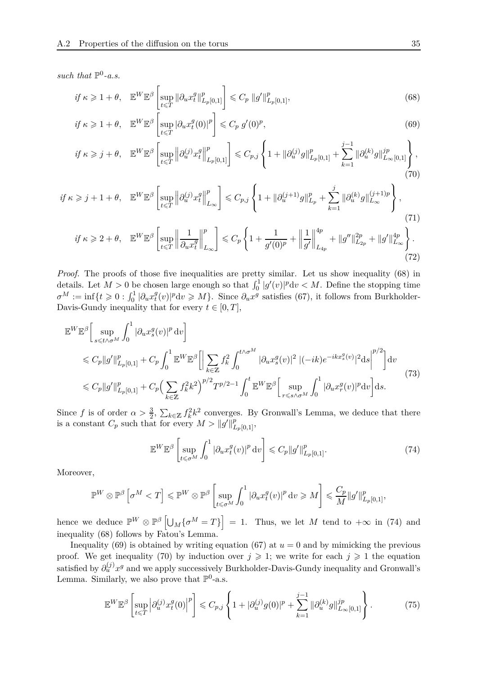such that  $\mathbb{P}^0$ -a.s.

<span id="page-34-3"></span><span id="page-34-2"></span>
$$
if \ \kappa \geqslant 1 + \theta, \quad \mathbb{E}^W \mathbb{E}^{\beta} \left[ \sup_{t \leqslant T} \|\partial_u x_t^g\|_{L_p[0,1]}^p \right] \leqslant C_p \ \|g'\|_{L_p[0,1]}^p, \tag{68}
$$

$$
if \ \kappa \geq 1 + \theta, \quad \mathbb{E}^W \mathbb{E}^{\beta} \left[ \sup_{t \leq T} |\partial_u x_t^g(0)|^p \right] \leq C_p \ g'(0)^p,
$$
\n
$$
(69)
$$

<span id="page-34-4"></span>
$$
if \ \kappa \geqslant j + \theta, \quad \mathbb{E}^{W} \mathbb{E}^{\beta} \left[ \sup_{t \leqslant T} \left\| \partial_{u}^{(j)} x_{t}^{g} \right\|_{L_{p}[0,1]}^{p} \right] \leqslant C_{p,j} \left\{ 1 + \|\partial_{u}^{(j)} g\|_{L_{p}[0,1]}^{p} + \sum_{k=1}^{j-1} \|\partial_{u}^{(k)} g\|_{L_{\infty}[0,1]}^{jp} \right\},\tag{70}
$$

$$
if \kappa \geq j+1+\theta, \quad \mathbb{E}^{W}\mathbb{E}^{\beta}\left[\sup_{t\leq T} \left\|\partial_{u}^{(j)}x_{t}^{g}\right\|_{L_{\infty}}^{p}\right] \leq C_{p,j}\left\{1+\|\partial_{u}^{(j+1)}g\|_{L_{p}}^{p}+\sum_{k=1}^{j}\|\partial_{u}^{(k)}g\|_{L_{\infty}}^{(j+1)p}\right\},\tag{71}
$$

<span id="page-34-0"></span>
$$
if \ \kappa \geq 2 + \theta, \quad \mathbb{E}^{W} \mathbb{E}^{\beta} \left[ \sup_{t \leq T} \left\| \frac{1}{\partial_{u} x_{t}^{q}} \right\|_{L_{\infty}}^{p} \right] \leq C_{p} \left\{ 1 + \frac{1}{g'(0)^{p}} + \left\| \frac{1}{g'} \right\|_{L_{4p}}^{4p} + \|g''\|_{L_{2p}}^{2p} + \|g'\|_{L_{\infty}}^{4p} \right\}.
$$
\n(72)

*Proof.* The proofs of those five inequalities are pretty similar. Let us show inequality [\(68\)](#page-34-2) in details. Let  $M > 0$  be chosen large enough so that  $\int_0^1 |g'(v)|^p dv < M$ . Define the stopping time  $\sigma^M := \inf\{t \geqslant 0 : \int_0^1 |\partial_u x_t^g|$  $\partial_t^g(v)$ |<sup>*p*</sup>d*v* ≥ *M*}. Since  $\partial_u x^g$  satisfies [\(67\)](#page-33-1), it follows from Burkholder-Davis-Gundy inequality that for every  $t \in [0, T]$ ,

$$
\mathbb{E}^{W} \mathbb{E}^{\beta} \Big[ \sup_{s \le t \wedge \sigma^{M}} \int_{0}^{1} |\partial_{u} x_{s}^{g}(v)|^{p} dv \Big] \n\le C_{p} \|g'\|_{L_{p}[0,1]}^{p} + C_{p} \int_{0}^{1} \mathbb{E}^{W} \mathbb{E}^{\beta} \Big[ \Big| \sum_{k \in \mathbb{Z}} f_{k}^{2} \int_{0}^{t \wedge \sigma^{M}} |\partial_{u} x_{s}^{g}(v)|^{2} |(-ik)e^{-ikx_{s}^{g}(v)}|^{2} ds \Big|^{p/2} \Big] dv \n\le C_{p} \|g'\|_{L_{p}[0,1]}^{p} + C_{p} \Big( \sum_{k \in \mathbb{Z}} f_{k}^{2} k^{2} \Big)^{p/2} T^{p/2-1} \int_{0}^{t} \mathbb{E}^{W} \mathbb{E}^{\beta} \Big[ \sup_{r \le s \wedge \sigma^{M}} \int_{0}^{1} |\partial_{u} x_{r}^{g}(v)|^{p} dv \Big] ds.
$$
\n(73)

Since *f* is of order  $\alpha > \frac{3}{2}$ ,  $\sum_{k \in \mathbb{Z}} f_k^2 k^2$  converges. By Gronwall's Lemma, we deduce that there is a constant  $C_p$  such that for every  $M > ||g'||_{L_p[0,1]}^p$ ,

<span id="page-34-5"></span><span id="page-34-1"></span>
$$
\mathbb{E}^W \mathbb{E}^{\beta} \left[ \sup_{t \leq \sigma^M} \int_0^1 |\partial_u x_t^g(v)|^p \, dv \right] \leqslant C_p \|g'\|_{L_p[0,1]}^p. \tag{74}
$$

Moreover,

$$
\mathbb{P}^W \otimes \mathbb{P}^{\beta} \left[ \sigma^M < T \right] \leqslant \mathbb{P}^W \otimes \mathbb{P}^{\beta} \left[ \sup_{t \leqslant \sigma^M} \int_0^1 \left| \partial_u x_t^g(v) \right|^p \mathrm{d}v \geqslant M \right] \leqslant \frac{C_p}{M} \|g'\|_{L_p[0,1]}^p,
$$

hence we deduce  $\mathbb{P}^W \otimes \mathbb{P}^{\beta} \left[ \bigcup_M \{ \sigma^M = T \} \right] = 1$ . Thus, we let *M* tend to  $+\infty$  in [\(74\)](#page-34-5) and inequality [\(68\)](#page-34-2) follows by Fatou's Lemma.

Inequality [\(69\)](#page-34-3) is obtained by writing equation [\(67\)](#page-33-1) at  $u = 0$  and by mimicking the previous proof. We get inequality [\(70\)](#page-34-4) by induction over  $j \geq 1$ ; we write for each  $j \geq 1$  the equation satisfied by  $\partial_u^{(j)} x^g$  and we apply successively Burkholder-Davis-Gundy inequality and Gronwall's Lemma. Similarly, we also prove that  $\mathbb{P}^0$ -a.s.

<span id="page-34-6"></span>
$$
\mathbb{E}^{W} \mathbb{E}^{\beta} \left[ \sup_{t \leq T} \left| \partial_{u}^{(j)} x_{t}^{g}(0) \right|^{p} \right] \leq C_{p,j} \left\{ 1 + |\partial_{u}^{(j)} g(0)|^{p} + \sum_{k=1}^{j-1} \|\partial_{u}^{(k)} g\|_{L_{\infty}[0,1]}^{jp} \right\}.
$$
 (75)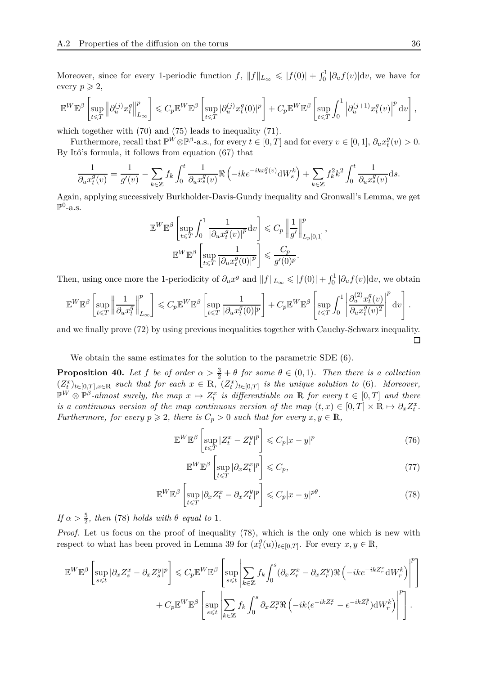Moreover, since for every 1-periodic function  $f$ ,  $||f||_{L_{\infty}} \leqslant |f(0)| + \int_0^1 |\partial_u f(v)| dv$ , we have for every  $p \geqslant 2$ ,

$$
\mathbb{E}^W \mathbb{E}^{\beta} \left[ \sup_{t \leqslant T} \left\| \partial_u^{(j)} x_t^g \right\|_{L_\infty}^p \right] \leqslant C_p \mathbb{E}^W \mathbb{E}^{\beta} \left[ \sup_{t \leqslant T} |\partial_u^{(j)} x_t^g(0)|^p \right] + C_p \mathbb{E}^W \mathbb{E}^{\beta} \left[ \sup_{t \leqslant T} \int_0^1 \left| \partial_u^{(j+1)} x_t^g(v) \right|^p \mathrm{d}v \right],
$$

which together with [\(70\)](#page-34-4) and [\(75\)](#page-34-6) leads to inequality [\(71\)](#page-34-0).

Furthermore, recall that  $\mathbb{P}^{\hat{W}} \otimes \mathbb{P}^{\beta}$ -a.s., for every  $t \in [0, T]$  and for every  $v \in [0, 1]$ ,  $\partial_u x_t^g$  $_{t}^{g}(v) > 0.$ By Itô's formula, it follows from equation [\(67\)](#page-33-1) that

$$
\frac{1}{\partial_u x_t^g(v)} = \frac{1}{g'(v)} - \sum_{k \in \mathbb{Z}} f_k \int_0^t \frac{1}{\partial_u x_s^g(v)} \Re \left(-ike^{-ikx_s^g(v)} \mathrm{d}W_s^k\right) + \sum_{k \in \mathbb{Z}} f_k^2 k^2 \int_0^t \frac{1}{\partial_u x_s^g(v)} \mathrm{d}s.
$$

Again, applying successively Burkholder-Davis-Gundy inequality and Gronwall's Lemma, we get  $\mathbb{P}^0$ -a.s.

$$
\mathbb{E}^{W} \mathbb{E}^{\beta} \left[ \sup_{t \leq T} \int_{0}^{1} \frac{1}{\left| \partial_{u} x_{t}^{g}(v) \right|^{p}} \mathrm{d}v \right] \leqslant C_{p} \left\| \frac{1}{g'} \right\|_{L_{p}[0,1]}^{p},
$$

$$
\mathbb{E}^{W} \mathbb{E}^{\beta} \left[ \sup_{t \leqslant T} \frac{1}{\left| \partial_{u} x_{t}^{g}(0) \right|^{p}} \right] \leqslant \frac{C_{p}}{g'(0)^{p}}.
$$

Then, using once more the 1-periodicity of  $\partial_u x^g$  and  $||f||_{L_\infty} \leqslant |f(0)| + \int_0^1 |\partial_u f(v)| dv$ , we obtain

$$
\mathbb{E}^W \mathbb{E}^{\beta} \left[ \sup_{t \leqslant T} \left\| \frac{1}{\partial_u x_t^g} \right\|_{L_\infty}^p \right] \leqslant C_p \mathbb{E}^W \mathbb{E}^{\beta} \left[ \sup_{t \leqslant T} \frac{1}{|\partial_u x_t^g(0)|^p} \right] + C_p \mathbb{E}^W \mathbb{E}^{\beta} \left[ \sup_{t \leqslant T} \int_0^1 \left| \frac{\partial_u^{(2)} x_t^g(v)}{\partial_u x_t^g(v)^2} \right|^p \mathrm{d}v \right].
$$

and we finally prove [\(72\)](#page-34-1) by using previous inequalities together with Cauchy-Schwarz inequality.  $\Box$ 

We obtain the same estimates for the solution to the parametric SDE [\(6\)](#page-5-2).

<span id="page-35-0"></span>**Proposition 40.** Let f be of order  $\alpha > \frac{3}{2} + \theta$  for some  $\theta \in (0,1)$ . Then there is a collection  $(Z_t^x)_{t \in [0,T], x \in \mathbb{R}}$  such that for each  $x \in \mathbb{R}$ ,  $(Z_t^x)_{t \in [0,T]}$  is the unique solution to [\(6\)](#page-5-2). Moreover,  $\mathbb{P}^W \otimes \mathbb{P}^{\beta}$ -almost surely, the map  $x \mapsto Z_t^x$  is differentiable on R for every  $t \in [0, T]$  and there *is a continuous version of the map continuous version of the map*  $(t, x) \in [0, T] \times \mathbb{R} \mapsto \partial_x Z_t^x$ . *Furthermore, for every*  $p \ge 2$ *, there is*  $C_p > 0$  *such that for every*  $x, y \in \mathbb{R}$ *,* 

$$
\mathbb{E}^W \mathbb{E}^{\beta} \left[ \sup_{t \leq T} |Z_t^x - Z_t^y|^p \right] \leq C_p |x - y|^p \tag{76}
$$

<span id="page-35-3"></span><span id="page-35-2"></span><span id="page-35-1"></span>
$$
\mathbb{E}^W \mathbb{E}^{\beta} \left[ \sup_{t \leq T} |\partial_x Z_t^x|^p \right] \leqslant C_p,\tag{77}
$$

$$
\mathbb{E}^W \mathbb{E}^{\beta} \left[ \sup_{t \leq T} |\partial_x Z_t^x - \partial_x Z_t^y|^p \right] \leqslant C_p |x - y|^{p\theta}.
$$
 (78)

*If*  $\alpha > \frac{5}{2}$ *, then* [\(78\)](#page-35-2) *holds with*  $\theta$  *equal to* 1*.* 

*Proof.* Let us focus on the proof of inequality [\(78\)](#page-35-2), which is the only one which is new with respect to what has been proved in Lemma [39](#page-33-0) for  $(x_t^g)$  $\mathcal{L}_t^g(u)$ <sub>*t*∈[0,*T*]</sub>. For every  $x, y \in \mathbb{R}$ ,

$$
\mathbb{E}^{W} \mathbb{E}^{\beta} \left[ \sup_{s \leq t} |\partial_x Z_s^x - \partial_x Z_s^y|^p \right] \leq C_p \mathbb{E}^{W} \mathbb{E}^{\beta} \left[ \sup_{s \leq t} \left| \sum_{k \in \mathbb{Z}} f_k \int_0^s (\partial_x Z_r^x - \partial_x Z_r^y) \Re \left( -ik e^{-ikZ_r^x} dW_r^k \right) \right|^p \right] + C_p \mathbb{E}^{W} \mathbb{E}^{\beta} \left[ \sup_{s \leq t} \left| \sum_{k \in \mathbb{Z}} f_k \int_0^s \partial_x Z_r^y \Re \left( -ik(e^{-ikZ_r^x} - e^{-ikZ_r^y}) dW_r^k \right) \right|^p \right].
$$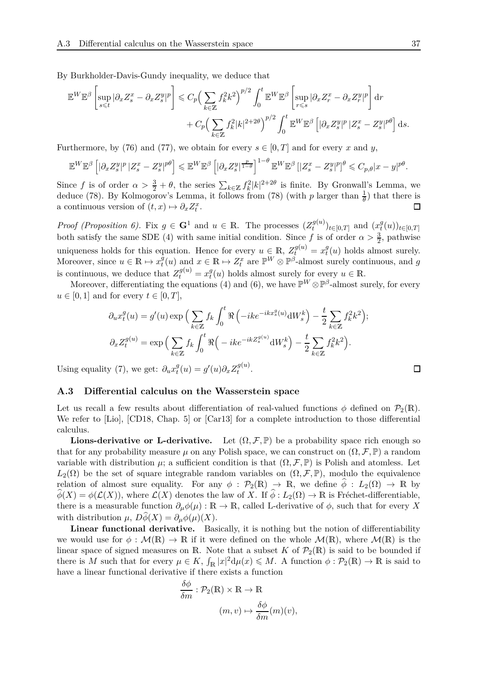By Burkholder-Davis-Gundy inequality, we deduce that

$$
\mathbb{E}^{W} \mathbb{E}^{\beta} \left[ \sup_{s \leq t} |\partial_x Z_s^x - \partial_x Z_s^y|^p \right] \leqslant C_p \Big( \sum_{k \in \mathbb{Z}} f_k^2 k^2 \Big)^{p/2} \int_0^t \mathbb{E}^W \mathbb{E}^{\beta} \left[ \sup_{r \leqslant s} |\partial_x Z_r^x - \partial_x Z_r^y|^p \right] dr
$$
  
+  $C_p \Big( \sum_{k \in \mathbb{Z}} f_k^2 |k|^{2+2\theta} \Big)^{p/2} \int_0^t \mathbb{E}^W \mathbb{E}^{\beta} \left[ |\partial_x Z_s^y|^p |Z_s^x - Z_s^y|^{p\theta} \right] ds.$ 

Furthermore, by [\(76\)](#page-35-1) and [\(77\)](#page-35-3), we obtain for every  $s \in [0, T]$  and for every x and y,

$$
\mathbb{E}^{W}\mathbb{E}^{\beta}\left[|\partial_x Z_s^y|^p |Z_s^x - Z_s^y|^{p\theta}\right] \leqslant \mathbb{E}^{W}\mathbb{E}^{\beta}\left[|\partial_x Z_s^y|^{\frac{p}{1-\theta}}\right]^{1-\theta} \mathbb{E}^{W}\mathbb{E}^{\beta}\left[|Z_s^x - Z_s^y|^p\right]^{\theta} \leqslant C_{p,\theta}|x-y|^{p\theta}.
$$

Since *f* is of order  $\alpha > \frac{3}{2} + \theta$ , the series  $\sum_{k \in \mathbb{Z}} f_k^2 |k|^{2+2\theta}$  is finite. By Gronwall's Lemma, we deduce [\(78\)](#page-35-2). By Kolmogorov's Lemma, it follows from (78) (with *p* larger than  $\frac{1}{\theta}$ ) that there is a continuous version of  $(t, x) \mapsto \partial_x Z_t^x$ .

*Proof (Proposition [6\)](#page-5-3).* Fix  $g \in \mathbf{G}^1$  and  $u \in \mathbb{R}$ *.* The processes  $(Z_t^{g(u)})$  $(x_t^{g(u)})_{t\in[0,T]}$  and  $(x_t^{g})$  $_{t}^{g}(u))_{t\in[0,T]}$ both satisfy the same SDE [\(4\)](#page-4-1) with same initial condition. Since *f* is of order  $\alpha > \frac{3}{2}$ , pathwise uniqueness holds for this equation. Hence for every  $u \in \mathbb{R}$ ,  $Z_t^{g(u)} = x_t^g$  $t_t^g(u)$  holds almost surely. Moreover, since  $u \in \mathbb{R} \mapsto x_t^g$  $f_t^g(u)$  and  $x \in \mathbb{R} \mapsto Z_t^x$  are  $\mathbb{P}^W \otimes \mathbb{P}^{\beta}$ -almost surely continuous, and *g* is continuous, we deduce that  $Z_t^{g(u)} = x_t^g$  $t(u)$  holds almost surely for every  $u \in \mathbb{R}$ .

Moreover, differentiating the equations [\(4\)](#page-4-1) and [\(6\)](#page-5-2), we have  $\mathbb{P}^W \otimes \mathbb{P}^{\beta}$ -almost surely, for every  $u \in [0, 1]$  and for every  $t \in [0, T]$ ,

$$
\partial_u x_t^g(u) = g'(u) \exp\Big(\sum_{k \in \mathbb{Z}} f_k \int_0^t \Re\left(-ike^{-ikx_s^g(u)} \mathrm{d}W_s^k\right) - \frac{t}{2} \sum_{k \in \mathbb{Z}} f_k^2 k^2\Big);
$$
  

$$
\partial_x Z_t^{g(u)} = \exp\Big(\sum_{k \in \mathbb{Z}} f_k \int_0^t \Re\Big(-ike^{-ikZ_s^{g(u)}} \mathrm{d}W_s^k\Big) - \frac{t}{2} \sum_{k \in \mathbb{Z}} f_k^2 k^2\Big).
$$

Using equality [\(7\)](#page-5-4), we get:  $\partial_u x_t^g$  $g(t) = g'(u)\partial_x Z_t^{g(u)}$  $t^{y(u)}$ .

#### <span id="page-36-0"></span>**A.3 Differential calculus on the Wasserstein space**

Let us recall a few results about differentiation of real-valued functions  $\phi$  defined on  $\mathcal{P}_2(\mathbb{R})$ . We refer to [\[Lio\]](#page-45-14), [\[CD18,](#page-43-6) Chap. 5] or [\[Car13\]](#page-43-7) for a complete introduction to those differential calculus.

**Lions-derivative or L-derivative.** Let  $(\Omega, \mathcal{F}, \mathbb{P})$  be a probability space rich enough so that for any probability measure  $\mu$  on any Polish space, we can construct on  $(\Omega, \mathcal{F}, \mathbb{P})$  a random variable with distribution  $\mu$ ; a sufficient condition is that  $(\Omega, \mathcal{F}, \mathbb{P})$  is Polish and atomless. Let  $L_2(\Omega)$  be the set of square integrable random variables on  $(\Omega, \mathcal{F}, \mathbb{P})$ , modulo the equivalence relation of almost sure equality. For any  $\phi : \mathcal{P}_2(\mathbb{R}) \to \mathbb{R}$ , we define  $\phi : L_2(\Omega) \to \mathbb{R}$  by  $\widehat{\phi}(X) = \phi(\mathcal{L}(X))$ , where  $\mathcal{L}(X)$  denotes the law of *X*. If  $\widehat{\phi}: L_2(\Omega) \to \mathbb{R}$  is Fréchet-differentiable, there is a measurable function  $\partial_\mu \phi(\mu) : \mathbb{R} \to \mathbb{R}$ , called L-derivative of  $\phi$ , such that for every *X* with distribution  $\mu$ ,  $D\hat{\phi}(X) = \partial_{\mu}\phi(\mu)(X)$ .

**Linear functional derivative.** Basically, it is nothing but the notion of differentiability we would use for  $\phi : \mathcal{M}(\mathbb{R}) \to \mathbb{R}$  if it were defined on the whole  $\mathcal{M}(\mathbb{R})$ , where  $\mathcal{M}(\mathbb{R})$  is the linear space of signed measures on R. Note that a subset *K* of  $\mathcal{P}_2(\mathbb{R})$  is said to be bounded if there is *M* such that for every  $\mu \in K$ ,  $\int_{\mathbb{R}} |x|^2 d\mu(x) \leq M$ . A function  $\phi : \mathcal{P}_2(\mathbb{R}) \to \mathbb{R}$  is said to have a linear functional derivative if there exists a function

$$
\frac{\delta\phi}{\delta m} : \mathcal{P}_2(\mathbb{R}) \times \mathbb{R} \to \mathbb{R}
$$

$$
(m, v) \mapsto \frac{\delta\phi}{\delta m}(m)(v),
$$

$$
\Box
$$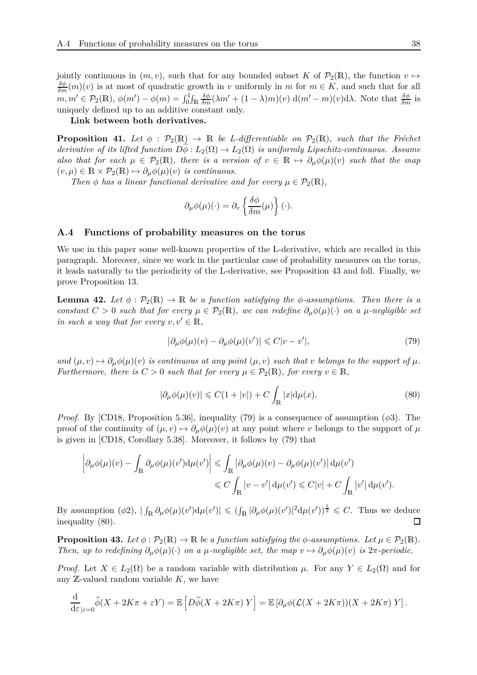jointly continuous in  $(m, v)$ , such that for any bounded subset *K* of  $\mathcal{P}_2(\mathbb{R})$ , the function  $v \mapsto$  $\frac{\delta\phi}{\delta m}(m)(v)$  is at most of quadratic growth in *v* uniformly in *m* for  $m \in K$ , and such that for all  $m, m' \in \mathcal{P}_2(\mathbb{R}), \ \phi(m') - \phi(m) = \int_0^1 \int_{\mathbb{R}} \frac{\delta \phi}{\delta m} (\lambda m' + (1 - \lambda)m)(v) \ d(m' - m)(v) d\lambda.$  Note that  $\frac{\delta \phi}{\delta m}$  is uniquely defined up to an additive constant only.

**Link between both derivatives.**

<span id="page-37-1"></span>**Proposition 41.** Let  $\phi$  :  $\mathcal{P}_2(\mathbb{R}) \to \mathbb{R}$  be L-differentiable on  $\mathcal{P}_2(\mathbb{R})$ , such that the Fréchet *derivative of its lifted function*  $D\hat{\phi}: L_2(\Omega) \to L_2(\Omega)$  *is uniformly Lipschitz-continuous. Assume also that for each*  $\mu \in \mathcal{P}_2(\mathbb{R})$ , there is a version of  $v \in \mathbb{R} \mapsto \partial_\mu \phi(\mu)(v)$  such that the map  $(v, \mu) \in \mathbb{R} \times \mathcal{P}_2(\mathbb{R}) \mapsto \partial_\mu \phi(\mu)(v)$  *is continuous.* 

*Then*  $\phi$  *has a linear functional derivative and for every*  $\mu \in \mathcal{P}_2(\mathbb{R})$ ,

$$
\partial_{\mu}\phi(\mu)(\cdot) = \partial_{\nu}\left\{\frac{\delta\phi}{\delta m}(\mu)\right\}(\cdot).
$$

#### <span id="page-37-0"></span>**A.4 Functions of probability measures on the torus**

We use in this paper some well-known properties of the L-derivative, which are recalled in this paragraph. Moreover, since we work in the particular case of probability measures on the torus, it leads naturally to the periodicity of the L-derivative, see Proposition [43](#page-37-3) and foll. Finally, we prove Proposition [13.](#page-7-2)

<span id="page-37-5"></span>**Lemma 42.** Let  $\phi : \mathcal{P}_2(\mathbb{R}) \to \mathbb{R}$  be a function satisfying the  $\phi$ -assumptions. Then there is a *constant*  $C > 0$  *such that for every*  $\mu \in \mathcal{P}_2(\mathbb{R})$ *, we can redefine*  $\partial_{\mu} \phi(\mu)(\cdot)$  *on a*  $\mu$ -*negligible set in such a way that for every*  $v, v' \in \mathbb{R}$ ,

<span id="page-37-4"></span><span id="page-37-2"></span>
$$
\left|\partial_{\mu}\phi(\mu)(v) - \partial_{\mu}\phi(\mu)(v')\right| \leqslant C|v - v'|,\tag{79}
$$

 $and (\mu, v) \mapsto \partial_{\mu} \phi(\mu)(v)$  *is continuous at any point*  $(\mu, v)$  *such that v belongs to the support of*  $\mu$ *. Furthermore, there is*  $C > 0$  *such that for every*  $\mu \in \mathcal{P}_2(\mathbb{R})$ *, for every*  $v \in \mathbb{R}$ *,* 

$$
|\partial_{\mu}\phi(\mu)(v)| \leq C(1+|v|) + C \int_{\mathbb{R}} |x| \mathrm{d}\mu(x). \tag{80}
$$

*Proof.* By [\[CD18,](#page-43-6) Proposition 5.36], inequality [\(79\)](#page-37-4) is a consequence of assumption (*φ*3). The proof of the continuity of  $(\mu, v) \mapsto \partial_{\mu} \phi(\mu)(v)$  at any point where *v* belongs to the support of  $\mu$ is given in [\[CD18,](#page-43-6) Corollary 5.38]. Moreover, it follows by [\(79\)](#page-37-4) that

$$
\begin{aligned} \left|\partial_\mu\phi(\mu)(v)-\int_\mathbb{R}\partial_\mu\phi(\mu)(v')\mathrm{d}\mu(v')\right|&\leqslant\int_\mathbb{R}\left|\partial_\mu\phi(\mu)(v)-\partial_\mu\phi(\mu)(v')\right|\mathrm{d}\mu(v')\\ &\leqslant C\int_\mathbb{R}\left|v-v'\right|\mathrm{d}\mu(v')\leqslant C|v|+C\int_\mathbb{R}\left|v'\right|\mathrm{d}\mu(v'). \end{aligned}
$$

By assumption  $(\phi_2)$ ,  $|\int_{\mathbb{R}} \partial_{\mu} \phi(\mu)(v') d\mu(v')| \leq (\int_{\mathbb{R}} |\partial_{\mu} \phi(\mu)(v')|^2 d\mu(v'))^{\frac{1}{2}} \leq C$ . Thus we deduce inequality [\(80\)](#page-37-2).  $\Box$ 

<span id="page-37-3"></span>**Proposition 43.** *Let*  $\phi : \mathcal{P}_2(\mathbb{R}) \to \mathbb{R}$  *be a function satisfying the*  $\phi$ *-assumptions. Let*  $\mu \in \mathcal{P}_2(\mathbb{R})$ *. Then, up to redefining*  $\partial_{\mu}\phi(\mu)(\cdot)$  *on a*  $\mu$ -*negligible set, the map*  $v \mapsto \partial_{\mu}\phi(\mu)(v)$  *is*  $2\pi$ -*periodic.* 

*Proof.* Let  $X \in L_2(\Omega)$  be a random variable with distribution  $\mu$ . For any  $Y \in L_2(\Omega)$  and for any Z-valued random variable *K*, we have

$$
\frac{\mathrm{d}}{\mathrm{d}\varepsilon}_{|\varepsilon=0} \widehat{\phi}(X+2K\pi+\varepsilon Y)=\mathbb{E}\left[D\widehat{\phi}(X+2K\pi) Y\right]=\mathbb{E}\left[\partial_{\mu}\phi(\mathcal{L}(X+2K\pi))(X+2K\pi) Y\right].
$$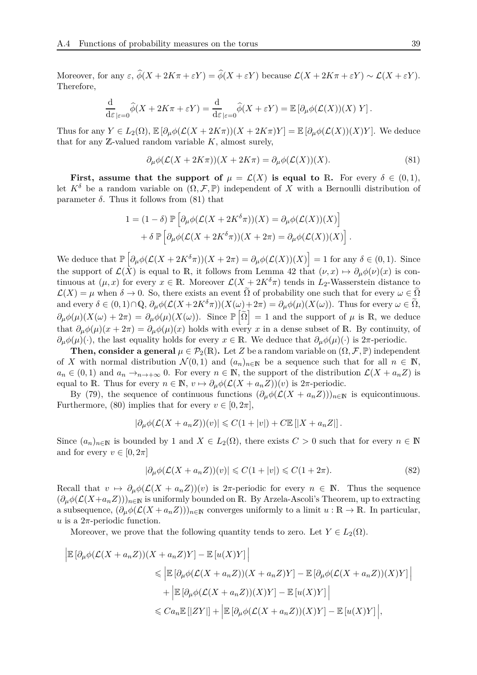Moreover, for any  $\varepsilon$ ,  $\phi(X + 2K\pi + \varepsilon Y) = \phi(X + \varepsilon Y)$  because  $\mathcal{L}(X + 2K\pi + \varepsilon Y) \sim \mathcal{L}(X + \varepsilon Y)$ . Therefore,

$$
\frac{\mathrm{d}}{\mathrm{d}\varepsilon}_{|\varepsilon=0}\widehat{\phi}(X+2K\pi+\varepsilon Y)=\frac{\mathrm{d}}{\mathrm{d}\varepsilon}_{|\varepsilon=0}\widehat{\phi}(X+\varepsilon Y)=\mathbb{E}\left[\partial_{\mu}\phi(\mathcal{L}(X))(X)Y\right].
$$

Thus for any  $Y \in L_2(\Omega)$ ,  $\mathbb{E} \left[ \partial_\mu \phi(\mathcal{L}(X+2K\pi))(X+2K\pi)Y \right] = \mathbb{E} \left[ \partial_\mu \phi(\mathcal{L}(X))(X)Y \right]$ . We deduce that for any Z-valued random variable *K*, almost surely,

<span id="page-38-0"></span>
$$
\partial_{\mu}\phi(\mathcal{L}(X+2K\pi))(X+2K\pi) = \partial_{\mu}\phi(\mathcal{L}(X))(X). \tag{81}
$$

**First, assume that the support of**  $\mu = \mathcal{L}(X)$  is equal to R. For every  $\delta \in (0,1)$ , let  $K^{\delta}$  be a random variable on  $(\Omega, \mathcal{F}, \mathbb{P})$  independent of X with a Bernoulli distribution of parameter  $\delta$ . Thus it follows from [\(81\)](#page-38-0) that

$$
1 = (1 - \delta) \mathbb{P} \left[ \partial_{\mu} \phi (\mathcal{L}(X + 2K^{\delta}\pi))(X) = \partial_{\mu} \phi (\mathcal{L}(X))(X) \right] + \delta \mathbb{P} \left[ \partial_{\mu} \phi (\mathcal{L}(X + 2K^{\delta}\pi))(X + 2\pi) = \partial_{\mu} \phi (\mathcal{L}(X))(X) \right].
$$

 $\mathcal{D}$ **We deduce that**  $\mathbb{P}\left[\partial_{\mu}\phi(\mathcal{L}(X+2K^{\delta}\pi))(X+2\pi)=\partial_{\mu}\phi(\mathcal{L}(X))(X)\right]=1$  **for any**  $\delta\in(0,1)$ **. Since** the support of  $\mathcal{L}(\bar{X})$  is equal to R, it follows from Lemma [42](#page-37-5) that  $(\nu, x) \mapsto \partial_{\mu} \phi(\nu)(x)$  is continuous at  $(\mu, x)$  for every  $x \in \mathbb{R}$ . Moreover  $\mathcal{L}(X + 2K^{\delta}\pi)$  tends in  $L_2$ -Wasserstein distance to  $\mathcal{L}(X) = \mu$  when  $\delta \to 0$ . So, there exists an event  $\tilde{\Omega}$  of probability one such that for every  $\omega \in \tilde{\Omega}$ and every  $\delta \in (0,1) \cap \mathbb{Q}$ ,  $\partial_{\mu} \phi(\mathcal{L}(X+2K^{\delta}\pi))(X(\omega)+2\pi) = \partial_{\mu} \phi(\mu)(X(\omega))$ . Thus for every  $\omega \in \tilde{\Omega}$ ,  $\partial_{\mu}\phi(\mu)(X(\omega) + 2\pi) = \partial_{\mu}\phi(\mu)(X(\omega))$ . Since  $\mathbb{P}[\tilde{\Omega}] = 1$  and the support of  $\mu$  is R, we deduce that  $\partial_{\mu}\phi(\mu)(x+2\pi) = \partial_{\mu}\phi(\mu)(x)$  holds with every *x* in a dense subset of R. By continuity, of  $\partial_{\mu}\phi(\mu)(\cdot)$ , the last equality holds for every  $x \in \mathbb{R}$ . We deduce that  $\partial_{\mu}\phi(\mu)(\cdot)$  is 2*π*-periodic.

**Then, consider a general**  $\mu \in \mathcal{P}_2(\mathbb{R})$ . Let *Z* be a random variable on  $(\Omega, \mathcal{F}, \mathbb{P})$  independent of X with normal distribution  $\mathcal{N}(0,1)$  and  $(a_n)_{n\in\mathbb{N}}$  be a sequence such that for all  $n \in \mathbb{N}$ ,  $a_n \in (0,1)$  and  $a_n \to_{n \to +\infty} 0$ . For every  $n \in \mathbb{N}$ , the support of the distribution  $\mathcal{L}(X + a_n Z)$  is equal to R. Thus for every  $n \in \mathbb{N}$ ,  $v \mapsto \partial_{\mu} \phi(\mathcal{L}(X + a_n Z))(v)$  is  $2\pi$ -periodic.

By [\(79\)](#page-37-4), the sequence of continuous functions  $(\partial_{\mu}\phi(\mathcal{L}(X + a_n Z)))_{n \in \mathbb{N}}$  is equicontinuous. Furthermore, [\(80\)](#page-37-2) implies that for every  $v \in [0, 2\pi]$ ,

$$
|\partial_{\mu}\phi(\mathcal{L}(X+a_nZ))(v)| \leqslant C(1+|v|) + C\mathbb{E}\left[|X+a_nZ|\right].
$$

Since  $(a_n)_{n\in\mathbb{N}}$  is bounded by 1 and  $X \in L_2(\Omega)$ , there exists  $C > 0$  such that for every  $n \in \mathbb{N}$ and for every  $v \in [0, 2\pi]$ 

<span id="page-38-1"></span>
$$
|\partial_{\mu}\phi(\mathcal{L}(X+a_nZ))(v)| \leq C(1+|v|) \leq C(1+2\pi). \tag{82}
$$

Recall that  $v \mapsto \partial_{\mu} \phi(\mathcal{L}(X + a_n Z))(v)$  is  $2\pi$ -periodic for every  $n \in \mathbb{N}$ . Thus the sequence  $(\partial_{\mu}\phi(\mathcal{L}(X+a_nZ)))_{n\in\mathbb{N}}$  is uniformly bounded on R. By Arzela-Ascoli's Theorem, up to extracting a subsequence,  $(\partial_{\mu}\phi(\mathcal{L}(X+a_nZ)))_{n\in\mathbb{N}}$  converges uniformly to a limit  $u:\mathbb{R}\to\mathbb{R}$ . In particular,  $u$  is a  $2\pi$ -periodic function.

Moreover, we prove that the following quantity tends to zero. Let  $Y \in L_2(\Omega)$ .

$$
\left| \mathbb{E} \left[ \partial_{\mu} \phi(\mathcal{L}(X + a_n Z))(X + a_n Z)Y \right] - \mathbb{E} \left[ u(X)Y \right] \right|
$$
  
\n
$$
\leq \left| \mathbb{E} \left[ \partial_{\mu} \phi(\mathcal{L}(X + a_n Z))(X + a_n Z)Y \right] - \mathbb{E} \left[ \partial_{\mu} \phi(\mathcal{L}(X + a_n Z))(X)Y \right] \right|
$$
  
\n
$$
+ \left| \mathbb{E} \left[ \partial_{\mu} \phi(\mathcal{L}(X + a_n Z))(X)Y \right] - \mathbb{E} \left[ u(X)Y \right] \right|
$$
  
\n
$$
\leq C a_n \mathbb{E} \left[ |ZY| \right] + \left| \mathbb{E} \left[ \partial_{\mu} \phi(\mathcal{L}(X + a_n Z))(X)Y \right] - \mathbb{E} \left[ u(X)Y \right] \right|,
$$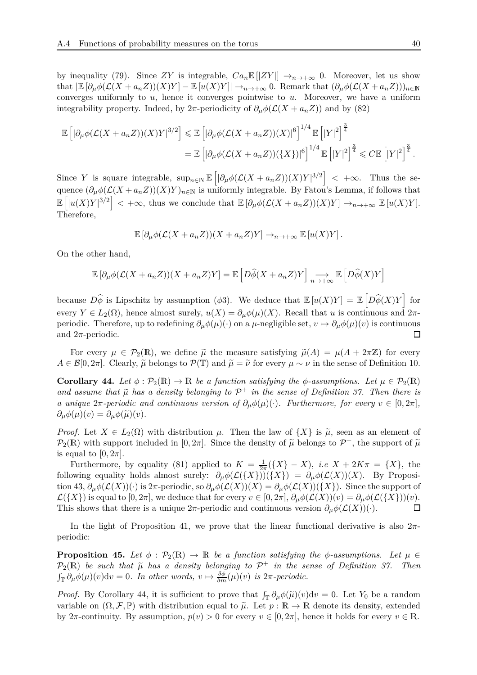by inequality [\(79\)](#page-37-4). Since *ZY* is integrable,  $Ca_n \mathbb{E} |ZY|$   $\rightarrow_{n \rightarrow +\infty} 0$ . Moreover, let us show that  $\left|\mathbb{E}[\partial_{\mu}\phi(\mathcal{L}(X+a_nZ))(X)Y]-\mathbb{E}[u(X)Y]\right|\to_{n\to+\infty} 0$ . Remark that  $(\partial_{\mu}\phi(\mathcal{L}(X+a_nZ)))_{n\in\mathbb{N}}$ converges uniformly to *u*, hence it converges pointwise to *u*. Moreover, we have a uniform integrability property. Indeed, by 2 $\pi$ -periodicity of  $\partial_{\mu}\phi(\mathcal{L}(X + a_n Z))$  and by [\(82\)](#page-38-1)

$$
\mathbb{E}\left[|\partial_{\mu}\phi(\mathcal{L}(X+a_nZ))(X)Y|^{3/2}\right] \leq \mathbb{E}\left[|\partial_{\mu}\phi(\mathcal{L}(X+a_nZ))(X)|^6\right]^{1/4}\mathbb{E}\left[|Y|^2\right]^{\frac{3}{4}}\\
= \mathbb{E}\left[|\partial_{\mu}\phi(\mathcal{L}(X+a_nZ))(\{X\})|^6\right]^{1/4}\mathbb{E}\left[|Y|^2\right]^{\frac{3}{4}} \leq C\mathbb{E}\left[|Y|^2\right]^{\frac{3}{4}}.
$$

Since *Y* is square integrable,  $\sup_{n\in\mathbb{N}} \mathbb{E} \left[ |\partial_\mu \phi(\mathcal{L}(X + a_n Z))(X)Y|^{3/2} \right] < +\infty$ . Thus the sequence  $(\partial_{\mu}\phi(\mathcal{L}(X+a_nZ))(X)Y)_{n\in\mathbb{N}}$  is uniformly integrable. By Fatou's Lemma, if follows that  $\mathbb{E}\left[|u(X)Y|^{3/2}\right]$  < + $\infty$ , thus we conclude that  $\mathbb{E}\left[\partial_{\mu}\phi(\mathcal{L}(X+a_nZ))(X)Y\right] \to_{n\to+\infty} \mathbb{E}\left[u(X)Y\right].$ Therefore,

$$
\mathbb{E}\left[\partial_{\mu}\phi(\mathcal{L}(X+a_nZ))(X+a_nZ)Y\right]\to_{n\to+\infty}\mathbb{E}\left[u(X)Y\right].
$$

On the other hand,

$$
\mathbb{E}\left[\partial_{\mu}\phi(\mathcal{L}(X+a_nZ))(X+a_nZ)Y\right]=\mathbb{E}\left[D\widehat{\phi}(X+a_nZ)Y\right]\underset{n\to+\infty}{\longrightarrow}\mathbb{E}\left[D\widehat{\phi}(X)Y\right]
$$

because  $D\hat{\phi}$  is Lipschitz by assumption ( $\phi$ 3). We deduce that  $\mathbb{E} [u(X)Y] = \mathbb{E} [D\hat{\phi}(X)Y]$  for every  $Y \in L_2(\Omega)$ , hence almost surely,  $u(X) = \partial_\mu \phi(\mu)(X)$ . Recall that *u* is continuous and  $2\pi$ periodic. Therefore, up to redefining  $\partial_{\mu}\phi(\mu)(\cdot)$  on a  $\mu$ -negligible set,  $v \mapsto \partial_{\mu}\phi(\mu)(v)$  is continuous and  $2\pi$ -periodic. and 2*π*-periodic.

For every  $\mu \in \mathcal{P}_2(\mathbb{R})$ , we define  $\tilde{\mu}$  the measure satisfying  $\tilde{\mu}(A) = \mu(A + 2\pi\mathbb{Z})$  for every  $A \in \mathcal{B}[0, 2\pi]$ . Clearly,  $\tilde{\mu}$  belongs to  $\mathcal{P}(\mathbb{T})$  and  $\tilde{\mu} = \tilde{\nu}$  for every  $\mu \sim \nu$  in the sense of Definition [10.](#page-7-4)

<span id="page-39-1"></span>**Corollary 44.** Let  $\phi : \mathcal{P}_2(\mathbb{R}) \to \mathbb{R}$  be a function satisfying the  $\phi$ -assumptions. Let  $\mu \in \mathcal{P}_2(\mathbb{R})$ *and assume that*  $\tilde{\mu}$  *has a density belonging to*  $\mathcal{P}^+$  *in the sense of Definition [37.](#page-32-2) Then there is a* unique  $2\pi$ -periodic and continuous version of  $\partial_{\mu}\phi(\mu)(\cdot)$ . Furthermore, for every  $v \in [0, 2\pi]$ ,  $\partial_{\mu}\phi(\mu)(v) = \partial_{\mu}\phi(\tilde{\mu})(v).$ 

*Proof.* Let  $X \in L_2(\Omega)$  with distribution  $\mu$ . Then the law of  $\{X\}$  is  $\tilde{\mu}$ , seen as an element of  $\mathcal{P}_2(\mathbb{R})$  with support included in  $[0, 2\pi]$ . Since the density of  $\tilde{\mu}$  belongs to  $\mathcal{P}^+$ , the support of  $\tilde{\mu}$ is equal to  $[0, 2\pi]$ .

Furthermore, by equality [\(81\)](#page-38-0) applied to  $K = \frac{1}{2i}$  $\frac{1}{2\pi}(\lbrace X \rbrace - X), \ i.e \ X + 2K\pi = \lbrace X \rbrace, \$ the following equality holds almost surely:  $\partial_{\mu}\phi(\mathcal{L}(\{X\}))(\{X\}) = \partial_{\mu}\phi(\mathcal{L}(X))(X)$ . By Proposi-tion [43,](#page-37-3)  $\partial_{\mu}\phi(\mathcal{L}(X))(\cdot)$  is  $2\pi$ -periodic, so  $\partial_{\mu}\phi(\mathcal{L}(X))(X) = \partial_{\mu}\phi(\mathcal{L}(X))(\{X\})$ . Since the support of  $\mathcal{L}(\{X\})$  is equal to  $[0, 2\pi]$ , we deduce that for every  $v \in [0, 2\pi]$ ,  $\partial_{\mu}\phi(\mathcal{L}(X))(v) = \partial_{\mu}\phi(\mathcal{L}(\{X\}))(v)$ .<br>This shows that there is a unique  $2\pi$ -periodic and continuous version  $\partial_{\mu}\phi(\mathcal{L}(X))(\cdot)$ . This shows that there is a unique  $2\pi$ -periodic and continuous version  $\partial_{\mu}\phi(\mathcal{L}(X))(\cdot)$ .

In the light of Proposition [41,](#page-37-1) we prove that the linear functional derivative is also 2*π*periodic:

<span id="page-39-0"></span>**Proposition 45.** *Let*  $\phi$  :  $\mathcal{P}_2(\mathbb{R}) \to \mathbb{R}$  *be a function satisfying the*  $\phi$ -assumptions. Let  $\mu \in$  $P_2(\mathbb{R})$  be such that  $\tilde{\mu}$  has a density belonging to  $\mathcal{P}^+$  in the sense of Definition [37.](#page-32-2) Then  $\int_{\mathbb{T}} \partial_{\mu} \phi(\mu)(v) dv = 0$ . In other words,  $v \mapsto \frac{\delta \phi}{\delta m}(\mu)(v)$  is  $2\pi$ -periodic.

*Proof.* By Corollary [44,](#page-39-1) it is sufficient to prove that  $\int_{\mathbb{T}} \partial_{\mu} \phi(\tilde{\mu})(v) dv = 0$ . Let  $Y_0$  be a random variable on  $(\Omega, \mathcal{F}, \mathbb{P})$  with distribution equal to  $\tilde{\mu}$ . Let  $p : \mathbb{R} \to \mathbb{R}$  denote its density, extended by 2 $\pi$ -continuity. By assumption,  $p(v) > 0$  for every  $v \in [0, 2\pi]$ , hence it holds for every  $v \in \mathbb{R}$ .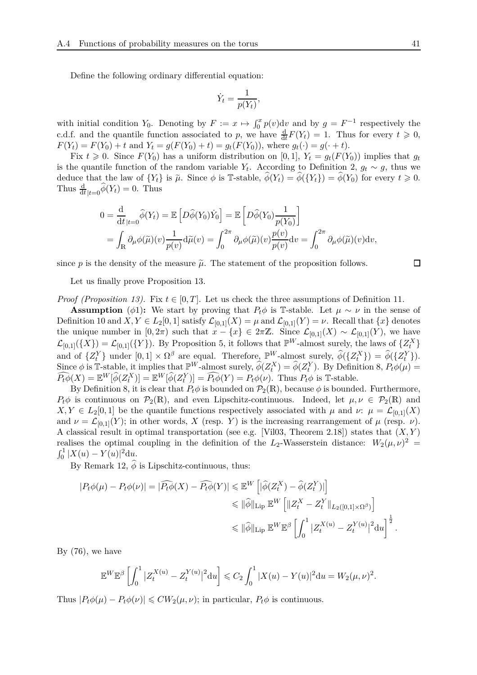Define the following ordinary differential equation:

$$
\dot{Y}_t = \frac{1}{p(Y_t)},
$$

with initial condition *Y*<sub>0</sub>. Denoting by  $F := x \mapsto \int_0^x p(v) \, dv$  and by  $g = F^{-1}$  respectively the c.d.f. and the quantile function associated to *p*, we have  $\frac{d}{dt}F(Y_t) = 1$ . Thus for every  $t \geq 0$ ,  $F(Y_t) = F(Y_0) + t$  and  $Y_t = g(F(Y_0) + t) = g_t(F(Y_0))$ , where  $g_t(\cdot) = g(\cdot + t)$ .

Fix  $t \geq 0$ . Since  $F(Y_0)$  has a uniform distribution on [0, 1],  $Y_t = g_t(F(Y_0))$  implies that  $g_t$ is the quantile function of the random variable  $Y_t$ . According to Definition [2,](#page-4-2)  $g_t \sim g$ , thus we deduce that the law of  ${Y_t}$  is  $\tilde{\mu}$ . Since  $\phi$  is T-stable,  $\phi(Y_t) = \phi({Y_t}) = \phi(Y_0)$  for every  $t \geq 0$ . Thus  $\frac{d}{dt}|_{t=0} \widehat{\phi}(Y_t) = 0$ . Thus

$$
0 = \frac{d}{dt}_{|t=0} \widehat{\phi}(Y_t) = \mathbb{E} \left[ D \widehat{\phi}(Y_0) \dot{Y}_0 \right] = \mathbb{E} \left[ D \widehat{\phi}(Y_0) \frac{1}{p(Y_0)} \right]
$$
  
= 
$$
\int_{\mathbb{R}} \partial_{\mu} \phi(\widetilde{\mu})(v) \frac{1}{p(v)} d\widetilde{\mu}(v) = \int_0^{2\pi} \partial_{\mu} \phi(\widetilde{\mu})(v) \frac{p(v)}{p(v)} dv = \int_0^{2\pi} \partial_{\mu} \phi(\widetilde{\mu})(v) dv,
$$

since p is the density of the measure  $\tilde{\mu}$ . The statement of the proposition follows.

Let us finally prove Proposition [13.](#page-7-2)

*Proof (Proposition [13\)](#page-7-2).* Fix  $t \in [0, T]$ . Let us check the three assumptions of Definition [11.](#page-7-0)

**Assumption** ( $\phi$ 1): We start by proving that  $P_t\phi$  is T-stable. Let  $\mu \sim \nu$  in the sense of Definition [10](#page-7-4) and  $X, Y \in L_2[0,1]$  satisfy  $\mathcal{L}_{[0,1]}(X) = \mu$  and  $\mathcal{L}_{[0,1]}(Y) = \nu$ . Recall that  $\{x\}$  denotes the unique number in  $[0, 2\pi)$  such that  $x - \{x\} \in 2\pi\mathbb{Z}$ . Since  $\mathcal{L}_{[0,1]}(X) \sim \mathcal{L}_{[0,1]}(Y)$ , we have  $\mathcal{L}_{[0,1]}(\{X\}) = \mathcal{L}_{[0,1]}(\{Y\})$ . By Proposition [5,](#page-5-1) it follows that  $\mathbb{P}^W$ -almost surely, the laws of  $\{Z_t^X\}$ and of  $\{Z_t^Y\}$  under  $[0,1] \times \Omega^\beta$  are equal. Therefore,  $\mathbb{P}^W$ -almost surely,  $\hat{\phi}(\{Z_t^X\}) = \hat{\phi}(\{Z_t^Y\})$ . Since  $\phi$  is T-stable, it implies that  $\mathbb{P}^W$ -almost surely,  $\hat{\phi}(Z_t^X) = \hat{\phi}(Z_t^Y)$ . By Definition [8,](#page-6-3)  $P_t\phi(\mu) =$  $\widehat{P_t\phi}(X) = \mathbb{E}^W[\widehat{\phi}(Z_t^X)] = \mathbb{E}^W[\widehat{\phi}(Z_t^Y)] = \widehat{P_t\phi}(Y) = P_t\phi(\nu)$ . Thus  $P_t\phi$  is T-stable.

By Definition [8,](#page-6-3) it is clear that  $P_t\phi$  is bounded on  $\mathcal{P}_2(\mathbb{R})$ , because  $\phi$  is bounded. Furthermore,  $P_t\phi$  is continuous on  $\mathcal{P}_2(\mathbb{R})$ , and even Lipschitz-continuous. Indeed, let  $\mu, \nu \in \mathcal{P}_2(\mathbb{R})$  and  $X, Y \in L_2[0,1]$  be the quantile functions respectively associated with  $\mu$  and  $\nu: \mu = \mathcal{L}_{[0,1]}(X)$ and  $\nu = \mathcal{L}_{[0,1]}(Y)$ ; in other words, X (resp. Y) is the increasing rearrangement of  $\mu$  (resp.  $\nu$ ). A classical result in optimal transportation (see e.g. [\[Vil03,](#page-45-15) Theorem 2.18]) states that (*X, Y* ) realises the optimal coupling in the definition of the  $L_2$ -Wasserstein distance:  $W_2(\mu, \nu)^2$  =  $\int_0^1 |X(u) - Y(u)|^2 \mathrm{d}u.$ 

By Remark [12,](#page-7-5)  $\hat{\phi}$  is Lipschitz-continuous, thus:

$$
\begin{split} |P_t\phi(\mu)-P_t\phi(\nu)|&=|\widehat{P_t\phi}(X)-\widehat{P_t\phi}(Y)|\leqslant \mathbb{E}^W\left[|\widehat{\phi}(Z_t^X)-\widehat{\phi}(Z_t^Y)|\right]\\ &\leqslant \|\widehat{\phi}\|_{\operatorname{Lip}}\,\mathbb{E}^W\left[\|Z_t^X-Z_t^Y\|_{L_2([0,1]\times\Omega^\beta)}\right]\\ &\leqslant \|\widehat{\phi}\|_{\operatorname{Lip}}\,\mathbb{E}^W\mathbb{E}^\beta\left[\int_0^1|Z_t^{X(u)}-Z_t^{Y(u)}|^2\mathrm{d}u\right]^{\frac{1}{2}}. \end{split}
$$

By  $(76)$ , we have

$$
\mathbb{E}^{W} \mathbb{E}^{\beta} \left[ \int_0^1 |Z_t^{X(u)} - Z_t^{Y(u)}|^2 du \right] \leq C_2 \int_0^1 |X(u) - Y(u)|^2 du = W_2(\mu, \nu)^2.
$$

Thus  $|P_t\phi(\mu) - P_t\phi(\nu)| \leq C W_2(\mu, \nu)$ ; in particular,  $P_t\phi$  is continuous.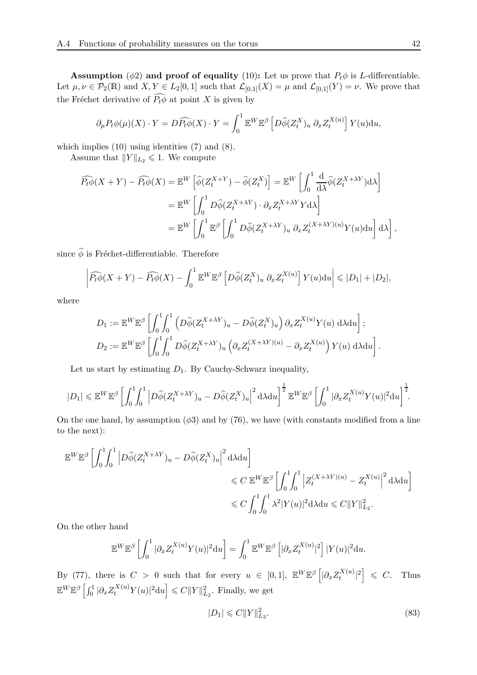**Assumption** ( $\phi$ 2) **and proof of equality** [\(10\)](#page-7-3): Let us prove that  $P_t\phi$  is *L*-differentiable. Let  $\mu, \nu \in \mathcal{P}_2(\mathbb{R})$  and  $X, Y \in L_2[0,1]$  such that  $\mathcal{L}_{[0,1]}(X) = \mu$  and  $\mathcal{L}_{[0,1]}(Y) = \nu$ . We prove that the Fréchet derivative of  $\widehat{P_t\phi}$  at point *X* is given by

$$
\partial_{\mu} P_t \phi(\mu)(X) \cdot Y = D \widehat{P_t \phi}(X) \cdot Y = \int_0^1 \mathbb{E}^W \mathbb{E}^{\beta} \left[ D \widehat{\phi}(Z_t^X)_u \partial_x Z_t^{X(u)} \right] Y(u) \mathrm{d}u,
$$

which implies [\(10\)](#page-7-3) using identities [\(7\)](#page-5-4) and [\(8\)](#page-5-5).

Assume that  $||Y||_{L_2} \le 1$ . We compute

$$
\widehat{P_t \phi}(X+Y) - \widehat{P_t \phi}(X) = \mathbb{E}^W \left[ \widehat{\phi}(Z_t^{X+Y}) - \widehat{\phi}(Z_t^X) \right] = \mathbb{E}^W \left[ \int_0^1 \frac{d}{d\lambda} \widehat{\phi}(Z_t^{X+\lambda Y}) d\lambda \right]
$$
  
\n
$$
= \mathbb{E}^W \left[ \int_0^1 D\widehat{\phi}(Z_t^{X+\lambda Y}) \cdot \partial_x Z_t^{X+\lambda Y} Y d\lambda \right]
$$
  
\n
$$
= \mathbb{E}^W \left[ \int_0^1 \mathbb{E}^{\beta} \left[ \int_0^1 D\widehat{\phi}(Z_t^{X+\lambda Y})_u \partial_x Z_t^{(X+\lambda Y)(u)} Y(u) du \right] d\lambda \right],
$$

since  $\widehat{\phi}$  is Fréchet-differentiable. Therefore

$$
\left| \widehat{P_t \phi}(X+Y) - \widehat{P_t \phi}(X) - \int_0^1 \mathbb{E}^W \mathbb{E}^{\beta} \left[ D \widehat{\phi}(Z_t^X)_u \ \partial_x Z_t^{X(u)} \right] Y(u) \mathrm{d}u \right| \leqslant |D_1| + |D_2|,
$$

where

$$
D_1 := \mathbb{E}^W \mathbb{E}^{\beta} \left[ \int_0^1 \int_0^1 \left( D\widehat{\phi}(Z_t^{X+\lambda Y})_u - D\widehat{\phi}(Z_t^X)_u \right) \partial_x Z_t^{X(u)} Y(u) d\lambda du \right];
$$
  

$$
D_2 := \mathbb{E}^W \mathbb{E}^{\beta} \left[ \int_0^1 \int_0^1 D\widehat{\phi}(Z_t^{X+\lambda Y})_u \left( \partial_x Z_t^{(X+\lambda Y)(u)} - \partial_x Z_t^{X(u)} \right) Y(u) d\lambda du \right].
$$

Let us start by estimating *D*1. By Cauchy-Schwarz inequality,

$$
|D_1| \leqslant \mathbb{E}^W \mathbb{E}^{\beta} \left[ \int_0^1 \int_0^1 \left| D\widehat{\phi}(Z_t^{X+\lambda Y})_u - D\widehat{\phi}(Z_t^X)_u \right|^2 \mathrm{d}\lambda \mathrm{d}u \right]^{\frac{1}{2}} \mathbb{E}^W \mathbb{E}^{\beta} \left[ \int_0^1 |\partial_x Z_t^{X(u)} Y(u)|^2 \mathrm{d}u \right]^{\frac{1}{2}}.
$$

On the one hand, by assumption  $(\phi 3)$  and by [\(76\)](#page-35-1), we have (with constants modified from a line to the next):

$$
\label{eq:4.10} \begin{split} \mathbb{E}^{W} \mathbb{E}^{\beta} \left[ \int_0^1 \!\! \int_0^1 \Big| D \widehat{\phi} (Z^{X + \lambda Y}_t)_u - D \widehat{\phi} (Z^X_t)_u \Big|^2 \, \mathrm{d} \lambda \mathrm{d} u \right] & \qquad \qquad \leqslant C \; \mathbb{E}^{W} \mathbb{E}^{\beta} \left[ \int_0^1 \!\! \int_0^1 \Big| Z^{(X + \lambda Y)(u)}_t - Z^{X(u)}_t \Big|^2 \, \mathrm{d} \lambda \mathrm{d} u \right] & \qquad \qquad \leqslant C \int_0^1 \!\! \int_0^1 \lambda^2 |Y(u)|^2 \mathrm{d} \lambda \mathrm{d} u \leqslant C \|Y\|_{L_2}^2. \end{split}
$$

On the other hand

$$
\mathbb{E}^{W} \mathbb{E}^{\beta} \left[ \int_0^1 |\partial_x Z_t^{X(u)} Y(u)|^2 du \right] = \int_0^1 \mathbb{E}^{W} \mathbb{E}^{\beta} \left[ |\partial_x Z_t^{X(u)}|^2 \right] |Y(u)|^2 du.
$$

By [\(77\)](#page-35-3), there is  $C > 0$  such that for every  $u \in [0,1]$ ,  $\mathbb{E}^{W} \mathbb{E}^{\beta} \left[ |\partial_x Z_t^{X(u)} \right]$  $\left[\begin{array}{c}X(u)\\t\end{array}\right]^2 \leqslant C.$  Thus  $\mathbb{E}^{W}\mathbb{E}^{\beta}\left[\int_{0}^{1}|\partial_{x}Z_{t}^{X(u)}Y(u)|^{2}du\right] \leqslant C\|Y\|_{L_{2}}^{2}$ . Finally, we get

<span id="page-41-0"></span>
$$
|D_1| \leq C \|Y\|_{L_2}^2.
$$
\n(83)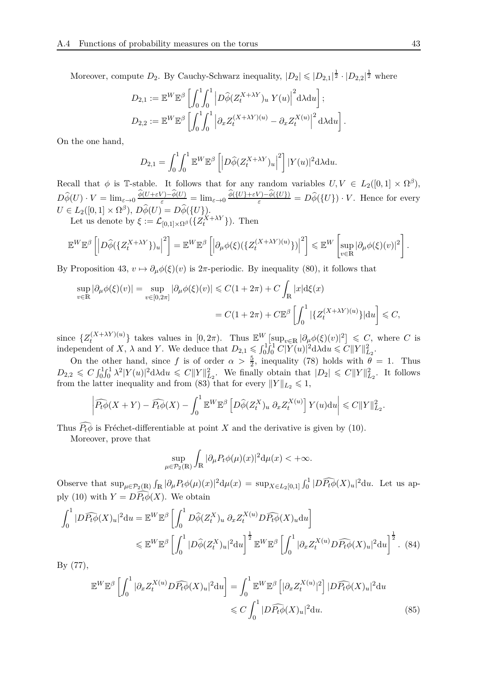Moreover, compute  $D_2$ . By Cauchy-Schwarz inequality,  $|D_2| \leqslant |D_{2,1}|^{\frac{1}{2}} \cdot |D_{2,2}|^{\frac{1}{2}}$  where

$$
D_{2,1} := \mathbb{E}^W \mathbb{E}^{\beta} \left[ \int_0^1 \int_0^1 \left| D\widehat{\phi}(Z_t^{X+\lambda Y})_u Y(u) \right|^2 d\lambda du \right];
$$
  

$$
D_{2,2} := \mathbb{E}^W \mathbb{E}^{\beta} \left[ \int_0^1 \int_0^1 \left| \partial_x Z_t^{(X+\lambda Y)(u)} - \partial_x Z_t^{X(u)} \right|^2 d\lambda du \right].
$$

On the one hand,

$$
D_{2,1} = \int_0^1 \int_0^1 \mathbb{E}^W \mathbb{E}^{\beta} \left[ \left| D\widehat{\phi}(Z_t^{X+\lambda Y})_u \right|^2 \right] |Y(u)|^2 \mathrm{d}\lambda \mathrm{d}u.
$$

Recall that  $\phi$  is T-stable. It follows that for any random variables  $U, V \in L_2([0,1] \times \Omega^{\beta})$ ,  $D\widehat{\phi}(U)\cdot V=\lim_{\varepsilon\to 0}\frac{\phi(U+\varepsilon V)-\phi(U)}{\varepsilon}=\lim_{\varepsilon\to 0}\frac{\phi(\{U\}+\varepsilon V)-\phi(\{U\})}{\varepsilon}=D\widehat{\phi}(\{U\})\cdot V.$  Hence for every  $U \in L_2([0,1] \times \Omega^{\beta}), D\widehat{\phi}(U) = D\widehat{\phi}(\{U\}).$ 

Let us denote by  $\xi := \mathcal{L}_{[0,1] \times \Omega^{\beta}}(\{Z_t^{X + \lambda Y}\})$ . Then

$$
\mathbb{E}^{W}\mathbb{E}^{\beta}\left[\left|\widetilde{D\hat{\phi}}(\{Z_{t}^{X+\lambda Y}\})_{u}\right|^{2}\right] = \mathbb{E}^{W}\mathbb{E}^{\beta}\left[\left|\partial_{\mu}\phi(\xi)(\{Z_{t}^{(X+\lambda Y)(u)}\})\right|^{2}\right] \leq \mathbb{E}^{W}\left[\sup_{v\in\mathbb{R}}|\partial_{\mu}\phi(\xi)(v)|^{2}\right].
$$

By Proposition [43,](#page-37-3)  $v \mapsto \partial_{\mu} \phi(\xi)(v)$  is  $2\pi$ -periodic. By inequality [\(80\)](#page-37-2), it follows that

$$
\sup_{v \in \mathbb{R}} |\partial_{\mu}\phi(\xi)(v)| = \sup_{v \in [0,2\pi]} |\partial_{\mu}\phi(\xi)(v)| \leq C(1+2\pi) + C \int_{\mathbb{R}} |x| d\xi(x)
$$
  
= C(1+2\pi) + C\mathbb{E}^{\beta} \left[ \int\_0^1 |\{Z\_t^{(X+\lambda Y)(u)}\} | du \right] \leq C,

since  $\{Z_t^{(X+\lambda Y)(u)}\}$  $\mathbb{E}^{W}[\sup_{v\in\mathbb{R}}|\partial_{\mu}\phi(\xi)(v)|^{2}] \leq C$ , where *C* is independent of *X*,  $\lambda$  and *Y*. We deduce that  $D_{2,1} \leq \int_0^1 \int_0^1 C |Y(u)|^2 d\lambda du \leq C ||Y||_{L_2}^2$ .

On the other hand, since f is of order  $\alpha > \frac{5}{2}$ , inequality [\(78\)](#page-35-2) holds with  $\theta = 1$ . Thus  $D_{2,2} \leqslant C \int_0^1 \int_0^1 \lambda^2 |Y(u)|^2 d\lambda du \leqslant C ||Y||_{L_2}^2$ . We finally obtain that  $|D_2| \leqslant C ||Y||_{L_2}^2$ . It follows from the latter inequality and from [\(83\)](#page-41-0) that for every  $||Y||_{L_2} \le 1$ ,

$$
\left| \widehat{P_t \phi}(X+Y) - \widehat{P_t \phi}(X) - \int_0^1 \mathbb{E}^W \mathbb{E}^{\beta} \left[ D \widehat{\phi}(Z_t^X)_u \ \partial_x Z_t^{X(u)} \right] Y(u) \mathrm{d}u \right| \leqslant C \|Y\|_{L_2}^2.
$$

Thus  $\widehat{P_t\phi}$  is Fréchet-differentiable at point *X* and the derivative is given by [\(10\)](#page-7-3).

Moreover, prove that

<span id="page-42-1"></span><span id="page-42-0"></span>
$$
\sup_{\mu \in \mathcal{P}_2(\mathbb{R})} \int_{\mathbb{R}} |\partial_{\mu} P_t \phi(\mu)(x)|^2 d\mu(x) < +\infty.
$$

Observe that  $\sup_{\mu \in \mathcal{P}_2(\mathbb{R})} \int_{\mathbb{R}} |\partial_{\mu} P_t \phi(\mu)(x)|^2 d\mu(x) = \sup_{X \in L_2[0,1]} \int_0^1 |D \widehat{P_t \phi}(X)_u|^2 du$ . Let us ap-ply [\(10\)](#page-7-3) with  $Y = D\widehat{P_t\phi}(X)$ . We obtain

$$
\int_0^1 |D\widehat{P_t\phi}(X)_u|^2 \mathrm{d}u = \mathbb{E}^W \mathbb{E}^{\beta} \left[ \int_0^1 D\widehat{\phi}(Z_t^X)_u \, \partial_x Z_t^{X(u)} D\widehat{P_t\phi}(X)_u \mathrm{d}u \right]
$$
  
\$\leqslant \mathbb{E}^W \mathbb{E}^{\beta} \left[ \int\_0^1 |D\widehat{\phi}(Z\_t^X)\_u|^2 \mathrm{d}u \right]^{\frac{1}{2}} \mathbb{E}^W \mathbb{E}^{\beta} \left[ \int\_0^1 |\partial\_x Z\_t^{X(u)} D\widehat{P\_t\phi}(X)\_u|^2 \mathrm{d}u \right]^{\frac{1}{2}}. (84)

By [\(77\)](#page-35-3),

$$
\mathbb{E}^{W} \mathbb{E}^{\beta} \left[ \int_{0}^{1} |\partial_{x} Z_{t}^{X(u)} D \widehat{P_{t} \phi}(X)_{u}|^{2} du \right] = \int_{0}^{1} \mathbb{E}^{W} \mathbb{E}^{\beta} \left[ |\partial_{x} Z_{t}^{X(u)}|^{2} \right] |D \widehat{P_{t} \phi}(X)_{u}|^{2} du
$$
  

$$
\leq C \int_{0}^{1} |D \widehat{P_{t} \phi}(X)_{u}|^{2} du.
$$
 (85)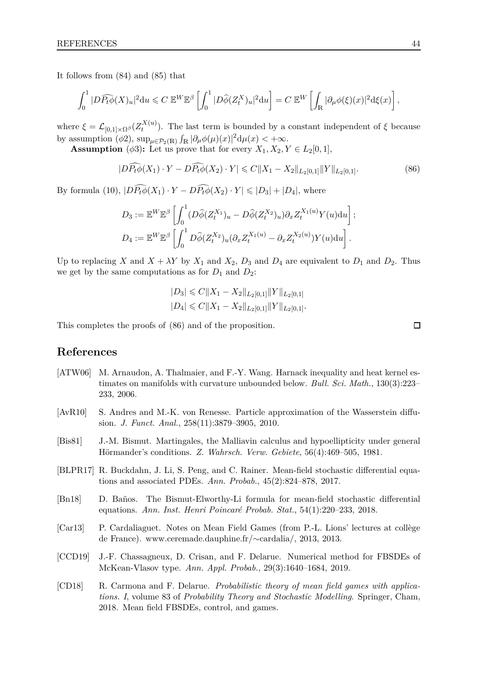It follows from [\(84\)](#page-42-0) and [\(85\)](#page-42-1) that

$$
\int_0^1 |D\widehat{P_t\phi}(X)_u|^2 \mathrm{d}u \leqslant C \, \mathbb{E}^W \mathbb{E}^{\beta} \left[ \int_0^1 |D\widehat{\phi}(Z_t^X)_u|^2 \mathrm{d}u \right] = C \, \mathbb{E}^W \left[ \int_{\mathbb{R}} |\partial_\mu \phi(\xi)(x)|^2 \mathrm{d}\xi(x) \right],
$$

where  $\xi = \mathcal{L}_{[0,1] \times \Omega^{\beta}}(Z_t^{X(u)})$  $t^{(A(u))}$ . The last term is bounded by a constant independent of *ξ* because by assumption  $(\phi_2)$ ,  $\sup_{\mu \in \mathcal{P}_2(\mathbb{R})} \int_{\mathbb{R}} |\partial_{\mu} \phi(\mu)(x)|^2 d\mu(x) < +\infty$ .

**Assumption** ( $\phi$ 3): Let us prove that for every  $X_1, X_2, Y \in L_2[0, 1],$ 

$$
|D\widehat{P_t\phi}(X_1)\cdot Y - D\widehat{P_t\phi}(X_2)\cdot Y| \leq C||X_1 - X_2||_{L_2[0,1]}||Y||_{L_2[0,1]}.
$$
\n(86)

By formula [\(10\)](#page-7-3),  $|D\widehat{P_t\phi}(X_1)\cdot Y - D\widehat{P_t\phi}(X_2)\cdot Y| \leq |D_3| + |D_4|$ , where

$$
D_3 := \mathbb{E}^W \mathbb{E}^{\beta} \left[ \int_0^1 (D\widehat{\phi}(Z_t^{X_1})_u - D\widehat{\phi}(Z_t^{X_2})_u) \partial_x Z_t^{X_1(u)} Y(u) \mathrm{d}u \right];
$$
  

$$
D_4 := \mathbb{E}^W \mathbb{E}^{\beta} \left[ \int_0^1 D\widehat{\phi}(Z_t^{X_2})_u (\partial_x Z_t^{X_1(u)} - \partial_x Z_t^{X_2(u)}) Y(u) \mathrm{d}u \right].
$$

Up to replacing *X* and  $X + \lambda Y$  by  $X_1$  and  $X_2$ ,  $D_3$  and  $D_4$  are equivalent to  $D_1$  and  $D_2$ . Thus we get by the same computations as for  $D_1$  and  $D_2$ :

<span id="page-43-8"></span>
$$
|D_3| \leq C ||X_1 - X_2||_{L_2[0,1]} ||Y||_{L_2[0,1]} |D_4| \leq C ||X_1 - X_2||_{L_2[0,1]} ||Y||_{L_2[0,1]}.
$$

This completes the proofs of [\(86\)](#page-43-8) and of the proposition.

**References**

- <span id="page-43-2"></span>[ATW06] M. Arnaudon, A. Thalmaier, and F.-Y. Wang. Harnack inequality and heat kernel estimates on manifolds with curvature unbounded below. *Bull. Sci. Math.*, 130(3):223– 233, 2006.
- <span id="page-43-0"></span>[AvR10] S. Andres and M.-K. von Renesse. Particle approximation of the Wasserstein diffusion. *J. Funct. Anal.*, 258(11):3879–3905, 2010.
- <span id="page-43-1"></span>[Bis81] J.-M. Bismut. Martingales, the Malliavin calculus and hypoellipticity under general Hörmander's conditions. *Z. Wahrsch. Verw. Gebiete*, 56(4):469–505, 1981.
- <span id="page-43-4"></span>[BLPR17] R. Buckdahn, J. Li, S. Peng, and C. Rainer. Mean-field stochastic differential equations and associated PDEs. *Ann. Probab.*, 45(2):824–878, 2017.
- <span id="page-43-3"></span>[Bn18] D. Baños. The Bismut-Elworthy-Li formula for mean-field stochastic differential equations. *Ann. Inst. Henri Poincaré Probab. Stat.*, 54(1):220–233, 2018.
- <span id="page-43-7"></span>[Car13] P. Cardaliaguet. Notes on Mean Field Games (from P.-L. Lions' lectures at collège de France). www.ceremade.dauphine.fr/∼cardalia/, 2013, 2013.
- <span id="page-43-5"></span>[CCD19] J.-F. Chassagneux, D. Crisan, and F. Delarue. Numerical method for FBSDEs of McKean-Vlasov type. *Ann. Appl. Probab.*, 29(3):1640–1684, 2019.
- <span id="page-43-6"></span>[CD18] R. Carmona and F. Delarue. *Probabilistic theory of mean field games with applications. I*, volume 83 of *Probability Theory and Stochastic Modelling*. Springer, Cham, 2018. Mean field FBSDEs, control, and games.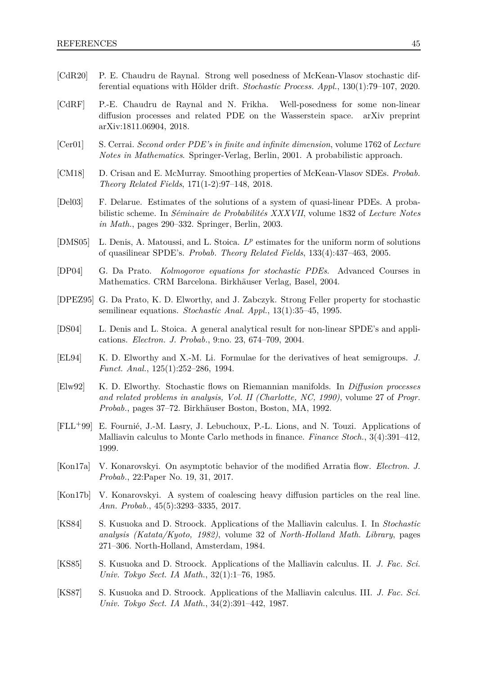- <span id="page-44-10"></span>[CdR20] P. E. Chaudru de Raynal. Strong well posedness of McKean-Vlasov stochastic differential equations with Hölder drift. *Stochastic Process. Appl.*, 130(1):79–107, 2020.
- <span id="page-44-11"></span>[CdRF] P.-E. Chaudru de Raynal and N. Frikha. Well-posedness for some non-linear diffusion processes and related PDE on the Wasserstein space. arXiv preprint arXiv:1811.06904, 2018.
- <span id="page-44-7"></span>[Cer01] S. Cerrai. *Second order PDE's in finite and infinite dimension*, volume 1762 of *Lecture Notes in Mathematics*. Springer-Verlag, Berlin, 2001. A probabilistic approach.
- <span id="page-44-9"></span>[CM18] D. Crisan and E. McMurray. Smoothing properties of McKean-Vlasov SDEs. *Probab. Theory Related Fields*, 171(1-2):97–148, 2018.
- <span id="page-44-4"></span>[Del03] F. Delarue. Estimates of the solutions of a system of quasi-linear PDEs. A probabilistic scheme. In *Séminaire de Probabilités XXXVII*, volume 1832 of *Lecture Notes in Math.*, pages 290–332. Springer, Berlin, 2003.
- <span id="page-44-13"></span>[DMS05] L. Denis, A. Matoussi, and L. Stoica.  $L^p$  estimates for the uniform norm of solutions of quasilinear SPDE's. *Probab. Theory Related Fields*, 133(4):437–463, 2005.
- <span id="page-44-8"></span>[DP04] G. Da Prato. *Kolmogorov equations for stochastic PDEs*. Advanced Courses in Mathematics. CRM Barcelona. Birkhäuser Verlag, Basel, 2004.
- <span id="page-44-6"></span>[DPEZ95] G. Da Prato, K. D. Elworthy, and J. Zabczyk. Strong Feller property for stochastic semilinear equations. *Stochastic Anal. Appl.*, 13(1):35–45, 1995.
- <span id="page-44-12"></span>[DS04] L. Denis and L. Stoica. A general analytical result for non-linear SPDE's and applications. *Electron. J. Probab.*, 9:no. 23, 674–709, 2004.
- <span id="page-44-3"></span>[EL94] K. D. Elworthy and X.-M. Li. Formulae for the derivatives of heat semigroups. *J. Funct. Anal.*, 125(1):252–286, 1994.
- <span id="page-44-2"></span>[Elw92] K. D. Elworthy. Stochastic flows on Riemannian manifolds. In *Diffusion processes and related problems in analysis, Vol. II (Charlotte, NC, 1990)*, volume 27 of *Progr. Probab.*, pages 37–72. Birkhäuser Boston, Boston, MA, 1992.
- <span id="page-44-5"></span>[FLL+99] E. Fournié, J.-M. Lasry, J. Lebuchoux, P.-L. Lions, and N. Touzi. Applications of Malliavin calculus to Monte Carlo methods in finance. *Finance Stoch.*, 3(4):391–412, 1999.
- <span id="page-44-1"></span>[Kon17a] V. Konarovskyi. On asymptotic behavior of the modified Arratia flow. *Electron. J. Probab.*, 22:Paper No. 19, 31, 2017.
- <span id="page-44-0"></span>[Kon17b] V. Konarovskyi. A system of coalescing heavy diffusion particles on the real line. *Ann. Probab.*, 45(5):3293–3335, 2017.
- [KS84] S. Kusuoka and D. Stroock. Applications of the Malliavin calculus. I. In *Stochastic analysis (Katata/Kyoto, 1982)*, volume 32 of *North-Holland Math. Library*, pages 271–306. North-Holland, Amsterdam, 1984.
- [KS85] S. Kusuoka and D. Stroock. Applications of the Malliavin calculus. II. *J. Fac. Sci. Univ. Tokyo Sect. IA Math.*, 32(1):1–76, 1985.
- [KS87] S. Kusuoka and D. Stroock. Applications of the Malliavin calculus. III. *J. Fac. Sci. Univ. Tokyo Sect. IA Math.*, 34(2):391–442, 1987.